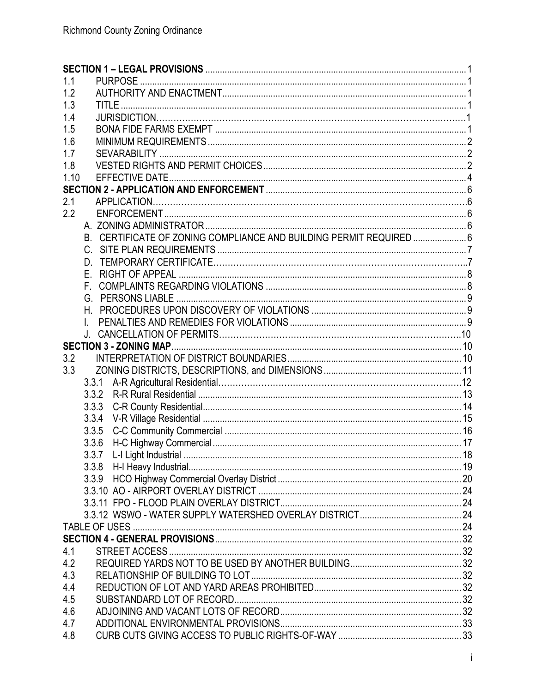| 1.1  |                                                                     |  |
|------|---------------------------------------------------------------------|--|
| 1.2  |                                                                     |  |
| 1.3  |                                                                     |  |
| 1.4  |                                                                     |  |
| 1.5  |                                                                     |  |
| 1.6  |                                                                     |  |
| 1.7  |                                                                     |  |
| 1.8  |                                                                     |  |
| 1.10 |                                                                     |  |
|      |                                                                     |  |
| 2.1  |                                                                     |  |
| 2.2  |                                                                     |  |
|      |                                                                     |  |
|      | B. CERTIFICATE OF ZONING COMPLIANCE AND BUILDING PERMIT REQUIRED  6 |  |
|      |                                                                     |  |
|      |                                                                     |  |
|      |                                                                     |  |
|      | F.                                                                  |  |
|      |                                                                     |  |
|      |                                                                     |  |
|      |                                                                     |  |
|      |                                                                     |  |
|      |                                                                     |  |
| 3.2  |                                                                     |  |
| 3.3  |                                                                     |  |
|      | 3.3.1                                                               |  |
|      | 3.3.2                                                               |  |
|      | 3.3.3                                                               |  |
|      | 3.3.4                                                               |  |
|      | 3.3.5                                                               |  |
|      | 3.3.6                                                               |  |
|      |                                                                     |  |
|      |                                                                     |  |
|      | 3.3.9                                                               |  |
|      |                                                                     |  |
|      |                                                                     |  |
|      |                                                                     |  |
|      |                                                                     |  |
|      |                                                                     |  |
| 4.1  |                                                                     |  |
| 4.2  |                                                                     |  |
| 4.3  |                                                                     |  |
| 4.4  |                                                                     |  |
| 4.5  |                                                                     |  |
| 4.6  |                                                                     |  |
| 4.7  |                                                                     |  |
| 4.8  |                                                                     |  |
|      |                                                                     |  |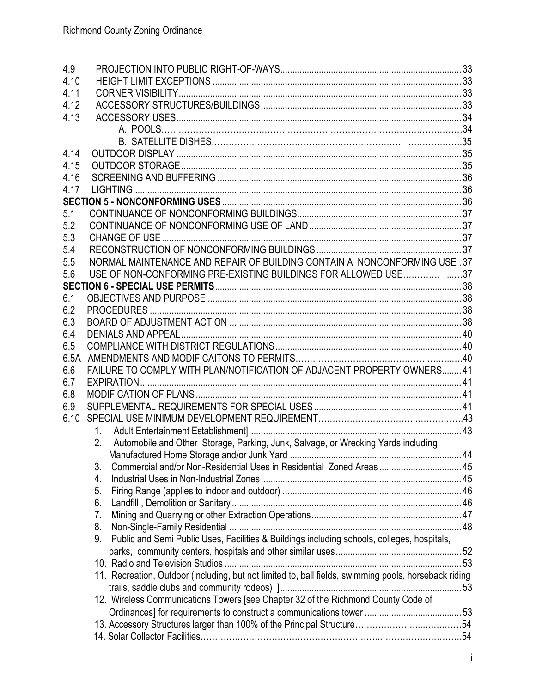| 4.9  |                                                                                                       |  |
|------|-------------------------------------------------------------------------------------------------------|--|
| 4.10 |                                                                                                       |  |
| 4.11 |                                                                                                       |  |
| 4.12 |                                                                                                       |  |
| 4.13 |                                                                                                       |  |
|      |                                                                                                       |  |
|      |                                                                                                       |  |
| 4.14 |                                                                                                       |  |
| 4.15 |                                                                                                       |  |
| 4.16 |                                                                                                       |  |
| 4.17 |                                                                                                       |  |
|      |                                                                                                       |  |
| 5.1  |                                                                                                       |  |
| 5.2  |                                                                                                       |  |
| 5.3  |                                                                                                       |  |
| 5.4  |                                                                                                       |  |
| 5.5  | NORMAL MAINTENANCE AND REPAIR OF BUILDING CONTAIN A NONCONFORMING USE .37                             |  |
| 5.6  |                                                                                                       |  |
|      |                                                                                                       |  |
| 6.1  |                                                                                                       |  |
| 6.2  |                                                                                                       |  |
| 6.3  |                                                                                                       |  |
| 6.4  |                                                                                                       |  |
| 6.5  |                                                                                                       |  |
| 6.5A |                                                                                                       |  |
| 6.6  | FAILURE TO COMPLY WITH PLAN/NOTIFICATION OF ADJACENT PROPERTY OWNERS41                                |  |
| 6.7  |                                                                                                       |  |
| 6.8  |                                                                                                       |  |
| 6.9  |                                                                                                       |  |
| 6.10 |                                                                                                       |  |
|      |                                                                                                       |  |
|      | 2. Automobile and Other Storage, Parking, Junk, Salvage, or Wrecking Yards including                  |  |
|      |                                                                                                       |  |
|      | 3.                                                                                                    |  |
|      | 4.                                                                                                    |  |
|      | 5.                                                                                                    |  |
|      | 6.                                                                                                    |  |
|      | 7.                                                                                                    |  |
|      | 8.                                                                                                    |  |
|      | Public and Semi Public Uses, Facilities & Buildings including schools, colleges, hospitals,<br>9.     |  |
|      |                                                                                                       |  |
|      |                                                                                                       |  |
|      | 11. Recreation, Outdoor (including, but not limited to, ball fields, swimming pools, horseback riding |  |
|      |                                                                                                       |  |
|      | 12. Wireless Communications Towers [see Chapter 32 of the Richmond County Code of                     |  |
|      |                                                                                                       |  |
|      |                                                                                                       |  |
|      |                                                                                                       |  |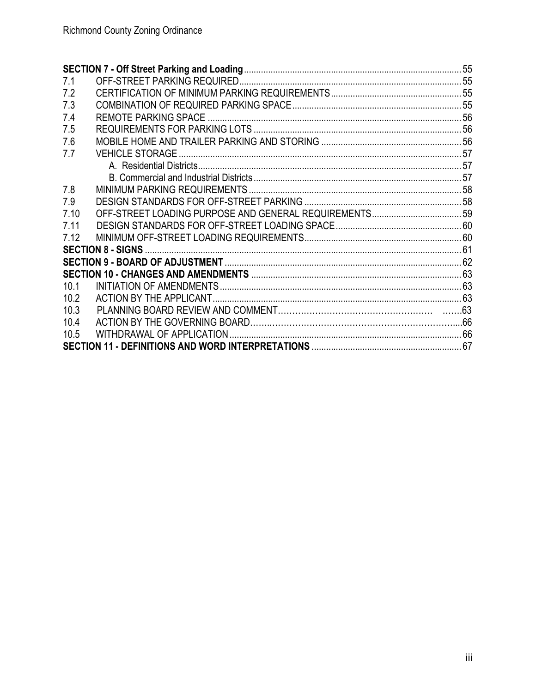| 7.1  |  |
|------|--|
| 7.2  |  |
| 7.3  |  |
| 7.4  |  |
| 7.5  |  |
| 7.6  |  |
| 7.7  |  |
|      |  |
|      |  |
| 7.8  |  |
| 7.9  |  |
| 7.10 |  |
| 7.11 |  |
| 7.12 |  |
|      |  |
|      |  |
|      |  |
| 10.1 |  |
| 10.2 |  |
| 10.3 |  |
| 10.4 |  |
| 10.5 |  |
|      |  |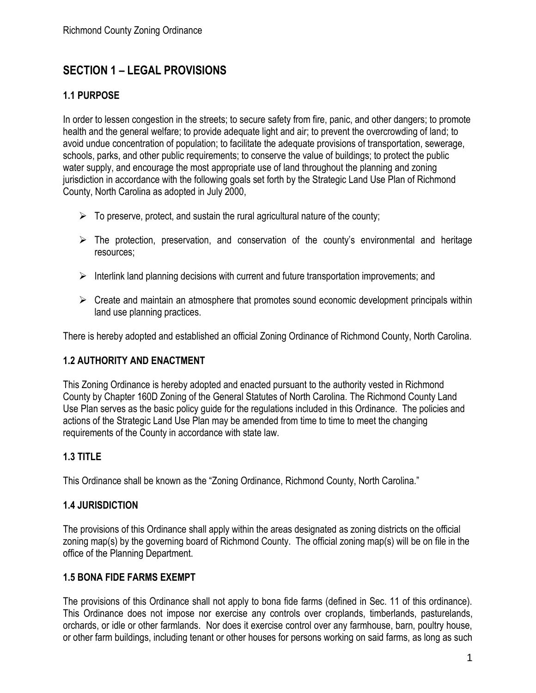# <span id="page-3-0"></span>**SECTION 1 – LEGAL PROVISIONS**

# <span id="page-3-1"></span>**1.1 PURPOSE**

In order to lessen congestion in the streets; to secure safety from fire, panic, and other dangers; to promote health and the general welfare; to provide adequate light and air; to prevent the overcrowding of land; to avoid undue concentration of population; to facilitate the adequate provisions of transportation, sewerage, schools, parks, and other public requirements; to conserve the value of buildings; to protect the public water supply, and encourage the most appropriate use of land throughout the planning and zoning jurisdiction in accordance with the following goals set forth by the Strategic Land Use Plan of Richmond County, North Carolina as adopted in July 2000,

- $\triangleright$  To preserve, protect, and sustain the rural agricultural nature of the county;
- $\triangleright$  The protection, preservation, and conservation of the county's environmental and heritage resources;
- ➢ Interlink land planning decisions with current and future transportation improvements; and
- $\triangleright$  Create and maintain an atmosphere that promotes sound economic development principals within land use planning practices.

There is hereby adopted and established an official Zoning Ordinance of Richmond County, North Carolina.

#### <span id="page-3-2"></span>**1.2 AUTHORITY AND ENACTMENT**

This Zoning Ordinance is hereby adopted and enacted pursuant to the authority vested in Richmond County by Chapter 160D Zoning of the General Statutes of North Carolina. The Richmond County Land Use Plan serves as the basic policy guide for the regulations included in this Ordinance. The policies and actions of the Strategic Land Use Plan may be amended from time to time to meet the changing requirements of the County in accordance with state law.

# <span id="page-3-3"></span>**1.3 TITLE**

This Ordinance shall be known as the "Zoning Ordinance, Richmond County, North Carolina."

#### **1.4 JURISDICTION**

The provisions of this Ordinance shall apply within the areas designated as zoning districts on the official zoning map(s) by the governing board of Richmond County. The official zoning map(s) will be on file in the office of the Planning Department.

#### <span id="page-3-4"></span>**1.5 BONA FIDE FARMS EXEMPT**

The provisions of this Ordinance shall not apply to bona fide farms (defined in Sec. 11 of this ordinance). This Ordinance does not impose nor exercise any controls over croplands, timberlands, pasturelands, orchards, or idle or other farmlands. Nor does it exercise control over any farmhouse, barn, poultry house, or other farm buildings, including tenant or other houses for persons working on said farms, as long as such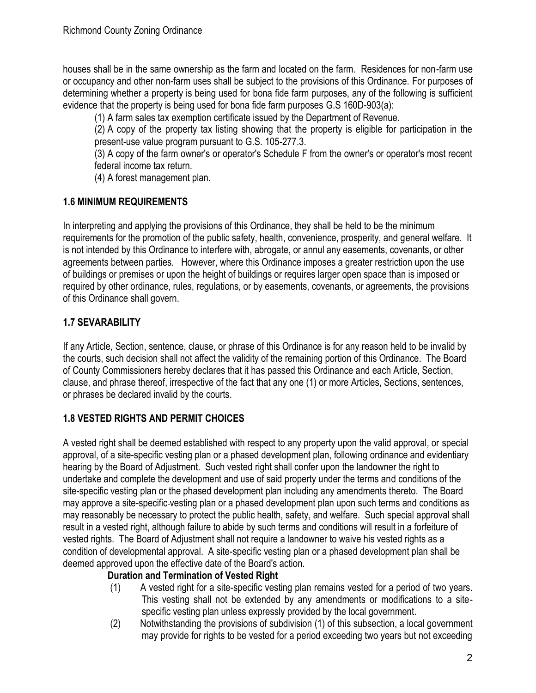houses shall be in the same ownership as the farm and located on the farm. Residences for non-farm use or occupancy and other non-farm uses shall be subject to the provisions of this Ordinance. For purposes of determining whether a property is being used for bona fide farm purposes, any of the following is sufficient evidence that the property is being used for bona fide farm purposes G.S 160D-903(a):

(1) A farm sales tax exemption certificate issued by the Department of Revenue.

(2) A copy of the property tax listing showing that the property is eligible for participation in the present-use value program pursuant to G.S. 105-277.3.

(3) A copy of the farm owner's or operator's Schedule F from the owner's or operator's most recent federal income tax return.

(4) A forest management plan.

## <span id="page-4-0"></span>**1.6 MINIMUM REQUIREMENTS**

In interpreting and applying the provisions of this Ordinance, they shall be held to be the minimum requirements for the promotion of the public safety, health, convenience, prosperity, and general welfare. It is not intended by this Ordinance to interfere with, abrogate, or annul any easements, covenants, or other agreements between parties. However, where this Ordinance imposes a greater restriction upon the use of buildings or premises or upon the height of buildings or requires larger open space than is imposed or required by other ordinance, rules, regulations, or by easements, covenants, or agreements, the provisions of this Ordinance shall govern.

# **1.7 SEVARABILITY**

If any Article, Section, sentence, clause, or phrase of this Ordinance is for any reason held to be invalid by the courts, such decision shall not affect the validity of the remaining portion of this Ordinance. The Board of County Commissioners hereby declares that it has passed this Ordinance and each Article, Section, clause, and phrase thereof, irrespective of the fact that any one (1) or more Articles, Sections, sentences, or phrases be declared invalid by the courts.

# <span id="page-4-1"></span>**1.8 VESTED RIGHTS AND PERMIT CHOICES**

A vested right shall be deemed established with respect to any property upon the valid approval, or special approval, of a site-specific vesting plan or a phased development plan, following ordinance and evidentiary hearing by the Board of Adjustment. Such vested right shall confer upon the landowner the right to undertake and complete the development and use of said property under the terms and conditions of the site-specific vesting plan or the phased development plan including any amendments thereto. The Board may approve a site-specific vesting plan or a phased development plan upon such terms and conditions as may reasonably be necessary to protect the public health, safety, and welfare. Such special approval shall result in a vested right, although failure to abide by such terms and conditions will result in a forfeiture of vested rights. The Board of Adjustment shall not require a landowner to waive his vested rights as a condition of developmental approval. A site-specific vesting plan or a phased development plan shall be deemed approved upon the effective date of the Board's action.

# **Duration and Termination of Vested Right**

- (1) A vested right for a site-specific vesting plan remains vested for a period of two years. This vesting shall not be extended by any amendments or modifications to a sitespecific vesting plan unless expressly provided by the local government.
- (2) Notwithstanding the provisions of subdivision (1) of this subsection, a local government may provide for rights to be vested for a period exceeding two years but not exceeding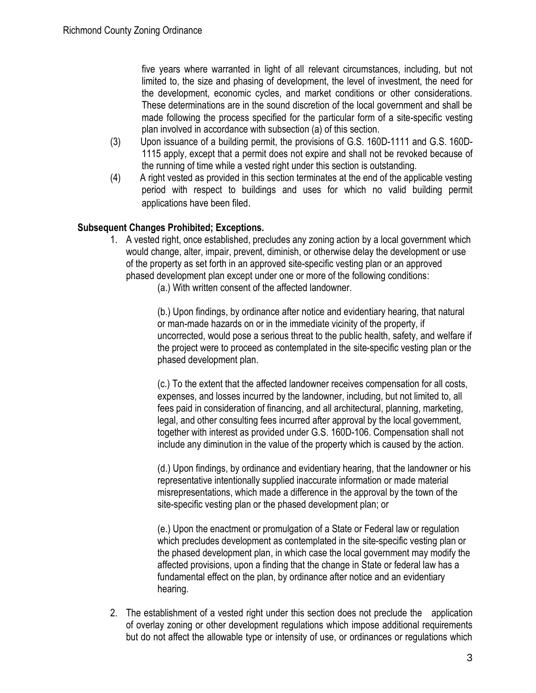five years where warranted in light of all relevant circumstances, including, but not limited to, the size and phasing of development, the level of investment, the need for the development, economic cycles, and market conditions or other considerations. These determinations are in the sound discretion of the local government and shall be made following the process specified for the particular form of a site-specific vesting plan involved in accordance with subsection (a) of this section.

- (3) Upon issuance of a building permit, the provisions of G.S. 160D-1111 and G.S. 160D-1115 apply, except that a permit does not expire and shall not be revoked because of the running of time while a vested right under this section is outstanding.
- (4) A right vested as provided in this section terminates at the end of the applicable vesting period with respect to buildings and uses for which no valid building permit applications have been filed.

# **Subsequent Changes Prohibited; Exceptions.**

- 1. A vested right, once established, precludes any zoning action by a local government which would change, alter, impair, prevent, diminish, or otherwise delay the development or use of the property as set forth in an approved site-specific vesting plan or an approved phased development plan except under one or more of the following conditions:
	- (a.) With written consent of the affected landowner.

(b.) Upon findings, by ordinance after notice and evidentiary hearing, that natural or man-made hazards on or in the immediate vicinity of the property, if uncorrected, would pose a serious threat to the public health, safety, and welfare if the project were to proceed as contemplated in the site-specific vesting plan or the phased development plan.

(c.) To the extent that the affected landowner receives compensation for all costs, expenses, and losses incurred by the landowner, including, but not limited to, all fees paid in consideration of financing, and all architectural, planning, marketing, legal, and other consulting fees incurred after approval by the local government, together with interest as provided under G.S. 160D-106. Compensation shall not include any diminution in the value of the property which is caused by the action.

(d.) Upon findings, by ordinance and evidentiary hearing, that the landowner or his representative intentionally supplied inaccurate information or made material misrepresentations, which made a difference in the approval by the town of the site-specific vesting plan or the phased development plan; or

(e.) Upon the enactment or promulgation of a State or Federal law or regulation which precludes development as contemplated in the site-specific vesting plan or the phased development plan, in which case the local government may modify the affected provisions, upon a finding that the change in State or federal law has a fundamental effect on the plan, by ordinance after notice and an evidentiary hearing.

2. The establishment of a vested right under this section does not preclude the application of overlay zoning or other development regulations which impose additional requirements but do not affect the allowable type or intensity of use, or ordinances or regulations which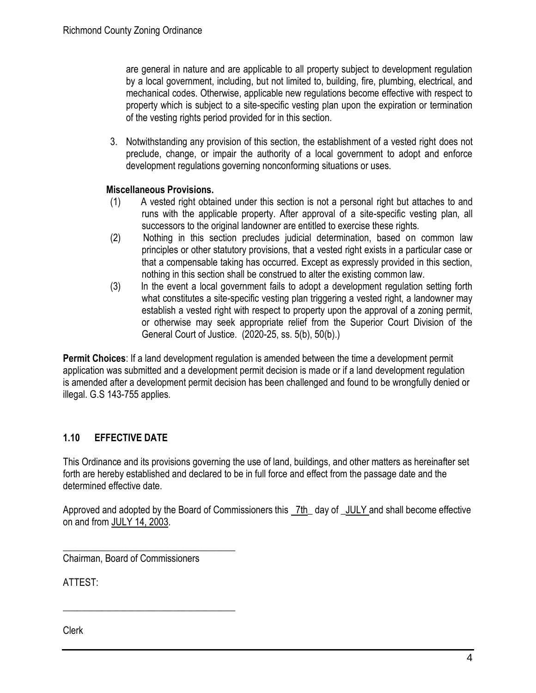are general in nature and are applicable to all property subject to development regulation by a local government, including, but not limited to, building, fire, plumbing, electrical, and mechanical codes. Otherwise, applicable new regulations become effective with respect to property which is subject to a site-specific vesting plan upon the expiration or termination of the vesting rights period provided for in this section.

3. Notwithstanding any provision of this section, the establishment of a vested right does not preclude, change, or impair the authority of a local government to adopt and enforce development regulations governing nonconforming situations or uses.

# **Miscellaneous Provisions.**

- (1) A vested right obtained under this section is not a personal right but attaches to and runs with the applicable property. After approval of a site-specific vesting plan, all successors to the original landowner are entitled to exercise these rights.
- (2) Nothing in this section precludes judicial determination, based on common law principles or other statutory provisions, that a vested right exists in a particular case or that a compensable taking has occurred. Except as expressly provided in this section, nothing in this section shall be construed to alter the existing common law.
- (3) In the event a local government fails to adopt a development regulation setting forth what constitutes a site-specific vesting plan triggering a vested right, a landowner may establish a vested right with respect to property upon the approval of a zoning permit, or otherwise may seek appropriate relief from the Superior Court Division of the General Court of Justice. (2020-25, ss. 5(b), 50(b).)

**Permit Choices**: If a land development regulation is amended between the time a development permit application was submitted and a development permit decision is made or if a land development regulation is amended after a development permit decision has been challenged and found to be wrongfully denied or illegal. G.S 143-755 applies.

# <span id="page-6-0"></span>**1.10 EFFECTIVE DATE**

This Ordinance and its provisions governing the use of land, buildings, and other matters as hereinafter set forth are hereby established and declared to be in full force and effect from the passage date and the determined effective date.

Approved and adopted by the Board of Commissioners this 7th\_ day of \_JULY and shall become effective on and from JULY 14, 2003.

\_\_\_\_\_\_\_\_\_\_\_\_\_\_\_\_\_\_\_\_\_\_\_\_\_\_\_\_\_\_\_\_\_\_\_\_ Chairman, Board of Commissioners

\_\_\_\_\_\_\_\_\_\_\_\_\_\_\_\_\_\_\_\_\_\_\_\_\_\_\_\_\_\_\_\_\_\_\_\_

ATTEST:

Clerk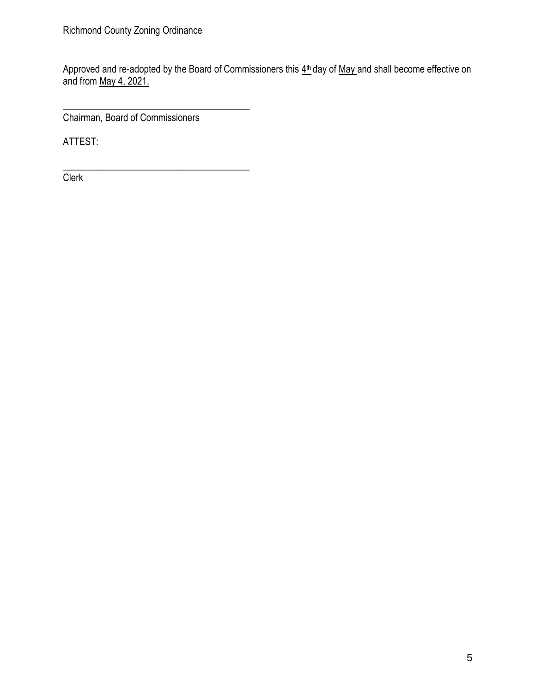Approved and re-adopted by the Board of Commissioners this  $4<sup>th</sup>$  day of May and shall become effective on and from May 4, 2021.

Chairman, Board of Commissioners

\_\_\_\_\_\_\_\_\_\_\_\_\_\_\_\_\_\_\_\_\_\_\_\_\_\_\_\_\_\_\_\_\_\_\_\_\_\_\_

ATTEST:

\_\_\_\_\_\_\_\_\_\_\_\_\_\_\_\_\_\_\_\_\_\_\_\_\_\_\_\_\_\_\_\_\_\_\_\_\_\_\_ **Clerk**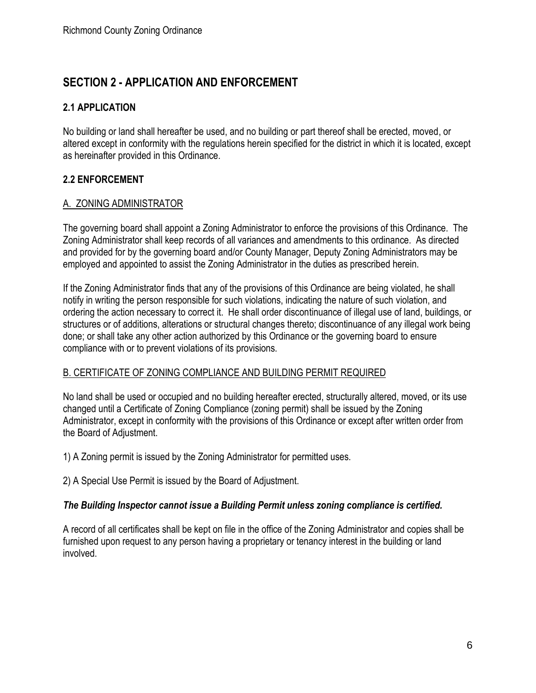# <span id="page-8-0"></span>**SECTION 2 - APPLICATION AND ENFORCEMENT**

# **2.1 APPLICATION**

No building or land shall hereafter be used, and no building or part thereof shall be erected, moved, or altered except in conformity with the regulations herein specified for the district in which it is located, except as hereinafter provided in this Ordinance.

# **2.2 ENFORCEMENT**

## <span id="page-8-1"></span>A. ZONING ADMINISTRATOR

The governing board shall appoint a Zoning Administrator to enforce the provisions of this Ordinance. The Zoning Administrator shall keep records of all variances and amendments to this ordinance. As directed and provided for by the governing board and/or County Manager, Deputy Zoning Administrators may be employed and appointed to assist the Zoning Administrator in the duties as prescribed herein.

If the Zoning Administrator finds that any of the provisions of this Ordinance are being violated, he shall notify in writing the person responsible for such violations, indicating the nature of such violation, and ordering the action necessary to correct it. He shall order discontinuance of illegal use of land, buildings, or structures or of additions, alterations or structural changes thereto; discontinuance of any illegal work being done; or shall take any other action authorized by this Ordinance or the governing board to ensure compliance with or to prevent violations of its provisions.

# <span id="page-8-2"></span>B. CERTIFICATE OF ZONING COMPLIANCE AND BUILDING PERMIT REQUIRED

No land shall be used or occupied and no building hereafter erected, structurally altered, moved, or its use changed until a Certificate of Zoning Compliance (zoning permit) shall be issued by the Zoning Administrator, except in conformity with the provisions of this Ordinance or except after written order from the Board of Adjustment.

1) A Zoning permit is issued by the Zoning Administrator for permitted uses.

2) A Special Use Permit is issued by the Board of Adjustment.

# *The Building Inspector cannot issue a Building Permit unless zoning compliance is certified.*

A record of all certificates shall be kept on file in the office of the Zoning Administrator and copies shall be furnished upon request to any person having a proprietary or tenancy interest in the building or land involved.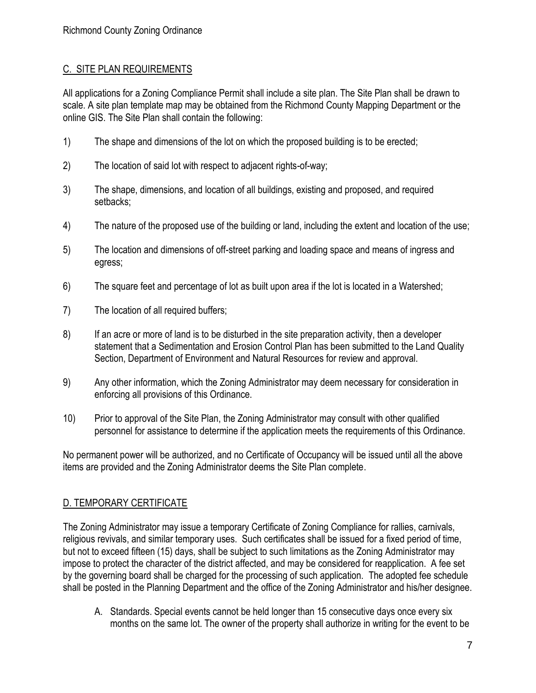# <span id="page-9-0"></span>C. SITE PLAN REQUIREMENTS

All applications for a Zoning Compliance Permit shall include a site plan. The Site Plan shall be drawn to scale. A site plan template map may be obtained from the Richmond County Mapping Department or the online GIS. The Site Plan shall contain the following:

- 1) The shape and dimensions of the lot on which the proposed building is to be erected;
- 2) The location of said lot with respect to adjacent rights-of-way;
- 3) The shape, dimensions, and location of all buildings, existing and proposed, and required setbacks;
- 4) The nature of the proposed use of the building or land, including the extent and location of the use;
- 5) The location and dimensions of off-street parking and loading space and means of ingress and egress;
- 6) The square feet and percentage of lot as built upon area if the lot is located in a Watershed;
- 7) The location of all required buffers;
- 8) If an acre or more of land is to be disturbed in the site preparation activity, then a developer statement that a Sedimentation and Erosion Control Plan has been submitted to the Land Quality Section, Department of Environment and Natural Resources for review and approval.
- 9) Any other information, which the Zoning Administrator may deem necessary for consideration in enforcing all provisions of this Ordinance.
- 10) Prior to approval of the Site Plan, the Zoning Administrator may consult with other qualified personnel for assistance to determine if the application meets the requirements of this Ordinance.

No permanent power will be authorized, and no Certificate of Occupancy will be issued until all the above items are provided and the Zoning Administrator deems the Site Plan complete.

# D. TEMPORARY CERTIFICATE

The Zoning Administrator may issue a temporary Certificate of Zoning Compliance for rallies, carnivals, religious revivals, and similar temporary uses. Such certificates shall be issued for a fixed period of time, but not to exceed fifteen (15) days, shall be subject to such limitations as the Zoning Administrator may impose to protect the character of the district affected, and may be considered for reapplication. A fee set by the governing board shall be charged for the processing of such application. The adopted fee schedule shall be posted in the Planning Department and the office of the Zoning Administrator and his/her designee.

A. Standards. Special events cannot be held longer than 15 consecutive days once every six months on the same lot. The owner of the property shall authorize in writing for the event to be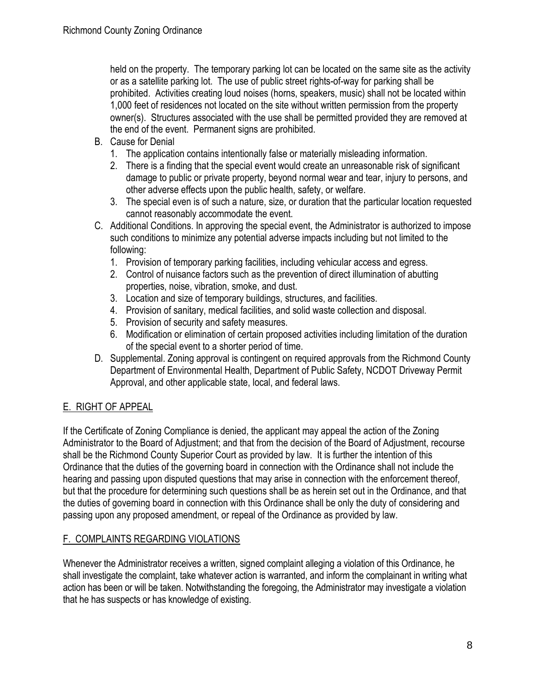held on the property. The temporary parking lot can be located on the same site as the activity or as a satellite parking lot. The use of public street rights-of-way for parking shall be prohibited. Activities creating loud noises (horns, speakers, music) shall not be located within 1,000 feet of residences not located on the site without written permission from the property owner(s). Structures associated with the use shall be permitted provided they are removed at the end of the event. Permanent signs are prohibited.

- B. Cause for Denial
	- 1. The application contains intentionally false or materially misleading information.
	- 2. There is a finding that the special event would create an unreasonable risk of significant damage to public or private property, beyond normal wear and tear, injury to persons, and other adverse effects upon the public health, safety, or welfare.
	- 3. The special even is of such a nature, size, or duration that the particular location requested cannot reasonably accommodate the event.
- C. Additional Conditions. In approving the special event, the Administrator is authorized to impose such conditions to minimize any potential adverse impacts including but not limited to the following:
	- 1. Provision of temporary parking facilities, including vehicular access and egress.
	- 2. Control of nuisance factors such as the prevention of direct illumination of abutting properties, noise, vibration, smoke, and dust.
	- 3. Location and size of temporary buildings, structures, and facilities.
	- 4. Provision of sanitary, medical facilities, and solid waste collection and disposal.
	- 5. Provision of security and safety measures.
	- 6. Modification or elimination of certain proposed activities including limitation of the duration of the special event to a shorter period of time.
- D. Supplemental. Zoning approval is contingent on required approvals from the Richmond County Department of Environmental Health, Department of Public Safety, NCDOT Driveway Permit Approval, and other applicable state, local, and federal laws.

# <span id="page-10-0"></span>E. RIGHT OF APPEAL

If the Certificate of Zoning Compliance is denied, the applicant may appeal the action of the Zoning Administrator to the Board of Adjustment; and that from the decision of the Board of Adjustment, recourse shall be the Richmond County Superior Court as provided by law. It is further the intention of this Ordinance that the duties of the governing board in connection with the Ordinance shall not include the hearing and passing upon disputed questions that may arise in connection with the enforcement thereof, but that the procedure for determining such questions shall be as herein set out in the Ordinance, and that the duties of governing board in connection with this Ordinance shall be only the duty of considering and passing upon any proposed amendment, or repeal of the Ordinance as provided by law.

# <span id="page-10-1"></span>F. COMPLAINTS REGARDING VIOLATIONS

Whenever the Administrator receives a written, signed complaint alleging a violation of this Ordinance, he shall investigate the complaint, take whatever action is warranted, and inform the complainant in writing what action has been or will be taken. Notwithstanding the foregoing, the Administrator may investigate a violation that he has suspects or has knowledge of existing.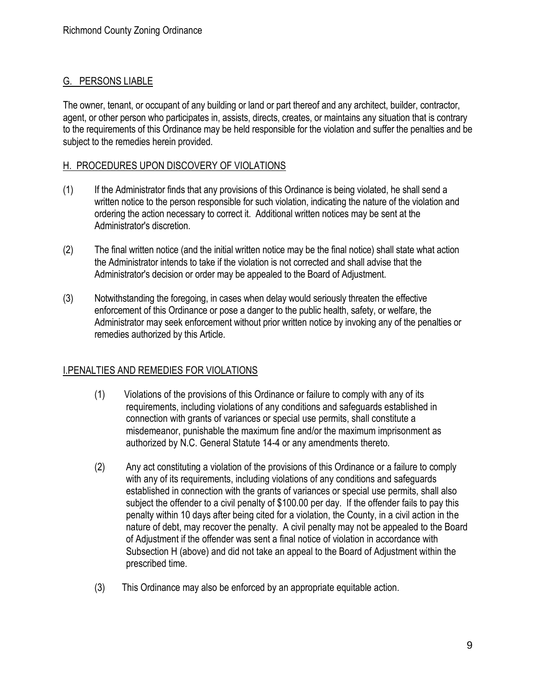# <span id="page-11-0"></span>G. PERSONS LIABLE

The owner, tenant, or occupant of any building or land or part thereof and any architect, builder, contractor, agent, or other person who participates in, assists, directs, creates, or maintains any situation that is contrary to the requirements of this Ordinance may be held responsible for the violation and suffer the penalties and be subject to the remedies herein provided.

# <span id="page-11-1"></span>H. PROCEDURES UPON DISCOVERY OF VIOLATIONS

- (1) If the Administrator finds that any provisions of this Ordinance is being violated, he shall send a written notice to the person responsible for such violation, indicating the nature of the violation and ordering the action necessary to correct it. Additional written notices may be sent at the Administrator's discretion.
- (2) The final written notice (and the initial written notice may be the final notice) shall state what action the Administrator intends to take if the violation is not corrected and shall advise that the Administrator's decision or order may be appealed to the Board of Adjustment.
- (3) Notwithstanding the foregoing, in cases when delay would seriously threaten the effective enforcement of this Ordinance or pose a danger to the public health, safety, or welfare, the Administrator may seek enforcement without prior written notice by invoking any of the penalties or remedies authorized by this Article.

# <span id="page-11-2"></span>I.PENALTIES AND REMEDIES FOR VIOLATIONS

- (1) Violations of the provisions of this Ordinance or failure to comply with any of its requirements, including violations of any conditions and safeguards established in connection with grants of variances or special use permits, shall constitute a misdemeanor, punishable the maximum fine and/or the maximum imprisonment as authorized by N.C. General Statute 14-4 or any amendments thereto.
- (2) Any act constituting a violation of the provisions of this Ordinance or a failure to comply with any of its requirements, including violations of any conditions and safeguards established in connection with the grants of variances or special use permits, shall also subject the offender to a civil penalty of \$100.00 per day. If the offender fails to pay this penalty within 10 days after being cited for a violation, the County, in a civil action in the nature of debt, may recover the penalty. A civil penalty may not be appealed to the Board of Adjustment if the offender was sent a final notice of violation in accordance with Subsection H (above) and did not take an appeal to the Board of Adjustment within the prescribed time.
- (3) This Ordinance may also be enforced by an appropriate equitable action.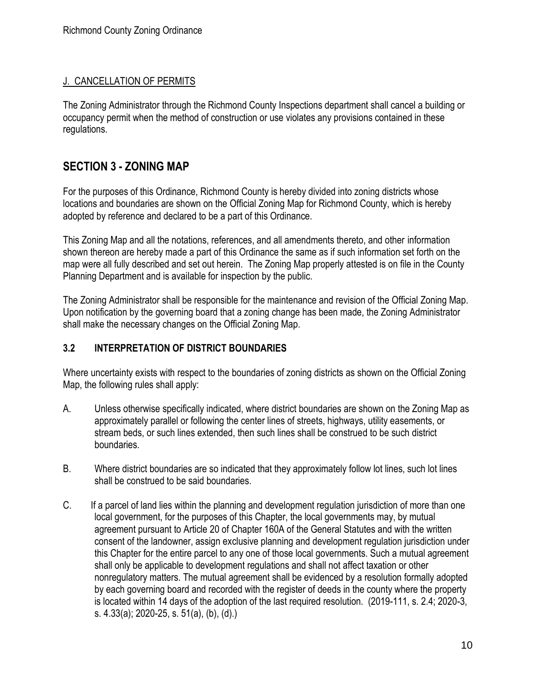# J. CANCELLATION OF PERMITS

The Zoning Administrator through the Richmond County Inspections department shall cancel a building or occupancy permit when the method of construction or use violates any provisions contained in these regulations.

# <span id="page-12-0"></span>**SECTION 3 - ZONING MAP**

For the purposes of this Ordinance, Richmond County is hereby divided into zoning districts whose locations and boundaries are shown on the Official Zoning Map for Richmond County, which is hereby adopted by reference and declared to be a part of this Ordinance.

This Zoning Map and all the notations, references, and all amendments thereto, and other information shown thereon are hereby made a part of this Ordinance the same as if such information set forth on the map were all fully described and set out herein. The Zoning Map properly attested is on file in the County Planning Department and is available for inspection by the public.

The Zoning Administrator shall be responsible for the maintenance and revision of the Official Zoning Map. Upon notification by the governing board that a zoning change has been made, the Zoning Administrator shall make the necessary changes on the Official Zoning Map.

#### <span id="page-12-1"></span>**3.2 INTERPRETATION OF DISTRICT BOUNDARIES**

Where uncertainty exists with respect to the boundaries of zoning districts as shown on the Official Zoning Map, the following rules shall apply:

- A. Unless otherwise specifically indicated, where district boundaries are shown on the Zoning Map as approximately parallel or following the center lines of streets, highways, utility easements, or stream beds, or such lines extended, then such lines shall be construed to be such district boundaries.
- B. Where district boundaries are so indicated that they approximately follow lot lines, such lot lines shall be construed to be said boundaries.
- C. If a parcel of land lies within the planning and development regulation jurisdiction of more than one local government, for the purposes of this Chapter, the local governments may, by mutual agreement pursuant to Article 20 of Chapter 160A of the General Statutes and with the written consent of the landowner, assign exclusive planning and development regulation jurisdiction under this Chapter for the entire parcel to any one of those local governments. Such a mutual agreement shall only be applicable to development regulations and shall not affect taxation or other nonregulatory matters. The mutual agreement shall be evidenced by a resolution formally adopted by each governing board and recorded with the register of deeds in the county where the property is located within 14 days of the adoption of the last required resolution. (2019-111, s. 2.4; 2020-3, s. 4.33(a); 2020-25, s. 51(a), (b), (d).)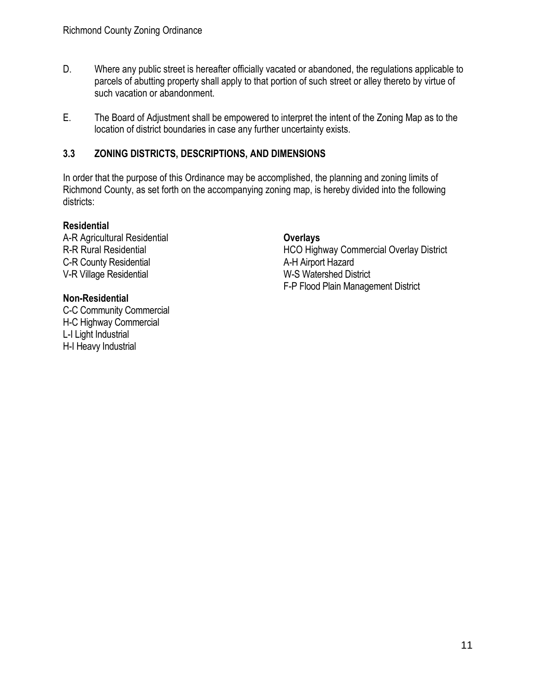- D. Where any public street is hereafter officially vacated or abandoned, the regulations applicable to parcels of abutting property shall apply to that portion of such street or alley thereto by virtue of such vacation or abandonment.
- E. The Board of Adjustment shall be empowered to interpret the intent of the Zoning Map as to the location of district boundaries in case any further uncertainty exists.

## <span id="page-13-0"></span>**3.3 ZONING DISTRICTS, DESCRIPTIONS, AND DIMENSIONS**

In order that the purpose of this Ordinance may be accomplished, the planning and zoning limits of Richmond County, as set forth on the accompanying zoning map, is hereby divided into the following districts:

#### **Residential**

A-R Agricultural Residential R-R Rural Residential C-R County Residential V-R Village Residential

#### **Non-Residential**

<span id="page-13-1"></span>C-C Community Commercial H-C Highway Commercial L-I Light Industrial H-I Heavy Industrial

## **Overlays**

HCO Highway Commercial Overlay District A-H Airport Hazard W-S Watershed District F-P Flood Plain Management District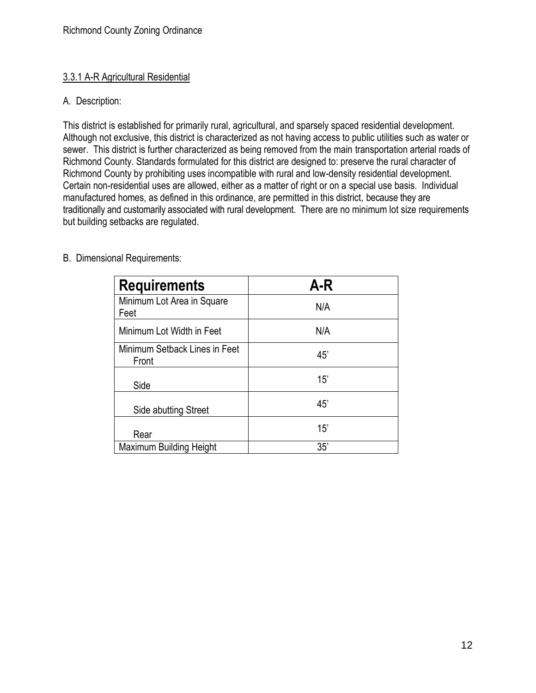#### 3.3.1 A-R Agricultural Residential

## A. Description:

This district is established for primarily rural, agricultural, and sparsely spaced residential development. Although not exclusive, this district is characterized as not having access to public utilities such as water or sewer. This district is further characterized as being removed from the main transportation arterial roads of Richmond County. Standards formulated for this district are designed to: preserve the rural character of Richmond County by prohibiting uses incompatible with rural and low-density residential development. Certain non-residential uses are allowed, either as a matter of right or on a special use basis. Individual manufactured homes, as defined in this ordinance, are permitted in this district, because they are traditionally and customarily associated with rural development. There are no minimum lot size requirements but building setbacks are regulated.

| <b>Requirements</b>                    | A-R |
|----------------------------------------|-----|
| Minimum Lot Area in Square<br>Feet     | N/A |
| Minimum Lot Width in Feet              | N/A |
| Minimum Setback Lines in Feet<br>Front | 45' |
| Side                                   | 15' |
| Side abutting Street                   | 45' |
| Rear                                   | 15' |
| <b>Maximum Building Height</b>         | 35' |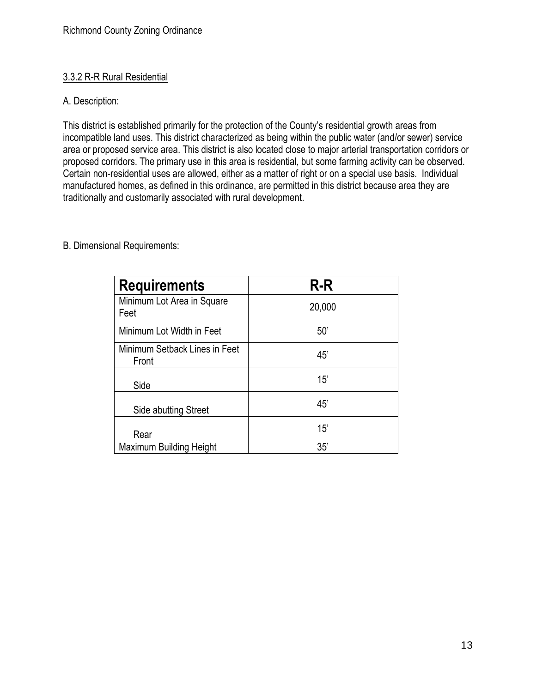## <span id="page-15-0"></span>3.3.2 R-R Rural Residential

# A. Description:

This district is established primarily for the protection of the County's residential growth areas from incompatible land uses. This district characterized as being within the public water (and/or sewer) service area or proposed service area. This district is also located close to major arterial transportation corridors or proposed corridors. The primary use in this area is residential, but some farming activity can be observed. Certain non-residential uses are allowed, either as a matter of right or on a special use basis. Individual manufactured homes, as defined in this ordinance, are permitted in this district because area they are traditionally and customarily associated with rural development.

| <b>Requirements</b>                    | $R-R$  |
|----------------------------------------|--------|
| Minimum Lot Area in Square<br>Feet     | 20,000 |
| Minimum Lot Width in Feet              | 50'    |
| Minimum Setback Lines in Feet<br>Front | 45'    |
| Side                                   | 15'    |
| Side abutting Street                   | 45'    |
| Rear                                   | 15'    |
| <b>Maximum Building Height</b>         | 35'    |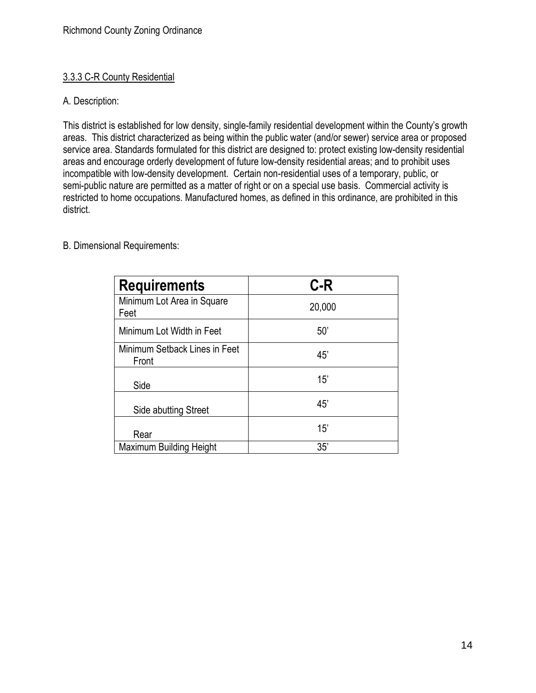#### <span id="page-16-0"></span>3.3.3 C-R County Residential

#### A. Description:

This district is established for low density, single-family residential development within the County's growth areas. This district characterized as being within the public water (and/or sewer) service area or proposed service area. Standards formulated for this district are designed to: protect existing low-density residential areas and encourage orderly development of future low-density residential areas; and to prohibit uses incompatible with low-density development. Certain non-residential uses of a temporary, public, or semi-public nature are permitted as a matter of right or on a special use basis. Commercial activity is restricted to home occupations. Manufactured homes, as defined in this ordinance, are prohibited in this district.

| <b>Requirements</b>                    | $C-R$  |
|----------------------------------------|--------|
| Minimum Lot Area in Square<br>Feet     | 20,000 |
| Minimum Lot Width in Feet              | 50'    |
| Minimum Setback Lines in Feet<br>Front | 45'    |
| Side                                   | 15'    |
| Side abutting Street                   | 45'    |
| Rear                                   | 15'    |
| <b>Maximum Building Height</b>         | 35'    |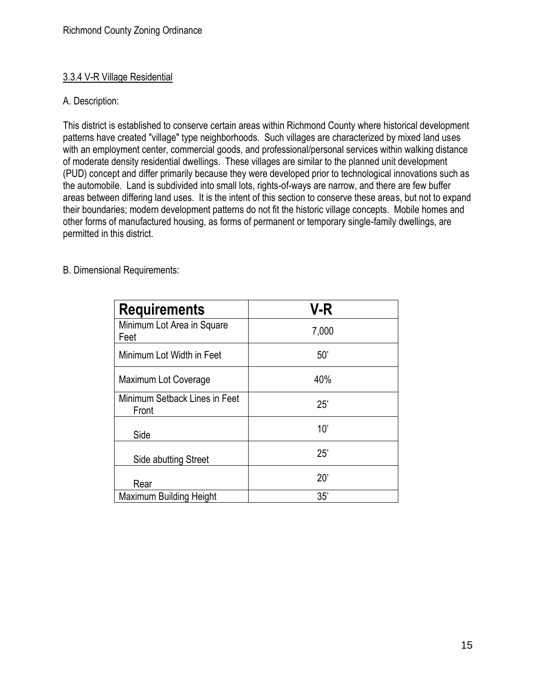#### <span id="page-17-0"></span>3.3.4 V-R Village Residential

#### A. Description:

This district is established to conserve certain areas within Richmond County where historical development patterns have created "village" type neighborhoods. Such villages are characterized by mixed land uses with an employment center, commercial goods, and professional/personal services within walking distance of moderate density residential dwellings. These villages are similar to the planned unit development (PUD) concept and differ primarily because they were developed prior to technological innovations such as the automobile. Land is subdivided into small lots, rights-of-ways are narrow, and there are few buffer areas between differing land uses. It is the intent of this section to conserve these areas, but not to expand their boundaries; modern development patterns do not fit the historic village concepts. Mobile homes and other forms of manufactured housing, as forms of permanent or temporary single-family dwellings, are permitted in this district.

| <b>Requirements</b>                    | V-R   |
|----------------------------------------|-------|
| Minimum Lot Area in Square<br>Feet     | 7,000 |
| Minimum Lot Width in Feet              | 50'   |
| Maximum Lot Coverage                   | 40%   |
| Minimum Setback Lines in Feet<br>Front | 25'   |
| Side                                   | 10'   |
| Side abutting Street                   | 25'   |
| Rear                                   | 20'   |
| <b>Maximum Building Height</b>         | 35'   |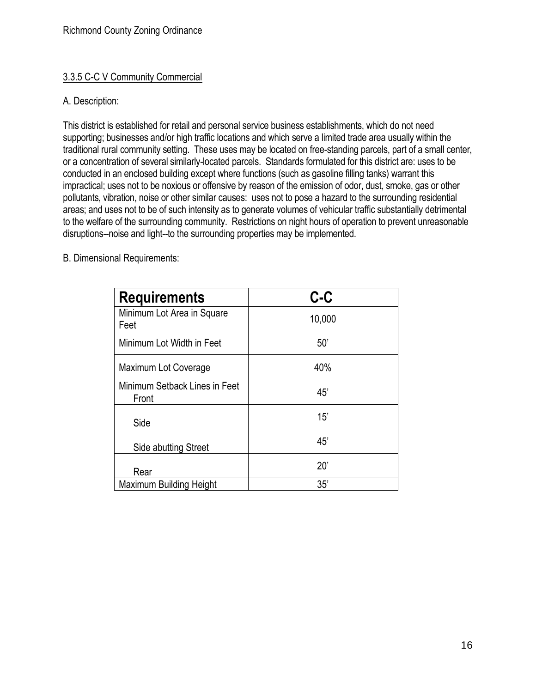#### <span id="page-18-0"></span>3.3.5 C-C V Community Commercial

#### A. Description:

This district is established for retail and personal service business establishments, which do not need supporting; businesses and/or high traffic locations and which serve a limited trade area usually within the traditional rural community setting. These uses may be located on free-standing parcels, part of a small center, or a concentration of several similarly-located parcels. Standards formulated for this district are: uses to be conducted in an enclosed building except where functions (such as gasoline filling tanks) warrant this impractical; uses not to be noxious or offensive by reason of the emission of odor, dust, smoke, gas or other pollutants, vibration, noise or other similar causes: uses not to pose a hazard to the surrounding residential areas; and uses not to be of such intensity as to generate volumes of vehicular traffic substantially detrimental to the welfare of the surrounding community. Restrictions on night hours of operation to prevent unreasonable disruptions--noise and light--to the surrounding properties may be implemented.

| <b>Requirements</b>                    | $c-c$  |
|----------------------------------------|--------|
| Minimum Lot Area in Square<br>Feet     | 10,000 |
| Minimum Lot Width in Feet              | 50'    |
| Maximum Lot Coverage                   | 40%    |
| Minimum Setback Lines in Feet<br>Front | 45'    |
| Side                                   | 15'    |
| Side abutting Street                   | 45'    |
| Rear                                   | 20'    |
| <b>Maximum Building Height</b>         | 35'    |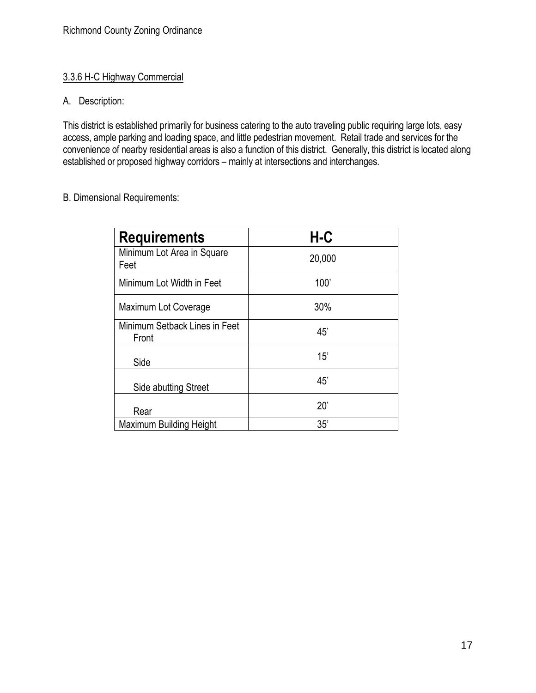## <span id="page-19-0"></span>3.3.6 H-C Highway Commercial

## A. Description:

This district is established primarily for business catering to the auto traveling public requiring large lots, easy access, ample parking and loading space, and little pedestrian movement. Retail trade and services for the convenience of nearby residential areas is also a function of this district. Generally, this district is located along established or proposed highway corridors – mainly at intersections and interchanges.

| <b>Requirements</b>                    | H-C    |
|----------------------------------------|--------|
| Minimum Lot Area in Square<br>Feet     | 20,000 |
| Minimum Lot Width in Feet              | 100'   |
| Maximum Lot Coverage                   | 30%    |
| Minimum Setback Lines in Feet<br>Front | 45'    |
| Side                                   | 15'    |
| Side abutting Street                   | 45'    |
| Rear                                   | 20'    |
| <b>Maximum Building Height</b>         | 35'    |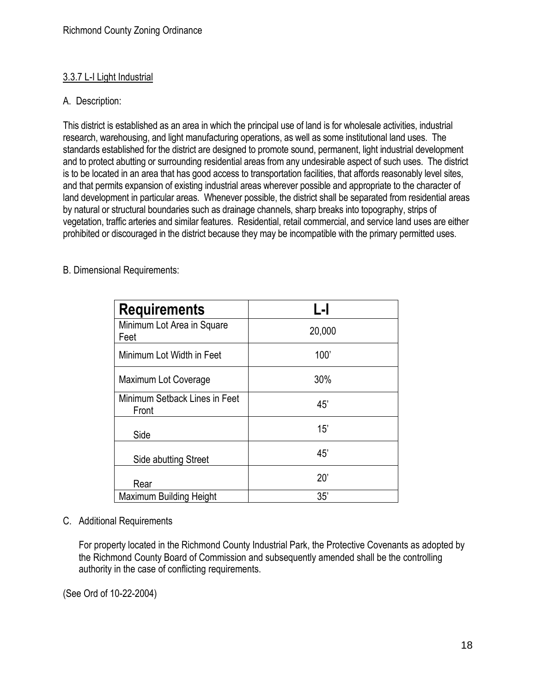# <span id="page-20-0"></span>3.3.7 L-I Light Industrial

# A. Description:

This district is established as an area in which the principal use of land is for wholesale activities, industrial research, warehousing, and light manufacturing operations, as well as some institutional land uses. The standards established for the district are designed to promote sound, permanent, light industrial development and to protect abutting or surrounding residential areas from any undesirable aspect of such uses. The district is to be located in an area that has good access to transportation facilities, that affords reasonably level sites, and that permits expansion of existing industrial areas wherever possible and appropriate to the character of land development in particular areas. Whenever possible, the district shall be separated from residential areas by natural or structural boundaries such as drainage channels, sharp breaks into topography, strips of vegetation, traffic arteries and similar features. Residential, retail commercial, and service land uses are either prohibited or discouraged in the district because they may be incompatible with the primary permitted uses.

| <b>Requirements</b>                    | L-I    |
|----------------------------------------|--------|
| Minimum Lot Area in Square<br>Feet     | 20,000 |
| Minimum Lot Width in Feet              | 100'   |
| Maximum Lot Coverage                   | 30%    |
| Minimum Setback Lines in Feet<br>Front | 45'    |
| Side                                   | 15'    |
| Side abutting Street                   | 45'    |
| Rear                                   | 20'    |
| Maximum Building Height                | 35'    |

B. Dimensional Requirements:

# C. Additional Requirements

For property located in the Richmond County Industrial Park, the Protective Covenants as adopted by the Richmond County Board of Commission and subsequently amended shall be the controlling authority in the case of conflicting requirements.

(See Ord of 10-22-2004)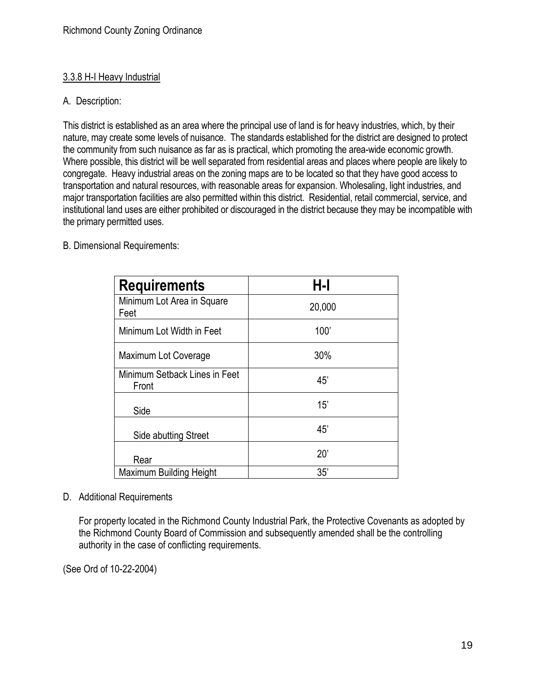## <span id="page-21-0"></span>3.3.8 H-I Heavy Industrial

## A. Description:

This district is established as an area where the principal use of land is for heavy industries, which, by their nature, may create some levels of nuisance. The standards established for the district are designed to protect the community from such nuisance as far as is practical, which promoting the area-wide economic growth. Where possible, this district will be well separated from residential areas and places where people are likely to congregate. Heavy industrial areas on the zoning maps are to be located so that they have good access to transportation and natural resources, with reasonable areas for expansion. Wholesaling, light industries, and major transportation facilities are also permitted within this district. Residential, retail commercial, service, and institutional land uses are either prohibited or discouraged in the district because they may be incompatible with the primary permitted uses.

#### B. Dimensional Requirements:

| <b>Requirements</b>                    | H-I    |
|----------------------------------------|--------|
| Minimum Lot Area in Square<br>Feet     | 20,000 |
| Minimum Lot Width in Feet              | 100'   |
| Maximum Lot Coverage                   | 30%    |
| Minimum Setback Lines in Feet<br>Front | 45'    |
| Side                                   | 15'    |
| Side abutting Street                   | 45'    |
| Rear                                   | 20'    |
| <b>Maximum Building Height</b>         | 35'    |

# D. Additional Requirements

For property located in the Richmond County Industrial Park, the Protective Covenants as adopted by the Richmond County Board of Commission and subsequently amended shall be the controlling authority in the case of conflicting requirements.

(See Ord of 10-22-2004)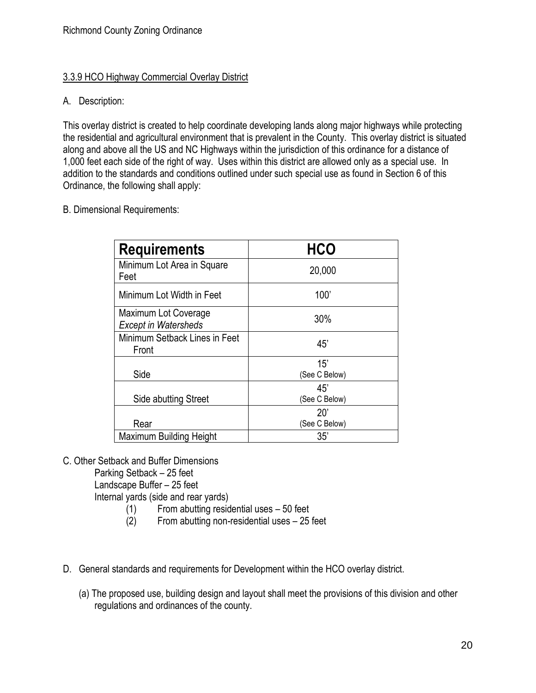#### <span id="page-22-0"></span>3.3.9 HCO Highway Commercial Overlay District

## A. Description:

This overlay district is created to help coordinate developing lands along major highways while protecting the residential and agricultural environment that is prevalent in the County. This overlay district is situated along and above all the US and NC Highways within the jurisdiction of this ordinance for a distance of 1,000 feet each side of the right of way. Uses within this district are allowed only as a special use. In addition to the standards and conditions outlined under such special use as found in Section 6 of this Ordinance, the following shall apply:

B. Dimensional Requirements:

| <b>Requirements</b>                                 | <b>HCO</b>           |
|-----------------------------------------------------|----------------------|
| Minimum Lot Area in Square<br>Feet                  | 20,000               |
| Minimum Lot Width in Feet                           | 100'                 |
| Maximum Lot Coverage<br><b>Except in Watersheds</b> | 30%                  |
| Minimum Setback Lines in Feet<br>Front              | 45'                  |
| Side                                                | 15'<br>(See C Below) |
| Side abutting Street                                | 45'<br>(See C Below) |
| Rear                                                | 20'<br>(See C Below) |
| Maximum Building Height                             | 35'                  |

C. Other Setback and Buffer Dimensions

Parking Setback – 25 feet

Landscape Buffer – 25 feet

Internal yards (side and rear yards)

- (1) From abutting residential uses 50 feet
- (2) From abutting non-residential uses 25 feet
- D. General standards and requirements for Development within the HCO overlay district.
	- (a) The proposed use, building design and layout shall meet the provisions of this division and other regulations and ordinances of the county.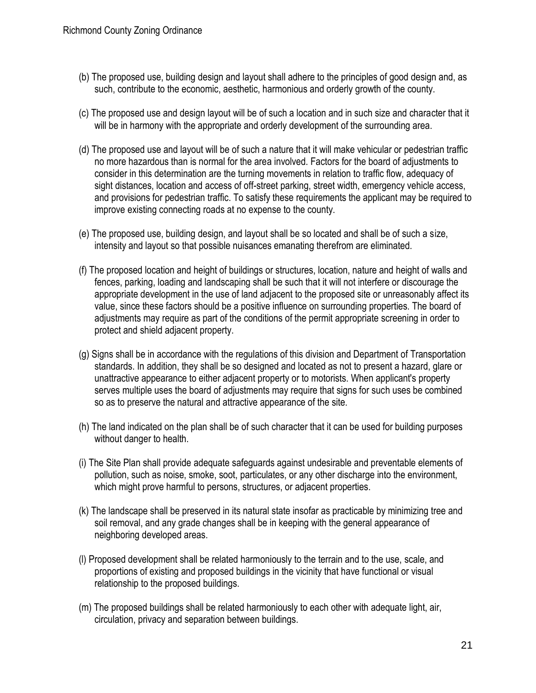- (b) The proposed use, building design and layout shall adhere to the principles of good design and, as such, contribute to the economic, aesthetic, harmonious and orderly growth of the county.
- (c) The proposed use and design layout will be of such a location and in such size and character that it will be in harmony with the appropriate and orderly development of the surrounding area.
- (d) The proposed use and layout will be of such a nature that it will make vehicular or pedestrian traffic no more hazardous than is normal for the area involved. Factors for the board of adjustments to consider in this determination are the turning movements in relation to traffic flow, adequacy of sight distances, location and access of off-street parking, street width, emergency vehicle access, and provisions for pedestrian traffic. To satisfy these requirements the applicant may be required to improve existing connecting roads at no expense to the county.
- (e) The proposed use, building design, and layout shall be so located and shall be of such a size, intensity and layout so that possible nuisances emanating therefrom are eliminated.
- (f) The proposed location and height of buildings or structures, location, nature and height of walls and fences, parking, loading and landscaping shall be such that it will not interfere or discourage the appropriate development in the use of land adjacent to the proposed site or unreasonably affect its value, since these factors should be a positive influence on surrounding properties. The board of adjustments may require as part of the conditions of the permit appropriate screening in order to protect and shield adjacent property.
- (g) Signs shall be in accordance with the regulations of this division and Department of Transportation standards. In addition, they shall be so designed and located as not to present a hazard, glare or unattractive appearance to either adjacent property or to motorists. When applicant's property serves multiple uses the board of adjustments may require that signs for such uses be combined so as to preserve the natural and attractive appearance of the site.
- (h) The land indicated on the plan shall be of such character that it can be used for building purposes without danger to health.
- (i) The Site Plan shall provide adequate safeguards against undesirable and preventable elements of pollution, such as noise, smoke, soot, particulates, or any other discharge into the environment, which might prove harmful to persons, structures, or adjacent properties.
- (k) The landscape shall be preserved in its natural state insofar as practicable by minimizing tree and soil removal, and any grade changes shall be in keeping with the general appearance of neighboring developed areas.
- (l) Proposed development shall be related harmoniously to the terrain and to the use, scale, and proportions of existing and proposed buildings in the vicinity that have functional or visual relationship to the proposed buildings.
- (m) The proposed buildings shall be related harmoniously to each other with adequate light, air, circulation, privacy and separation between buildings.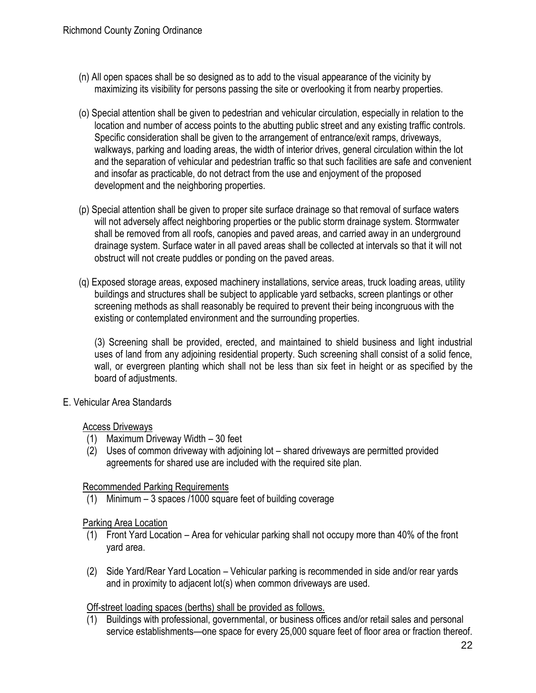- (n) All open spaces shall be so designed as to add to the visual appearance of the vicinity by maximizing its visibility for persons passing the site or overlooking it from nearby properties.
- (o) Special attention shall be given to pedestrian and vehicular circulation, especially in relation to the location and number of access points to the abutting public street and any existing traffic controls. Specific consideration shall be given to the arrangement of entrance/exit ramps, driveways, walkways, parking and loading areas, the width of interior drives, general circulation within the lot and the separation of vehicular and pedestrian traffic so that such facilities are safe and convenient and insofar as practicable, do not detract from the use and enjoyment of the proposed development and the neighboring properties.
- (p) Special attention shall be given to proper site surface drainage so that removal of surface waters will not adversely affect neighboring properties or the public storm drainage system. Stormwater shall be removed from all roofs, canopies and paved areas, and carried away in an underground drainage system. Surface water in all paved areas shall be collected at intervals so that it will not obstruct will not create puddles or ponding on the paved areas.
- (q) Exposed storage areas, exposed machinery installations, service areas, truck loading areas, utility buildings and structures shall be subject to applicable yard setbacks, screen plantings or other screening methods as shall reasonably be required to prevent their being incongruous with the existing or contemplated environment and the surrounding properties.

(3) Screening shall be provided, erected, and maintained to shield business and light industrial uses of land from any adjoining residential property. Such screening shall consist of a solid fence, wall, or evergreen planting which shall not be less than six feet in height or as specified by the board of adjustments.

#### E. Vehicular Area Standards

#### Access Driveways

- (1) Maximum Driveway Width 30 feet
- (2) Uses of common driveway with adjoining lot shared driveways are permitted provided agreements for shared use are included with the required site plan.

#### Recommended Parking Requirements

(1) Minimum – 3 spaces /1000 square feet of building coverage

#### Parking Area Location

- (1) Front Yard Location Area for vehicular parking shall not occupy more than 40% of the front yard area.
- (2) Side Yard/Rear Yard Location Vehicular parking is recommended in side and/or rear yards and in proximity to adjacent lot(s) when common driveways are used.

#### Off-street loading spaces (berths) shall be provided as follows.

(1) Buildings with professional, governmental, or business offices and/or retail sales and personal service establishments—one space for every 25,000 square feet of floor area or fraction thereof.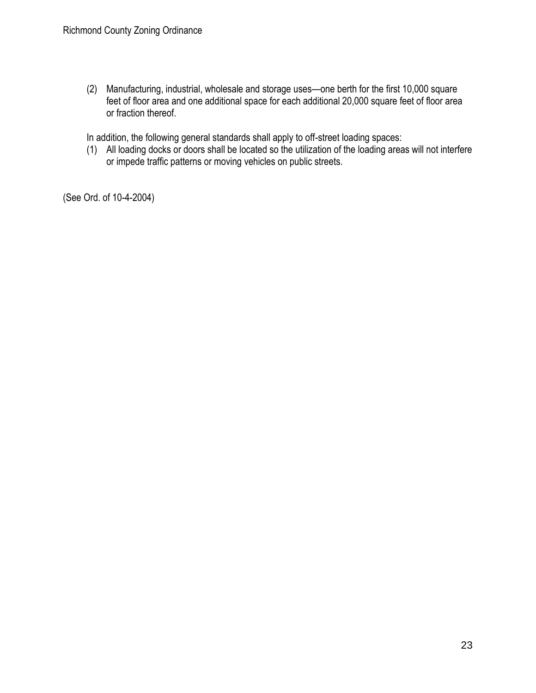(2) Manufacturing, industrial, wholesale and storage uses—one berth for the first 10,000 square feet of floor area and one additional space for each additional 20,000 square feet of floor area or fraction thereof.

In addition, the following general standards shall apply to off-street loading spaces:

(1) All loading docks or doors shall be located so the utilization of the loading areas will not interfere or impede traffic patterns or moving vehicles on public streets.

(See Ord. of 10-4-2004)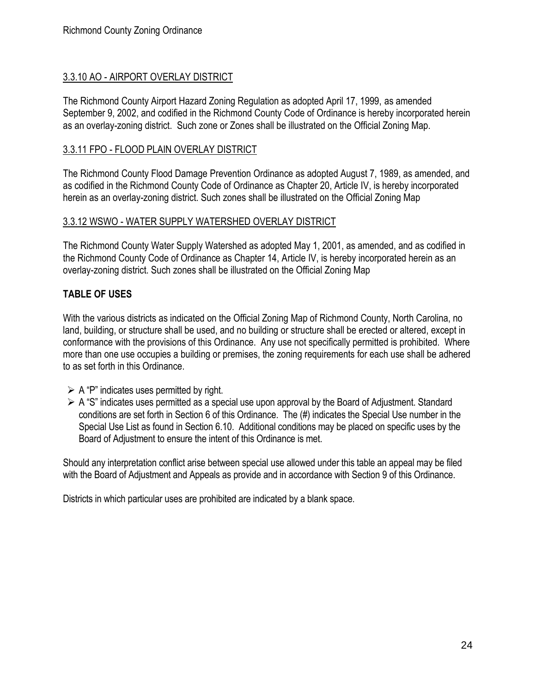#### <span id="page-26-0"></span>3.3.10 AO - AIRPORT OVERLAY DISTRICT

The Richmond County Airport Hazard Zoning Regulation as adopted April 17, 1999, as amended September 9, 2002, and codified in the Richmond County Code of Ordinance is hereby incorporated herein as an overlay-zoning district. Such zone or Zones shall be illustrated on the Official Zoning Map.

#### <span id="page-26-1"></span>3.3.11 FPO - FLOOD PLAIN OVERLAY DISTRICT

The Richmond County Flood Damage Prevention Ordinance as adopted August 7, 1989, as amended, and as codified in the Richmond County Code of Ordinance as Chapter 20, Article IV, is hereby incorporated herein as an overlay-zoning district. Such zones shall be illustrated on the Official Zoning Map

#### <span id="page-26-2"></span>3.3.12 WSWO - WATER SUPPLY WATERSHED OVERLAY DISTRICT

The Richmond County Water Supply Watershed as adopted May 1, 2001, as amended, and as codified in the Richmond County Code of Ordinance as Chapter 14, Article IV, is hereby incorporated herein as an overlay-zoning district. Such zones shall be illustrated on the Official Zoning Map

## <span id="page-26-3"></span>**TABLE OF USES**

With the various districts as indicated on the Official Zoning Map of Richmond County, North Carolina, no land, building, or structure shall be used, and no building or structure shall be erected or altered, except in conformance with the provisions of this Ordinance. Any use not specifically permitted is prohibited. Where more than one use occupies a building or premises, the zoning requirements for each use shall be adhered to as set forth in this Ordinance.

- $\triangleright$  A "P" indicates uses permitted by right.
- ➢ A "S" indicates uses permitted as a special use upon approval by the Board of Adjustment. Standard conditions are set forth in Section 6 of this Ordinance. The (#) indicates the Special Use number in the Special Use List as found in Section 6.10. Additional conditions may be placed on specific uses by the Board of Adjustment to ensure the intent of this Ordinance is met.

Should any interpretation conflict arise between special use allowed under this table an appeal may be filed with the Board of Adjustment and Appeals as provide and in accordance with Section 9 of this Ordinance.

Districts in which particular uses are prohibited are indicated by a blank space.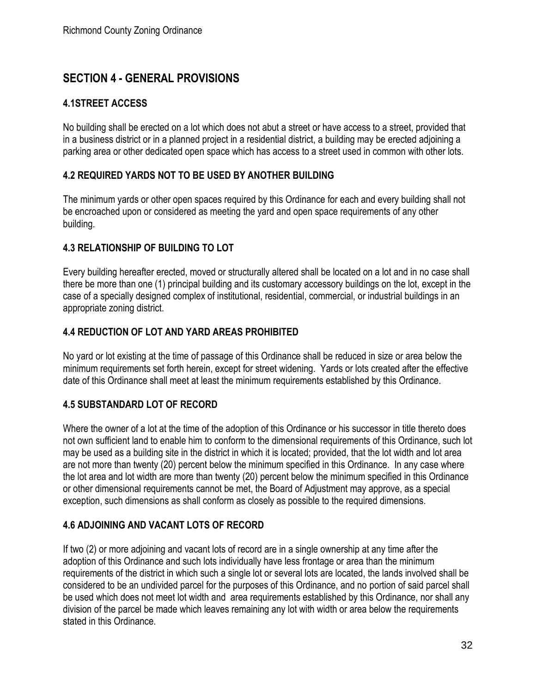# <span id="page-34-0"></span>**SECTION 4 - GENERAL PROVISIONS**

## <span id="page-34-1"></span>**4.1STREET ACCESS**

No building shall be erected on a lot which does not abut a street or have access to a street, provided that in a business district or in a planned project in a residential district, a building may be erected adjoining a parking area or other dedicated open space which has access to a street used in common with other lots.

#### <span id="page-34-2"></span>**4.2 REQUIRED YARDS NOT TO BE USED BY ANOTHER BUILDING**

The minimum yards or other open spaces required by this Ordinance for each and every building shall not be encroached upon or considered as meeting the yard and open space requirements of any other building.

#### <span id="page-34-3"></span>**4.3 RELATIONSHIP OF BUILDING TO LOT**

Every building hereafter erected, moved or structurally altered shall be located on a lot and in no case shall there be more than one (1) principal building and its customary accessory buildings on the lot, except in the case of a specially designed complex of institutional, residential, commercial, or industrial buildings in an appropriate zoning district.

## <span id="page-34-4"></span>**4.4 REDUCTION OF LOT AND YARD AREAS PROHIBITED**

No yard or lot existing at the time of passage of this Ordinance shall be reduced in size or area below the minimum requirements set forth herein, except for street widening. Yards or lots created after the effective date of this Ordinance shall meet at least the minimum requirements established by this Ordinance.

#### <span id="page-34-5"></span>**4.5 SUBSTANDARD LOT OF RECORD**

Where the owner of a lot at the time of the adoption of this Ordinance or his successor in title thereto does not own sufficient land to enable him to conform to the dimensional requirements of this Ordinance, such lot may be used as a building site in the district in which it is located; provided, that the lot width and lot area are not more than twenty (20) percent below the minimum specified in this Ordinance. In any case where the lot area and lot width are more than twenty (20) percent below the minimum specified in this Ordinance or other dimensional requirements cannot be met, the Board of Adjustment may approve, as a special exception, such dimensions as shall conform as closely as possible to the required dimensions.

#### <span id="page-34-6"></span>**4.6 ADJOINING AND VACANT LOTS OF RECORD**

If two (2) or more adjoining and vacant lots of record are in a single ownership at any time after the adoption of this Ordinance and such lots individually have less frontage or area than the minimum requirements of the district in which such a single lot or several lots are located, the lands involved shall be considered to be an undivided parcel for the purposes of this Ordinance, and no portion of said parcel shall be used which does not meet lot width and area requirements established by this Ordinance, nor shall any division of the parcel be made which leaves remaining any lot with width or area below the requirements stated in this Ordinance.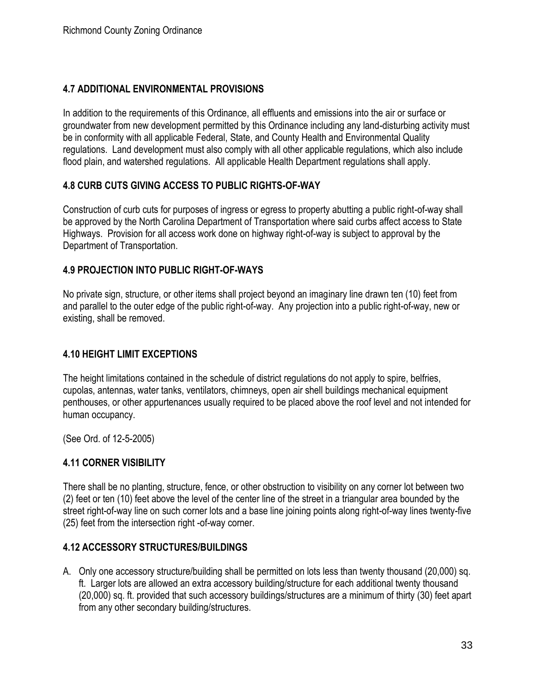## <span id="page-35-0"></span>**4.7 ADDITIONAL ENVIRONMENTAL PROVISIONS**

In addition to the requirements of this Ordinance, all effluents and emissions into the air or surface or groundwater from new development permitted by this Ordinance including any land-disturbing activity must be in conformity with all applicable Federal, State, and County Health and Environmental Quality regulations. Land development must also comply with all other applicable regulations, which also include flood plain, and watershed regulations. All applicable Health Department regulations shall apply.

#### <span id="page-35-1"></span>**4.8 CURB CUTS GIVING ACCESS TO PUBLIC RIGHTS-OF-WAY**

Construction of curb cuts for purposes of ingress or egress to property abutting a public right-of-way shall be approved by the North Carolina Department of Transportation where said curbs affect access to State Highways. Provision for all access work done on highway right-of-way is subject to approval by the Department of Transportation.

#### <span id="page-35-2"></span>**4.9 PROJECTION INTO PUBLIC RIGHT-OF-WAYS**

No private sign, structure, or other items shall project beyond an imaginary line drawn ten (10) feet from and parallel to the outer edge of the public right-of-way. Any projection into a public right-of-way, new or existing, shall be removed.

#### <span id="page-35-3"></span>**4.10 HEIGHT LIMIT EXCEPTIONS**

The height limitations contained in the schedule of district regulations do not apply to spire, belfries, cupolas, antennas, water tanks, ventilators, chimneys, open air shell buildings mechanical equipment penthouses, or other appurtenances usually required to be placed above the roof level and not intended for human occupancy.

(See Ord. of 12-5-2005)

#### <span id="page-35-4"></span>**4.11 CORNER VISIBILITY**

There shall be no planting, structure, fence, or other obstruction to visibility on any corner lot between two (2) feet or ten (10) feet above the level of the center line of the street in a triangular area bounded by the street right-of-way line on such corner lots and a base line joining points along right-of-way lines twenty-five (25) feet from the intersection right -of-way corner.

#### <span id="page-35-5"></span>**4.12 ACCESSORY STRUCTURES/BUILDINGS**

A. Only one accessory structure/building shall be permitted on lots less than twenty thousand (20,000) sq. ft. Larger lots are allowed an extra accessory building/structure for each additional twenty thousand (20,000) sq. ft. provided that such accessory buildings/structures are a minimum of thirty (30) feet apart from any other secondary building/structures.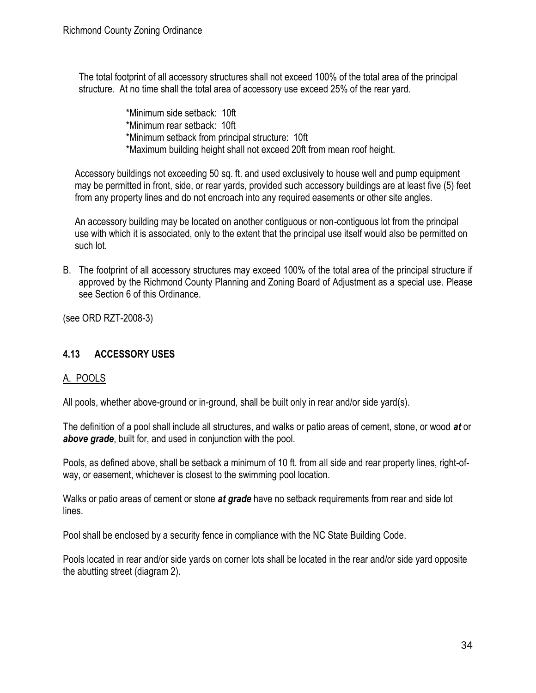The total footprint of all accessory structures shall not exceed 100% of the total area of the principal structure. At no time shall the total area of accessory use exceed 25% of the rear yard.

> \*Minimum side setback: 10ft \*Minimum rear setback: 10ft \*Minimum setback from principal structure: 10ft \*Maximum building height shall not exceed 20ft from mean roof height.

Accessory buildings not exceeding 50 sq. ft. and used exclusively to house well and pump equipment may be permitted in front, side, or rear yards, provided such accessory buildings are at least five (5) feet from any property lines and do not encroach into any required easements or other site angles.

An accessory building may be located on another contiguous or non-contiguous lot from the principal use with which it is associated, only to the extent that the principal use itself would also be permitted on such lot.

B. The footprint of all accessory structures may exceed 100% of the total area of the principal structure if approved by the Richmond County Planning and Zoning Board of Adjustment as a special use. Please see Section 6 of this Ordinance.

(see ORD RZT-2008-3)

## **4.13 ACCESSORY USES**

## A. POOLS

All pools, whether above-ground or in-ground, shall be built only in rear and/or side yard(s).

The definition of a pool shall include all structures, and walks or patio areas of cement, stone, or wood *at* or *above grade*, built for, and used in conjunction with the pool.

Pools, as defined above, shall be setback a minimum of 10 ft. from all side and rear property lines, right-ofway, or easement, whichever is closest to the swimming pool location.

Walks or patio areas of cement or stone *at grade* have no setback requirements from rear and side lot lines.

Pool shall be enclosed by a security fence in compliance with the NC State Building Code.

Pools located in rear and/or side yards on corner lots shall be located in the rear and/or side yard opposite the abutting street (diagram 2).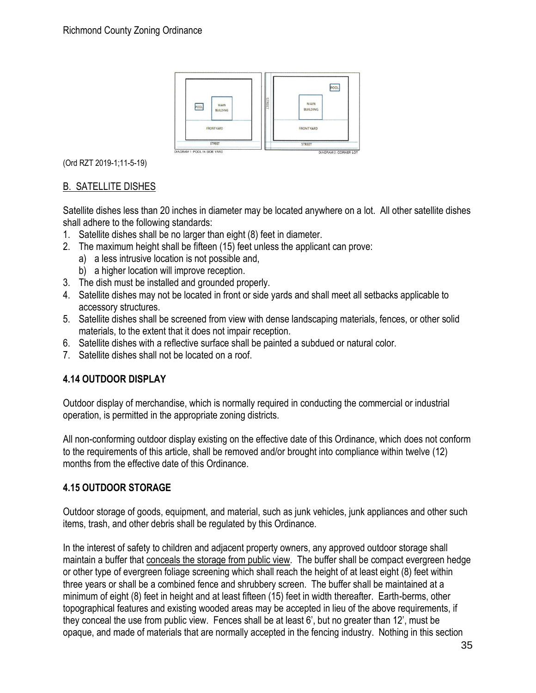

(Ord RZT 2019-1;11-5-19)

## B. SATELLITE DISHES

Satellite dishes less than 20 inches in diameter may be located anywhere on a lot. All other satellite dishes shall adhere to the following standards:

- 1. Satellite dishes shall be no larger than eight (8) feet in diameter.
- 2. The maximum height shall be fifteen (15) feet unless the applicant can prove:
	- a) a less intrusive location is not possible and,
	- b) a higher location will improve reception.
- 3. The dish must be installed and grounded properly.
- 4. Satellite dishes may not be located in front or side yards and shall meet all setbacks applicable to accessory structures.
- 5. Satellite dishes shall be screened from view with dense landscaping materials, fences, or other solid materials, to the extent that it does not impair reception.
- 6. Satellite dishes with a reflective surface shall be painted a subdued or natural color.
- 7. Satellite dishes shall not be located on a roof.

## **4.14 OUTDOOR DISPLAY**

Outdoor display of merchandise, which is normally required in conducting the commercial or industrial operation, is permitted in the appropriate zoning districts.

All non-conforming outdoor display existing on the effective date of this Ordinance, which does not conform to the requirements of this article, shall be removed and/or brought into compliance within twelve (12) months from the effective date of this Ordinance.

## **4.15 OUTDOOR STORAGE**

Outdoor storage of goods, equipment, and material, such as junk vehicles, junk appliances and other such items, trash, and other debris shall be regulated by this Ordinance.

In the interest of safety to children and adjacent property owners, any approved outdoor storage shall maintain a buffer that conceals the storage from public view. The buffer shall be compact evergreen hedge or other type of evergreen foliage screening which shall reach the height of at least eight (8) feet within three years or shall be a combined fence and shrubbery screen. The buffer shall be maintained at a minimum of eight (8) feet in height and at least fifteen (15) feet in width thereafter. Earth-berms, other topographical features and existing wooded areas may be accepted in lieu of the above requirements, if they conceal the use from public view. Fences shall be at least 6', but no greater than 12', must be opaque, and made of materials that are normally accepted in the fencing industry. Nothing in this section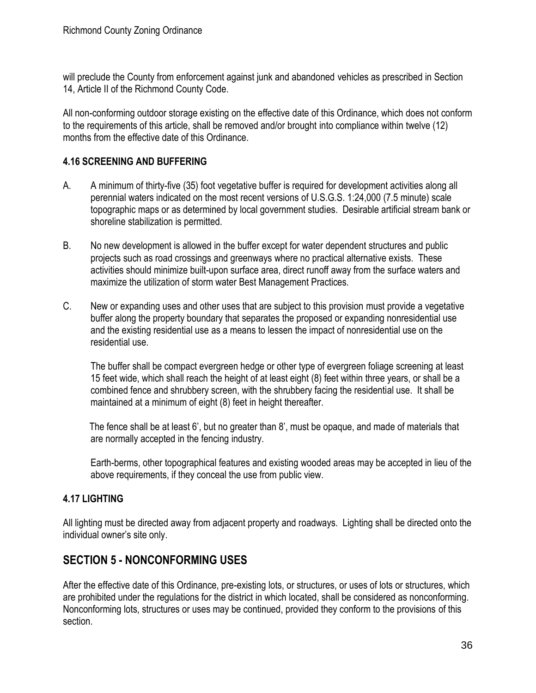will preclude the County from enforcement against junk and abandoned vehicles as prescribed in Section 14, Article II of the Richmond County Code.

All non-conforming outdoor storage existing on the effective date of this Ordinance, which does not conform to the requirements of this article, shall be removed and/or brought into compliance within twelve (12) months from the effective date of this Ordinance.

## **4.16 SCREENING AND BUFFERING**

- A. A minimum of thirty-five (35) foot vegetative buffer is required for development activities along all perennial waters indicated on the most recent versions of U.S.G.S. 1:24,000 (7.5 minute) scale topographic maps or as determined by local government studies. Desirable artificial stream bank or shoreline stabilization is permitted.
- B. No new development is allowed in the buffer except for water dependent structures and public projects such as road crossings and greenways where no practical alternative exists. These activities should minimize built-upon surface area, direct runoff away from the surface waters and maximize the utilization of storm water Best Management Practices.
- C. New or expanding uses and other uses that are subject to this provision must provide a vegetative buffer along the property boundary that separates the proposed or expanding nonresidential use and the existing residential use as a means to lessen the impact of nonresidential use on the residential use.

The buffer shall be compact evergreen hedge or other type of evergreen foliage screening at least 15 feet wide, which shall reach the height of at least eight (8) feet within three years, or shall be a combined fence and shrubbery screen, with the shrubbery facing the residential use. It shall be maintained at a minimum of eight (8) feet in height thereafter.

 The fence shall be at least 6', but no greater than 8', must be opaque, and made of materials that are normally accepted in the fencing industry.

 Earth-berms, other topographical features and existing wooded areas may be accepted in lieu of the above requirements, if they conceal the use from public view.

## **4.17 LIGHTING**

All lighting must be directed away from adjacent property and roadways. Lighting shall be directed onto the individual owner's site only.

# **SECTION 5 - NONCONFORMING USES**

After the effective date of this Ordinance, pre-existing lots, or structures, or uses of lots or structures, which are prohibited under the regulations for the district in which located, shall be considered as nonconforming. Nonconforming lots, structures or uses may be continued, provided they conform to the provisions of this section.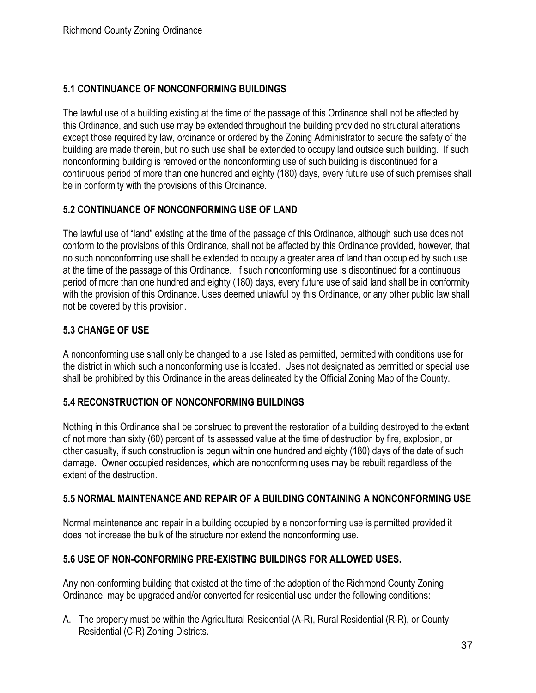## **5.1 CONTINUANCE OF NONCONFORMING BUILDINGS**

The lawful use of a building existing at the time of the passage of this Ordinance shall not be affected by this Ordinance, and such use may be extended throughout the building provided no structural alterations except those required by law, ordinance or ordered by the Zoning Administrator to secure the safety of the building are made therein, but no such use shall be extended to occupy land outside such building. If such nonconforming building is removed or the nonconforming use of such building is discontinued for a continuous period of more than one hundred and eighty (180) days, every future use of such premises shall be in conformity with the provisions of this Ordinance.

## **5.2 CONTINUANCE OF NONCONFORMING USE OF LAND**

The lawful use of "land" existing at the time of the passage of this Ordinance, although such use does not conform to the provisions of this Ordinance, shall not be affected by this Ordinance provided, however, that no such nonconforming use shall be extended to occupy a greater area of land than occupied by such use at the time of the passage of this Ordinance. If such nonconforming use is discontinued for a continuous period of more than one hundred and eighty (180) days, every future use of said land shall be in conformity with the provision of this Ordinance. Uses deemed unlawful by this Ordinance, or any other public law shall not be covered by this provision.

## **5.3 CHANGE OF USE**

A nonconforming use shall only be changed to a use listed as permitted, permitted with conditions use for the district in which such a nonconforming use is located. Uses not designated as permitted or special use shall be prohibited by this Ordinance in the areas delineated by the Official Zoning Map of the County.

## **5.4 RECONSTRUCTION OF NONCONFORMING BUILDINGS**

Nothing in this Ordinance shall be construed to prevent the restoration of a building destroyed to the extent of not more than sixty (60) percent of its assessed value at the time of destruction by fire, explosion, or other casualty, if such construction is begun within one hundred and eighty (180) days of the date of such damage. Owner occupied residences, which are nonconforming uses may be rebuilt regardless of the extent of the destruction.

## **5.5 NORMAL MAINTENANCE AND REPAIR OF A BUILDING CONTAINING A NONCONFORMING USE**

Normal maintenance and repair in a building occupied by a nonconforming use is permitted provided it does not increase the bulk of the structure nor extend the nonconforming use.

## **5.6 USE OF NON-CONFORMING PRE-EXISTING BUILDINGS FOR ALLOWED USES.**

Any non-conforming building that existed at the time of the adoption of the Richmond County Zoning Ordinance, may be upgraded and/or converted for residential use under the following conditions:

A. The property must be within the Agricultural Residential (A-R), Rural Residential (R-R), or County Residential (C-R) Zoning Districts.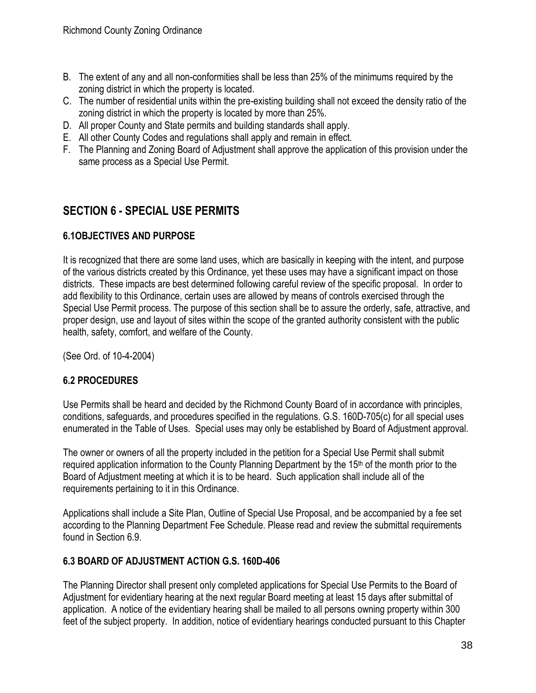- B. The extent of any and all non-conformities shall be less than 25% of the minimums required by the zoning district in which the property is located.
- C. The number of residential units within the pre-existing building shall not exceed the density ratio of the zoning district in which the property is located by more than 25%.
- D. All proper County and State permits and building standards shall apply.
- E. All other County Codes and regulations shall apply and remain in effect.
- F. The Planning and Zoning Board of Adjustment shall approve the application of this provision under the same process as a Special Use Permit.

# **SECTION 6 - SPECIAL USE PERMITS**

## **6.1OBJECTIVES AND PURPOSE**

It is recognized that there are some land uses, which are basically in keeping with the intent, and purpose of the various districts created by this Ordinance, yet these uses may have a significant impact on those districts. These impacts are best determined following careful review of the specific proposal. In order to add flexibility to this Ordinance, certain uses are allowed by means of controls exercised through the Special Use Permit process. The purpose of this section shall be to assure the orderly, safe, attractive, and proper design, use and layout of sites within the scope of the granted authority consistent with the public health, safety, comfort, and welfare of the County.

(See Ord. of 10-4-2004)

## **6.2 PROCEDURES**

Use Permits shall be heard and decided by the Richmond County Board of in accordance with principles, conditions, safeguards, and procedures specified in the regulations. G.S. 160D-705(c) for all special uses enumerated in the Table of Uses. Special uses may only be established by Board of Adjustment approval.

The owner or owners of all the property included in the petition for a Special Use Permit shall submit required application information to the County Planning Department by the 15<sup>th</sup> of the month prior to the Board of Adjustment meeting at which it is to be heard. Such application shall include all of the requirements pertaining to it in this Ordinance.

Applications shall include a Site Plan, Outline of Special Use Proposal, and be accompanied by a fee set according to the Planning Department Fee Schedule. Please read and review the submittal requirements found in Section 6.9.

## **6.3 BOARD OF ADJUSTMENT ACTION G.S. 160D-406**

The Planning Director shall present only completed applications for Special Use Permits to the Board of Adjustment for evidentiary hearing at the next regular Board meeting at least 15 days after submittal of application. A notice of the evidentiary hearing shall be mailed to all persons owning property within 300 feet of the subject property. In addition, notice of evidentiary hearings conducted pursuant to this Chapter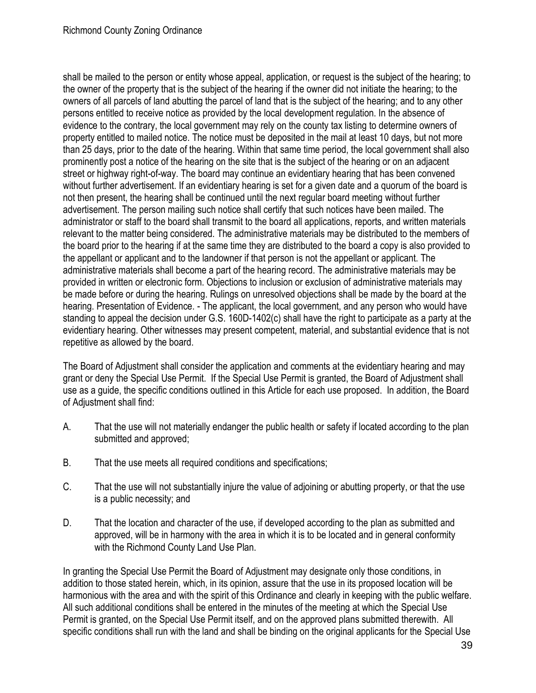shall be mailed to the person or entity whose appeal, application, or request is the subject of the hearing; to the owner of the property that is the subject of the hearing if the owner did not initiate the hearing; to the owners of all parcels of land abutting the parcel of land that is the subject of the hearing; and to any other persons entitled to receive notice as provided by the local development regulation. In the absence of evidence to the contrary, the local government may rely on the county tax listing to determine owners of property entitled to mailed notice. The notice must be deposited in the mail at least 10 days, but not more than 25 days, prior to the date of the hearing. Within that same time period, the local government shall also prominently post a notice of the hearing on the site that is the subject of the hearing or on an adjacent street or highway right-of-way. The board may continue an evidentiary hearing that has been convened without further advertisement. If an evidentiary hearing is set for a given date and a quorum of the board is not then present, the hearing shall be continued until the next regular board meeting without further advertisement. The person mailing such notice shall certify that such notices have been mailed. The administrator or staff to the board shall transmit to the board all applications, reports, and written materials relevant to the matter being considered. The administrative materials may be distributed to the members of the board prior to the hearing if at the same time they are distributed to the board a copy is also provided to the appellant or applicant and to the landowner if that person is not the appellant or applicant. The administrative materials shall become a part of the hearing record. The administrative materials may be provided in written or electronic form. Objections to inclusion or exclusion of administrative materials may be made before or during the hearing. Rulings on unresolved objections shall be made by the board at the hearing. Presentation of Evidence. - The applicant, the local government, and any person who would have standing to appeal the decision under G.S. 160D-1402(c) shall have the right to participate as a party at the evidentiary hearing. Other witnesses may present competent, material, and substantial evidence that is not repetitive as allowed by the board.

The Board of Adjustment shall consider the application and comments at the evidentiary hearing and may grant or deny the Special Use Permit. If the Special Use Permit is granted, the Board of Adjustment shall use as a guide, the specific conditions outlined in this Article for each use proposed. In addition, the Board of Adjustment shall find:

- A. That the use will not materially endanger the public health or safety if located according to the plan submitted and approved;
- B. That the use meets all required conditions and specifications;
- C. That the use will not substantially injure the value of adjoining or abutting property, or that the use is a public necessity; and
- D. That the location and character of the use, if developed according to the plan as submitted and approved, will be in harmony with the area in which it is to be located and in general conformity with the Richmond County Land Use Plan.

In granting the Special Use Permit the Board of Adjustment may designate only those conditions, in addition to those stated herein, which, in its opinion, assure that the use in its proposed location will be harmonious with the area and with the spirit of this Ordinance and clearly in keeping with the public welfare. All such additional conditions shall be entered in the minutes of the meeting at which the Special Use Permit is granted, on the Special Use Permit itself, and on the approved plans submitted therewith. All specific conditions shall run with the land and shall be binding on the original applicants for the Special Use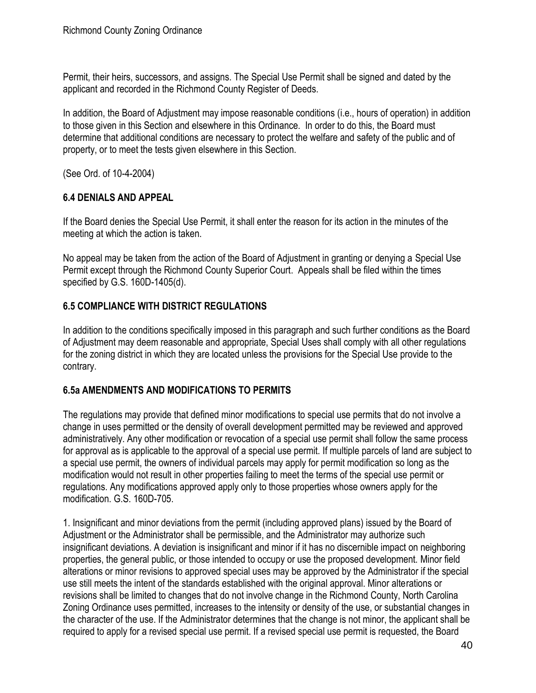Permit, their heirs, successors, and assigns. The Special Use Permit shall be signed and dated by the applicant and recorded in the Richmond County Register of Deeds.

In addition, the Board of Adjustment may impose reasonable conditions (i.e., hours of operation) in addition to those given in this Section and elsewhere in this Ordinance. In order to do this, the Board must determine that additional conditions are necessary to protect the welfare and safety of the public and of property, or to meet the tests given elsewhere in this Section.

(See Ord. of 10-4-2004)

## **6.4 DENIALS AND APPEAL**

If the Board denies the Special Use Permit, it shall enter the reason for its action in the minutes of the meeting at which the action is taken.

No appeal may be taken from the action of the Board of Adjustment in granting or denying a Special Use Permit except through the Richmond County Superior Court. Appeals shall be filed within the times specified by G.S. 160D-1405(d).

## **6.5 COMPLIANCE WITH DISTRICT REGULATIONS**

In addition to the conditions specifically imposed in this paragraph and such further conditions as the Board of Adjustment may deem reasonable and appropriate, Special Uses shall comply with all other regulations for the zoning district in which they are located unless the provisions for the Special Use provide to the contrary.

## **6.5a AMENDMENTS AND MODIFICATIONS TO PERMITS**

The regulations may provide that defined minor modifications to special use permits that do not involve a change in uses permitted or the density of overall development permitted may be reviewed and approved administratively. Any other modification or revocation of a special use permit shall follow the same process for approval as is applicable to the approval of a special use permit. If multiple parcels of land are subject to a special use permit, the owners of individual parcels may apply for permit modification so long as the modification would not result in other properties failing to meet the terms of the special use permit or regulations. Any modifications approved apply only to those properties whose owners apply for the modification. G.S. 160D-705.

1. Insignificant and minor deviations from the permit (including approved plans) issued by the Board of Adjustment or the Administrator shall be permissible, and the Administrator may authorize such insignificant deviations. A deviation is insignificant and minor if it has no discernible impact on neighboring properties, the general public, or those intended to occupy or use the proposed development. Minor field alterations or minor revisions to approved special uses may be approved by the Administrator if the special use still meets the intent of the standards established with the original approval. Minor alterations or revisions shall be limited to changes that do not involve change in the Richmond County, North Carolina Zoning Ordinance uses permitted, increases to the intensity or density of the use, or substantial changes in the character of the use. If the Administrator determines that the change is not minor, the applicant shall be required to apply for a revised special use permit. If a revised special use permit is requested, the Board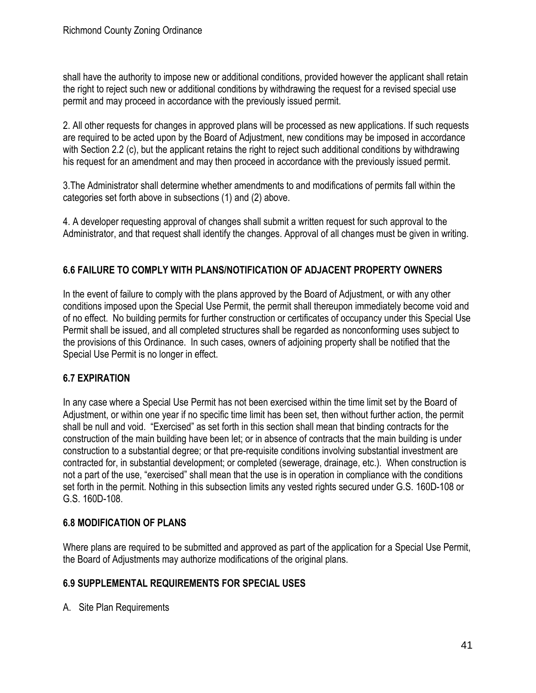shall have the authority to impose new or additional conditions, provided however the applicant shall retain the right to reject such new or additional conditions by withdrawing the request for a revised special use permit and may proceed in accordance with the previously issued permit.

2. All other requests for changes in approved plans will be processed as new applications. If such requests are required to be acted upon by the Board of Adjustment, new conditions may be imposed in accordance with Section 2.2 (c), but the applicant retains the right to reject such additional conditions by withdrawing his request for an amendment and may then proceed in accordance with the previously issued permit.

3.The Administrator shall determine whether amendments to and modifications of permits fall within the categories set forth above in subsections (1) and (2) above.

4. A developer requesting approval of changes shall submit a written request for such approval to the Administrator, and that request shall identify the changes. Approval of all changes must be given in writing.

## **6.6 FAILURE TO COMPLY WITH PLANS/NOTIFICATION OF ADJACENT PROPERTY OWNERS**

In the event of failure to comply with the plans approved by the Board of Adjustment, or with any other conditions imposed upon the Special Use Permit, the permit shall thereupon immediately become void and of no effect. No building permits for further construction or certificates of occupancy under this Special Use Permit shall be issued, and all completed structures shall be regarded as nonconforming uses subject to the provisions of this Ordinance. In such cases, owners of adjoining property shall be notified that the Special Use Permit is no longer in effect.

## **6.7 EXPIRATION**

In any case where a Special Use Permit has not been exercised within the time limit set by the Board of Adjustment, or within one year if no specific time limit has been set, then without further action, the permit shall be null and void. "Exercised" as set forth in this section shall mean that binding contracts for the construction of the main building have been let; or in absence of contracts that the main building is under construction to a substantial degree; or that pre-requisite conditions involving substantial investment are contracted for, in substantial development; or completed (sewerage, drainage, etc.). When construction is not a part of the use, "exercised" shall mean that the use is in operation in compliance with the conditions set forth in the permit. Nothing in this subsection limits any vested rights secured under G.S. 160D-108 or G.S. 160D-108.

## **6.8 MODIFICATION OF PLANS**

Where plans are required to be submitted and approved as part of the application for a Special Use Permit, the Board of Adjustments may authorize modifications of the original plans.

## **6.9 SUPPLEMENTAL REQUIREMENTS FOR SPECIAL USES**

A. Site Plan Requirements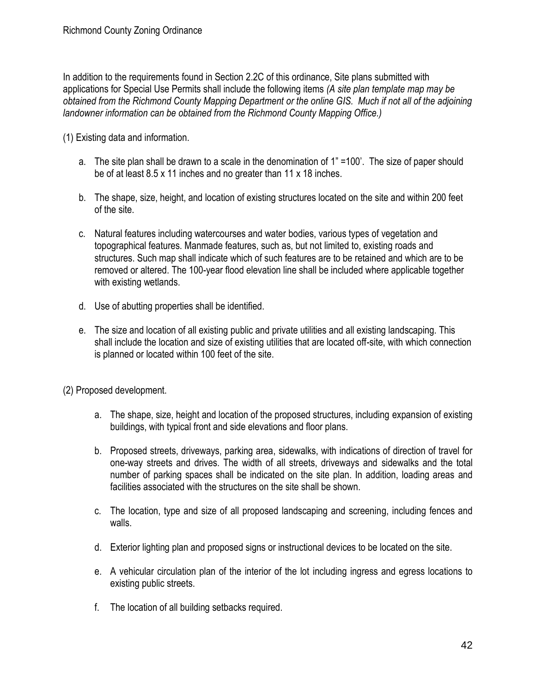In addition to the requirements found in Section 2.2C of this ordinance, Site plans submitted with applications for Special Use Permits shall include the following items *(A site plan template map may be obtained from the Richmond County Mapping Department or the online GIS. Much if not all of the adjoining landowner information can be obtained from the Richmond County Mapping Office.)*

(1) Existing data and information.

- a. The site plan shall be drawn to a scale in the denomination of 1" =100'. The size of paper should be of at least 8.5 x 11 inches and no greater than 11 x 18 inches.
- b. The shape, size, height, and location of existing structures located on the site and within 200 feet of the site.
- c. Natural features including watercourses and water bodies, various types of vegetation and topographical features. Manmade features, such as, but not limited to, existing roads and structures. Such map shall indicate which of such features are to be retained and which are to be removed or altered. The 100-year flood elevation line shall be included where applicable together with existing wetlands.
- d. Use of abutting properties shall be identified.
- e. The size and location of all existing public and private utilities and all existing landscaping. This shall include the location and size of existing utilities that are located off-site, with which connection is planned or located within 100 feet of the site.
- (2) Proposed development.
	- a. The shape, size, height and location of the proposed structures, including expansion of existing buildings, with typical front and side elevations and floor plans.
	- b. Proposed streets, driveways, parking area, sidewalks, with indications of direction of travel for one-way streets and drives. The width of all streets, driveways and sidewalks and the total number of parking spaces shall be indicated on the site plan. In addition, loading areas and facilities associated with the structures on the site shall be shown.
	- c. The location, type and size of all proposed landscaping and screening, including fences and walls.
	- d. Exterior lighting plan and proposed signs or instructional devices to be located on the site.
	- e. A vehicular circulation plan of the interior of the lot including ingress and egress locations to existing public streets.
	- f. The location of all building setbacks required.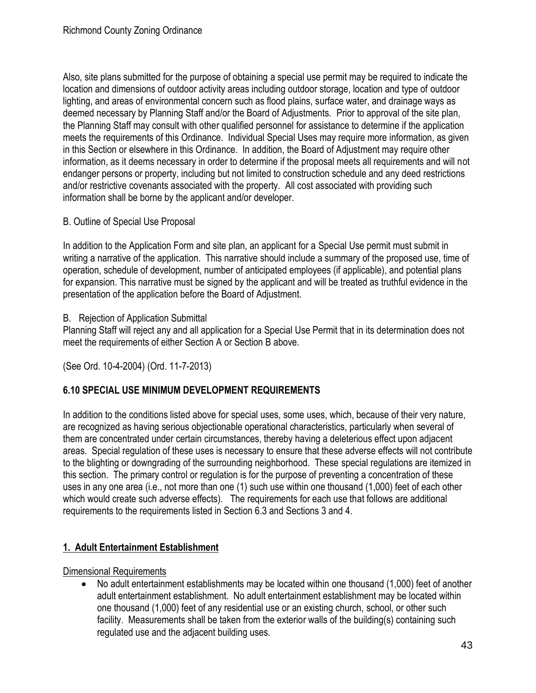Also, site plans submitted for the purpose of obtaining a special use permit may be required to indicate the location and dimensions of outdoor activity areas including outdoor storage, location and type of outdoor lighting, and areas of environmental concern such as flood plains, surface water, and drainage ways as deemed necessary by Planning Staff and/or the Board of Adjustments. Prior to approval of the site plan, the Planning Staff may consult with other qualified personnel for assistance to determine if the application meets the requirements of this Ordinance. Individual Special Uses may require more information, as given in this Section or elsewhere in this Ordinance. In addition, the Board of Adjustment may require other information, as it deems necessary in order to determine if the proposal meets all requirements and will not endanger persons or property, including but not limited to construction schedule and any deed restrictions and/or restrictive covenants associated with the property. All cost associated with providing such information shall be borne by the applicant and/or developer.

## B. Outline of Special Use Proposal

In addition to the Application Form and site plan, an applicant for a Special Use permit must submit in writing a narrative of the application. This narrative should include a summary of the proposed use, time of operation, schedule of development, number of anticipated employees (if applicable), and potential plans for expansion. This narrative must be signed by the applicant and will be treated as truthful evidence in the presentation of the application before the Board of Adjustment.

## B. Rejection of Application Submittal

Planning Staff will reject any and all application for a Special Use Permit that in its determination does not meet the requirements of either Section A or Section B above.

(See Ord. 10-4-2004) (Ord. 11-7-2013)

## **6.10 SPECIAL USE MINIMUM DEVELOPMENT REQUIREMENTS**

In addition to the conditions listed above for special uses, some uses, which, because of their very nature, are recognized as having serious objectionable operational characteristics, particularly when several of them are concentrated under certain circumstances, thereby having a deleterious effect upon adjacent areas. Special regulation of these uses is necessary to ensure that these adverse effects will not contribute to the blighting or downgrading of the surrounding neighborhood. These special regulations are itemized in this section. The primary control or regulation is for the purpose of preventing a concentration of these uses in any one area (i.e., not more than one (1) such use within one thousand (1,000) feet of each other which would create such adverse effects). The requirements for each use that follows are additional requirements to the requirements listed in Section 6.3 and Sections 3 and 4.

## **1. Adult Entertainment Establishment**

## Dimensional Requirements

• No adult entertainment establishments may be located within one thousand (1,000) feet of another adult entertainment establishment. No adult entertainment establishment may be located within one thousand (1,000) feet of any residential use or an existing church, school, or other such facility. Measurements shall be taken from the exterior walls of the building(s) containing such regulated use and the adjacent building uses.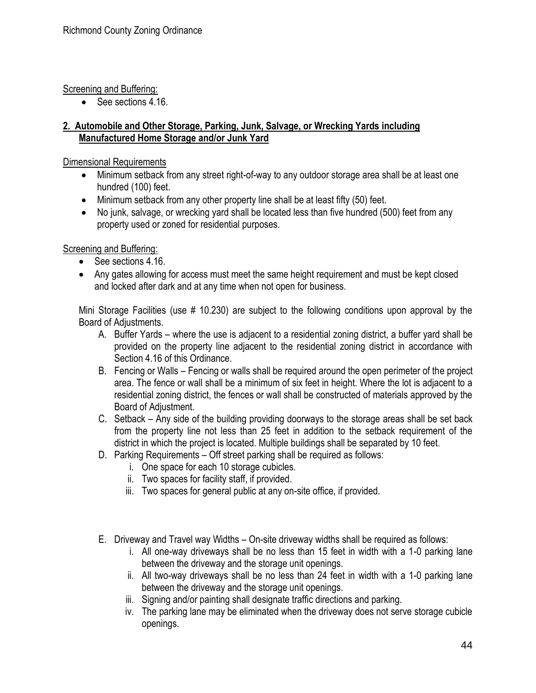## Screening and Buffering:

• See sections 4.16.

## **2. Automobile and Other Storage, Parking, Junk, Salvage, or Wrecking Yards including Manufactured Home Storage and/or Junk Yard**

Dimensional Requirements

- Minimum setback from any street right-of-way to any outdoor storage area shall be at least one hundred (100) feet.
- Minimum setback from any other property line shall be at least fifty (50) feet.
- No junk, salvage, or wrecking yard shall be located less than five hundred (500) feet from any property used or zoned for residential purposes.

## Screening and Buffering:

- See sections 4.16.
- Any gates allowing for access must meet the same height requirement and must be kept closed and locked after dark and at any time when not open for business.

Mini Storage Facilities (use # 10.230) are subject to the following conditions upon approval by the Board of Adjustments.

- A. Buffer Yards where the use is adjacent to a residential zoning district, a buffer yard shall be provided on the property line adjacent to the residential zoning district in accordance with Section 4.16 of this Ordinance.
- B. Fencing or Walls Fencing or walls shall be required around the open perimeter of the project area. The fence or wall shall be a minimum of six feet in height. Where the lot is adjacent to a residential zoning district, the fences or wall shall be constructed of materials approved by the Board of Adjustment.
- C. Setback Any side of the building providing doorways to the storage areas shall be set back from the property line not less than 25 feet in addition to the setback requirement of the district in which the project is located. Multiple buildings shall be separated by 10 feet.
- D. Parking Requirements Off street parking shall be required as follows:
	- i. One space for each 10 storage cubicles.
	- ii. Two spaces for facility staff, if provided.
	- iii. Two spaces for general public at any on-site office, if provided.
- E. Driveway and Travel way Widths On-site driveway widths shall be required as follows:
	- i. All one-way driveways shall be no less than 15 feet in width with a 1-0 parking lane between the driveway and the storage unit openings.
	- ii. All two-way driveways shall be no less than 24 feet in width with a 1-0 parking lane between the driveway and the storage unit openings.
	- iii. Signing and/or painting shall designate traffic directions and parking.
	- iv. The parking lane may be eliminated when the driveway does not serve storage cubicle openings.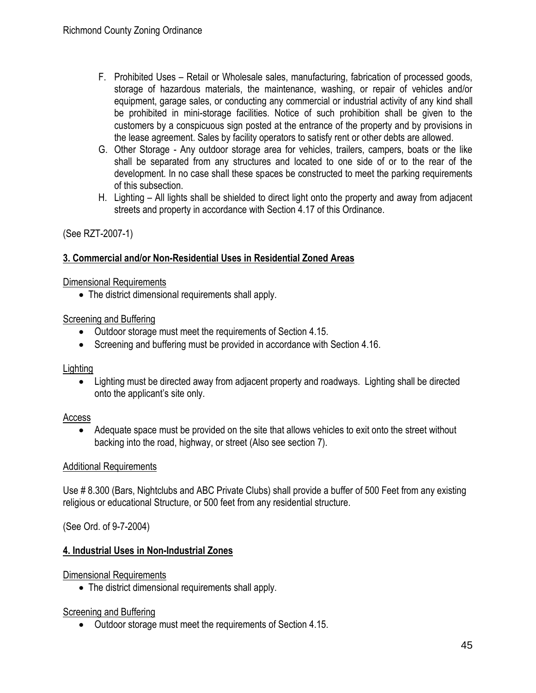- F. Prohibited Uses Retail or Wholesale sales, manufacturing, fabrication of processed goods, storage of hazardous materials, the maintenance, washing, or repair of vehicles and/or equipment, garage sales, or conducting any commercial or industrial activity of any kind shall be prohibited in mini-storage facilities. Notice of such prohibition shall be given to the customers by a conspicuous sign posted at the entrance of the property and by provisions in the lease agreement. Sales by facility operators to satisfy rent or other debts are allowed.
- G. Other Storage Any outdoor storage area for vehicles, trailers, campers, boats or the like shall be separated from any structures and located to one side of or to the rear of the development. In no case shall these spaces be constructed to meet the parking requirements of this subsection.
- H. Lighting All lights shall be shielded to direct light onto the property and away from adjacent streets and property in accordance with Section 4.17 of this Ordinance.

## (See RZT-2007-1)

## **3. Commercial and/or Non-Residential Uses in Residential Zoned Areas**

#### Dimensional Requirements

• The district dimensional requirements shall apply.

## Screening and Buffering

- Outdoor storage must meet the requirements of Section 4.15.
- Screening and buffering must be provided in accordance with Section 4.16.

## Lighting

• Lighting must be directed away from adjacent property and roadways. Lighting shall be directed onto the applicant's site only.

## Access

• Adequate space must be provided on the site that allows vehicles to exit onto the street without backing into the road, highway, or street (Also see section 7).

## Additional Requirements

Use # 8.300 (Bars, Nightclubs and ABC Private Clubs) shall provide a buffer of 500 Feet from any existing religious or educational Structure, or 500 feet from any residential structure.

## (See Ord. of 9-7-2004)

## **4. Industrial Uses in Non-Industrial Zones**

## Dimensional Requirements

• The district dimensional requirements shall apply.

#### Screening and Buffering

• Outdoor storage must meet the requirements of Section 4.15.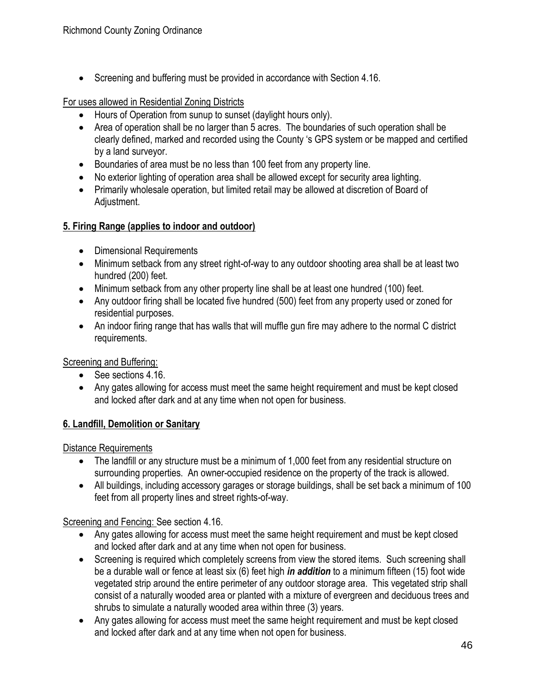• Screening and buffering must be provided in accordance with Section 4.16.

#### For uses allowed in Residential Zoning Districts

- Hours of Operation from sunup to sunset (daylight hours only).
- Area of operation shall be no larger than 5 acres. The boundaries of such operation shall be clearly defined, marked and recorded using the County 's GPS system or be mapped and certified by a land surveyor.
- Boundaries of area must be no less than 100 feet from any property line.
- No exterior lighting of operation area shall be allowed except for security area lighting.
- Primarily wholesale operation, but limited retail may be allowed at discretion of Board of Adjustment.

## **5. Firing Range (applies to indoor and outdoor)**

- Dimensional Requirements
- Minimum setback from any street right-of-way to any outdoor shooting area shall be at least two hundred (200) feet.
- Minimum setback from any other property line shall be at least one hundred (100) feet.
- Any outdoor firing shall be located five hundred (500) feet from any property used or zoned for residential purposes.
- An indoor firing range that has walls that will muffle gun fire may adhere to the normal C district requirements.

Screening and Buffering:

- See sections 4.16.
- Any gates allowing for access must meet the same height requirement and must be kept closed and locked after dark and at any time when not open for business.

## **6. Landfill, Demolition or Sanitary**

Distance Requirements

- The landfill or any structure must be a minimum of 1,000 feet from any residential structure on surrounding properties. An owner-occupied residence on the property of the track is allowed.
- All buildings, including accessory garages or storage buildings, shall be set back a minimum of 100 feet from all property lines and street rights-of-way.

## Screening and Fencing: See section 4.16.

- Any gates allowing for access must meet the same height requirement and must be kept closed and locked after dark and at any time when not open for business.
- Screening is required which completely screens from view the stored items. Such screening shall be a durable wall or fence at least six (6) feet high *in addition* to a minimum fifteen (15) foot wide vegetated strip around the entire perimeter of any outdoor storage area. This vegetated strip shall consist of a naturally wooded area or planted with a mixture of evergreen and deciduous trees and shrubs to simulate a naturally wooded area within three (3) years.
- Any gates allowing for access must meet the same height requirement and must be kept closed and locked after dark and at any time when not open for business.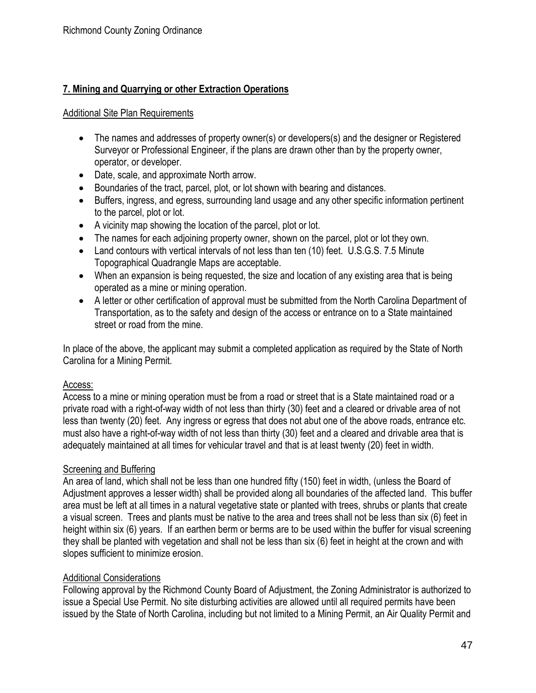## **7. Mining and Quarrying or other Extraction Operations**

#### Additional Site Plan Requirements

- The names and addresses of property owner(s) or developers(s) and the designer or Registered Surveyor or Professional Engineer, if the plans are drawn other than by the property owner, operator, or developer.
- Date, scale, and approximate North arrow.
- Boundaries of the tract, parcel, plot, or lot shown with bearing and distances.
- Buffers, ingress, and egress, surrounding land usage and any other specific information pertinent to the parcel, plot or lot.
- A vicinity map showing the location of the parcel, plot or lot.
- The names for each adjoining property owner, shown on the parcel, plot or lot they own.
- Land contours with vertical intervals of not less than ten (10) feet. U.S.G.S. 7.5 Minute Topographical Quadrangle Maps are acceptable.
- When an expansion is being requested, the size and location of any existing area that is being operated as a mine or mining operation.
- A letter or other certification of approval must be submitted from the North Carolina Department of Transportation, as to the safety and design of the access or entrance on to a State maintained street or road from the mine.

In place of the above, the applicant may submit a completed application as required by the State of North Carolina for a Mining Permit.

## Access:

Access to a mine or mining operation must be from a road or street that is a State maintained road or a private road with a right-of-way width of not less than thirty (30) feet and a cleared or drivable area of not less than twenty (20) feet. Any ingress or egress that does not abut one of the above roads, entrance etc. must also have a right-of-way width of not less than thirty (30) feet and a cleared and drivable area that is adequately maintained at all times for vehicular travel and that is at least twenty (20) feet in width.

## Screening and Buffering

An area of land, which shall not be less than one hundred fifty (150) feet in width, (unless the Board of Adjustment approves a lesser width) shall be provided along all boundaries of the affected land. This buffer area must be left at all times in a natural vegetative state or planted with trees, shrubs or plants that create a visual screen. Trees and plants must be native to the area and trees shall not be less than six (6) feet in height within six (6) years. If an earthen berm or berms are to be used within the buffer for visual screening they shall be planted with vegetation and shall not be less than six (6) feet in height at the crown and with slopes sufficient to minimize erosion.

## Additional Considerations

Following approval by the Richmond County Board of Adjustment, the Zoning Administrator is authorized to issue a Special Use Permit. No site disturbing activities are allowed until all required permits have been issued by the State of North Carolina, including but not limited to a Mining Permit, an Air Quality Permit and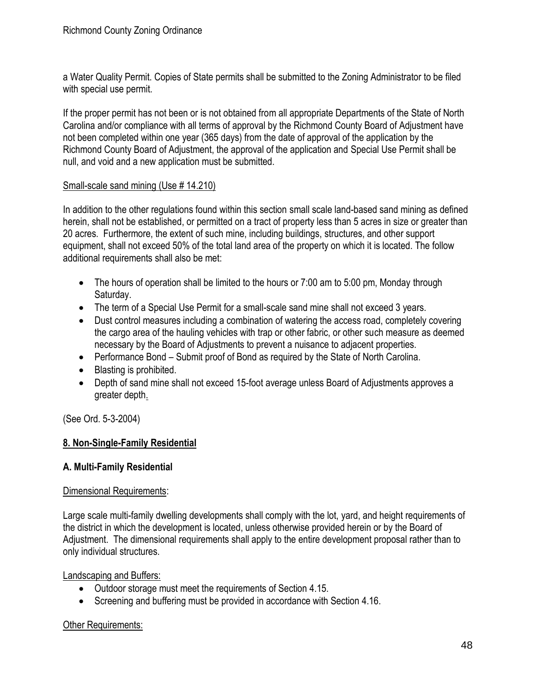a Water Quality Permit. Copies of State permits shall be submitted to the Zoning Administrator to be filed with special use permit.

If the proper permit has not been or is not obtained from all appropriate Departments of the State of North Carolina and/or compliance with all terms of approval by the Richmond County Board of Adjustment have not been completed within one year (365 days) from the date of approval of the application by the Richmond County Board of Adjustment, the approval of the application and Special Use Permit shall be null, and void and a new application must be submitted.

#### Small-scale sand mining (Use # 14.210)

In addition to the other regulations found within this section small scale land-based sand mining as defined herein, shall not be established, or permitted on a tract of property less than 5 acres in size or greater than 20 acres. Furthermore, the extent of such mine, including buildings, structures, and other support equipment, shall not exceed 50% of the total land area of the property on which it is located. The follow additional requirements shall also be met:

- The hours of operation shall be limited to the hours or 7:00 am to 5:00 pm, Monday through Saturday.
- The term of a Special Use Permit for a small-scale sand mine shall not exceed 3 years.
- Dust control measures including a combination of watering the access road, completely covering the cargo area of the hauling vehicles with trap or other fabric, or other such measure as deemed necessary by the Board of Adjustments to prevent a nuisance to adjacent properties.
- Performance Bond Submit proof of Bond as required by the State of North Carolina.
- Blasting is prohibited.
- Depth of sand mine shall not exceed 15-foot average unless Board of Adjustments approves a greater depth.

(See Ord. 5-3-2004)

## **8. Non-Single-Family Residential**

## **A. Multi-Family Residential**

#### Dimensional Requirements:

Large scale multi-family dwelling developments shall comply with the lot, yard, and height requirements of the district in which the development is located, unless otherwise provided herein or by the Board of Adjustment. The dimensional requirements shall apply to the entire development proposal rather than to only individual structures.

Landscaping and Buffers:

- Outdoor storage must meet the requirements of Section 4.15.
- Screening and buffering must be provided in accordance with Section 4.16.

## Other Requirements: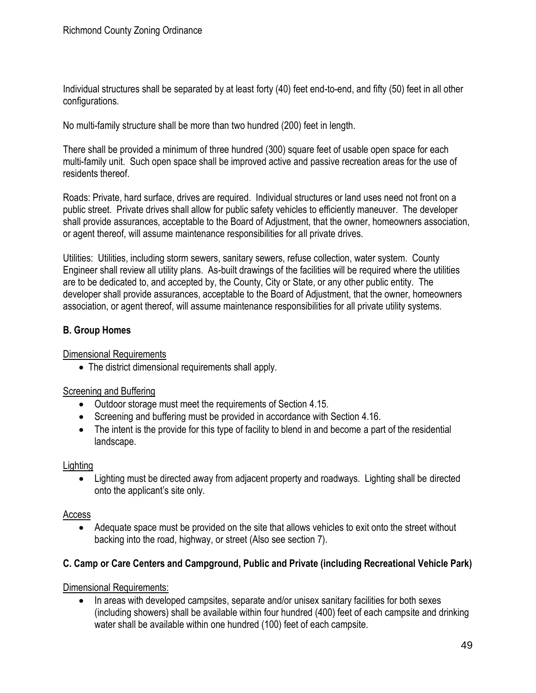Individual structures shall be separated by at least forty (40) feet end-to-end, and fifty (50) feet in all other configurations.

No multi-family structure shall be more than two hundred (200) feet in length.

There shall be provided a minimum of three hundred (300) square feet of usable open space for each multi-family unit. Such open space shall be improved active and passive recreation areas for the use of residents thereof.

Roads: Private, hard surface, drives are required. Individual structures or land uses need not front on a public street. Private drives shall allow for public safety vehicles to efficiently maneuver. The developer shall provide assurances, acceptable to the Board of Adjustment, that the owner, homeowners association, or agent thereof, will assume maintenance responsibilities for all private drives.

Utilities: Utilities, including storm sewers, sanitary sewers, refuse collection, water system. County Engineer shall review all utility plans. As-built drawings of the facilities will be required where the utilities are to be dedicated to, and accepted by, the County, City or State, or any other public entity. The developer shall provide assurances, acceptable to the Board of Adjustment, that the owner, homeowners association, or agent thereof, will assume maintenance responsibilities for all private utility systems.

## **B. Group Homes**

Dimensional Requirements

• The district dimensional requirements shall apply.

## Screening and Buffering

- Outdoor storage must meet the requirements of Section 4.15.
- Screening and buffering must be provided in accordance with Section 4.16.
- The intent is the provide for this type of facility to blend in and become a part of the residential landscape.

## **Lighting**

• Lighting must be directed away from adjacent property and roadways. Lighting shall be directed onto the applicant's site only.

#### Access

• Adequate space must be provided on the site that allows vehicles to exit onto the street without backing into the road, highway, or street (Also see section 7).

## **C. Camp or Care Centers and Campground, Public and Private (including Recreational Vehicle Park)**

Dimensional Requirements:

• In areas with developed campsites, separate and/or unisex sanitary facilities for both sexes (including showers) shall be available within four hundred (400) feet of each campsite and drinking water shall be available within one hundred (100) feet of each campsite.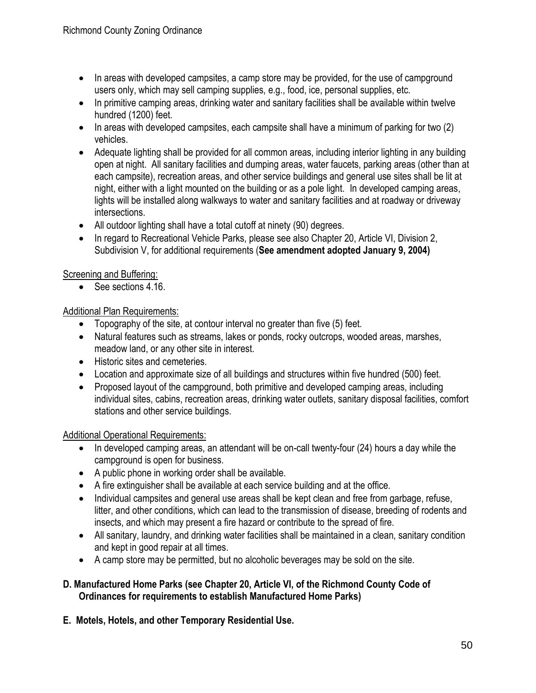- In areas with developed campsites, a camp store may be provided, for the use of campground users only, which may sell camping supplies, e.g., food, ice, personal supplies, etc.
- In primitive camping areas, drinking water and sanitary facilities shall be available within twelve hundred (1200) feet.
- In areas with developed campsites, each campsite shall have a minimum of parking for two (2) vehicles.
- Adequate lighting shall be provided for all common areas, including interior lighting in any building open at night. All sanitary facilities and dumping areas, water faucets, parking areas (other than at each campsite), recreation areas, and other service buildings and general use sites shall be lit at night, either with a light mounted on the building or as a pole light. In developed camping areas, lights will be installed along walkways to water and sanitary facilities and at roadway or driveway intersections.
- All outdoor lighting shall have a total cutoff at ninety (90) degrees.
- In regard to Recreational Vehicle Parks, please see also Chapter 20, Article VI, Division 2, Subdivision V, for additional requirements (**See amendment adopted January 9, 2004)**

## Screening and Buffering:

• See sections 4.16.

## Additional Plan Requirements:

- Topography of the site, at contour interval no greater than five (5) feet.
- Natural features such as streams, lakes or ponds, rocky outcrops, wooded areas, marshes, meadow land, or any other site in interest.
- Historic sites and cemeteries.
- Location and approximate size of all buildings and structures within five hundred (500) feet.
- Proposed layout of the campground, both primitive and developed camping areas, including individual sites, cabins, recreation areas, drinking water outlets, sanitary disposal facilities, comfort stations and other service buildings.

## Additional Operational Requirements:

- In developed camping areas, an attendant will be on-call twenty-four (24) hours a day while the campground is open for business.
- A public phone in working order shall be available.
- A fire extinguisher shall be available at each service building and at the office.
- Individual campsites and general use areas shall be kept clean and free from garbage, refuse, litter, and other conditions, which can lead to the transmission of disease, breeding of rodents and insects, and which may present a fire hazard or contribute to the spread of fire.
- All sanitary, laundry, and drinking water facilities shall be maintained in a clean, sanitary condition and kept in good repair at all times.
- A camp store may be permitted, but no alcoholic beverages may be sold on the site.

## **D. Manufactured Home Parks (see Chapter 20, Article VI, of the Richmond County Code of Ordinances for requirements to establish Manufactured Home Parks)**

**E. Motels, Hotels, and other Temporary Residential Use.**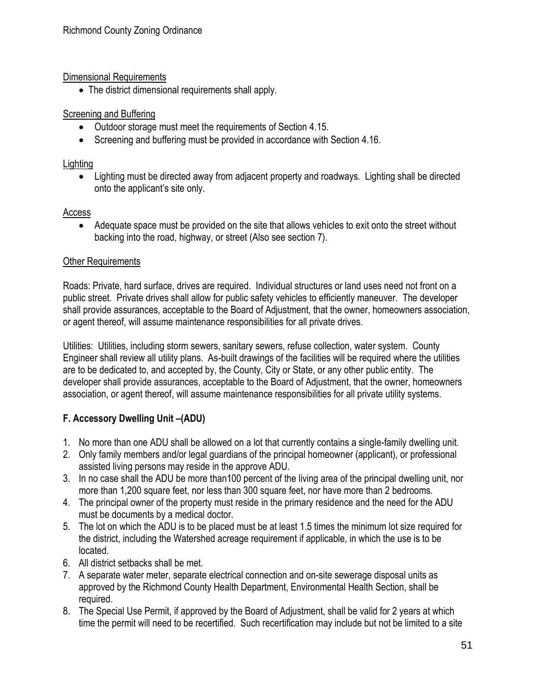## Dimensional Requirements

• The district dimensional requirements shall apply.

## Screening and Buffering

- Outdoor storage must meet the requirements of Section 4.15.
- Screening and buffering must be provided in accordance with Section 4.16.

## Lighting

• Lighting must be directed away from adjacent property and roadways. Lighting shall be directed onto the applicant's site only.

## Access

• Adequate space must be provided on the site that allows vehicles to exit onto the street without backing into the road, highway, or street (Also see section 7).

## Other Requirements

Roads: Private, hard surface, drives are required. Individual structures or land uses need not front on a public street. Private drives shall allow for public safety vehicles to efficiently maneuver. The developer shall provide assurances, acceptable to the Board of Adjustment, that the owner, homeowners association, or agent thereof, will assume maintenance responsibilities for all private drives.

Utilities: Utilities, including storm sewers, sanitary sewers, refuse collection, water system. County Engineer shall review all utility plans. As-built drawings of the facilities will be required where the utilities are to be dedicated to, and accepted by, the County, City or State, or any other public entity. The developer shall provide assurances, acceptable to the Board of Adjustment, that the owner, homeowners association, or agent thereof, will assume maintenance responsibilities for all private utility systems.

# **F. Accessory Dwelling Unit –(ADU)**

- 1. No more than one ADU shall be allowed on a lot that currently contains a single-family dwelling unit.
- 2. Only family members and/or legal guardians of the principal homeowner (applicant), or professional assisted living persons may reside in the approve ADU.
- 3. In no case shall the ADU be more than100 percent of the living area of the principal dwelling unit, nor more than 1,200 square feet, nor less than 300 square feet, nor have more than 2 bedrooms.
- 4. The principal owner of the property must reside in the primary residence and the need for the ADU must be documents by a medical doctor.
- 5. The lot on which the ADU is to be placed must be at least 1.5 times the minimum lot size required for the district, including the Watershed acreage requirement if applicable, in which the use is to be located.
- 6. All district setbacks shall be met.
- 7. A separate water meter, separate electrical connection and on-site sewerage disposal units as approved by the Richmond County Health Department, Environmental Health Section, shall be required.
- 8. The Special Use Permit, if approved by the Board of Adjustment, shall be valid for 2 years at which time the permit will need to be recertified. Such recertification may include but not be limited to a site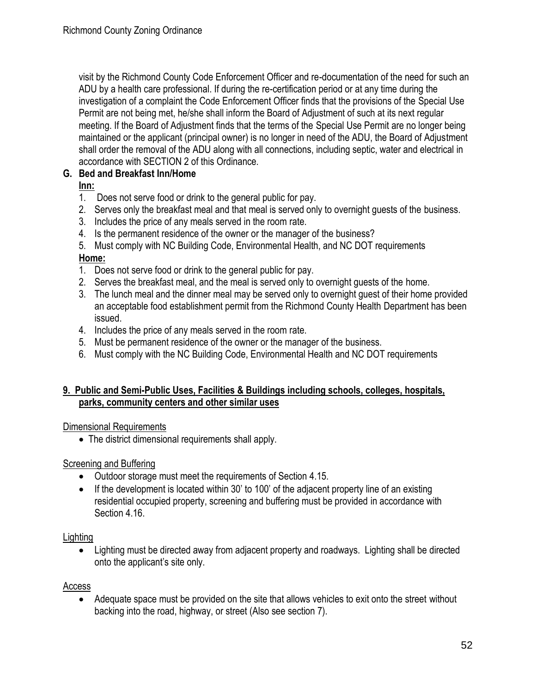visit by the Richmond County Code Enforcement Officer and re-documentation of the need for such an ADU by a health care professional. If during the re-certification period or at any time during the investigation of a complaint the Code Enforcement Officer finds that the provisions of the Special Use Permit are not being met, he/she shall inform the Board of Adjustment of such at its next regular meeting. If the Board of Adjustment finds that the terms of the Special Use Permit are no longer being maintained or the applicant (principal owner) is no longer in need of the ADU, the Board of Adjustment shall order the removal of the ADU along with all connections, including septic, water and electrical in accordance with SECTION 2 of this Ordinance.

## **G. Bed and Breakfast Inn/Home**

**Inn:**

- 1. Does not serve food or drink to the general public for pay.
- 2. Serves only the breakfast meal and that meal is served only to overnight guests of the business.
- 3. Includes the price of any meals served in the room rate.
- 4. Is the permanent residence of the owner or the manager of the business?
- 5. Must comply with NC Building Code, Environmental Health, and NC DOT requirements **Home:**
- 1. Does not serve food or drink to the general public for pay.
- 2. Serves the breakfast meal, and the meal is served only to overnight guests of the home.
- 3. The lunch meal and the dinner meal may be served only to overnight guest of their home provided an acceptable food establishment permit from the Richmond County Health Department has been issued.
- 4. Includes the price of any meals served in the room rate.
- 5. Must be permanent residence of the owner or the manager of the business.
- 6. Must comply with the NC Building Code, Environmental Health and NC DOT requirements

## **9. Public and Semi-Public Uses, Facilities & Buildings including schools, colleges, hospitals, parks, community centers and other similar uses**

## Dimensional Requirements

• The district dimensional requirements shall apply.

## Screening and Buffering

- Outdoor storage must meet the requirements of Section 4.15.
- If the development is located within 30' to 100' of the adjacent property line of an existing residential occupied property, screening and buffering must be provided in accordance with Section 4.16.

## **Lighting**

• Lighting must be directed away from adjacent property and roadways. Lighting shall be directed onto the applicant's site only.

## Access

• Adequate space must be provided on the site that allows vehicles to exit onto the street without backing into the road, highway, or street (Also see section 7).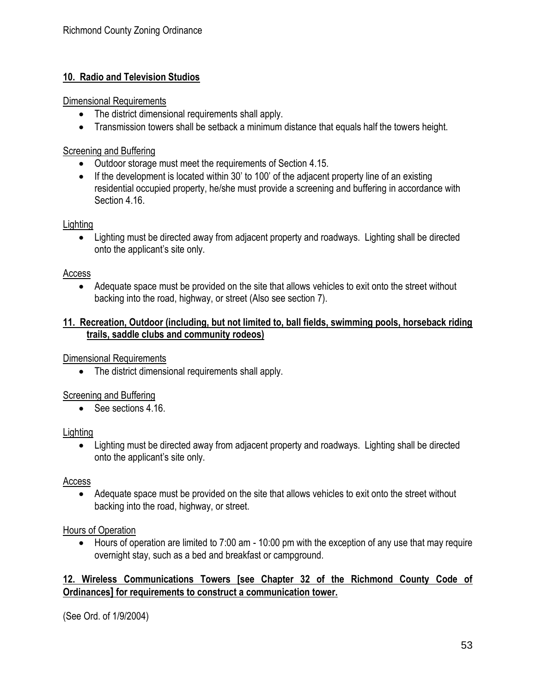## **10. Radio and Television Studios**

#### Dimensional Requirements

- The district dimensional requirements shall apply.
- Transmission towers shall be setback a minimum distance that equals half the towers height.

## Screening and Buffering

- Outdoor storage must meet the requirements of Section 4.15.
- If the development is located within 30' to 100' of the adjacent property line of an existing residential occupied property, he/she must provide a screening and buffering in accordance with Section 4.16.

## **Lighting**

• Lighting must be directed away from adjacent property and roadways. Lighting shall be directed onto the applicant's site only.

## Access

• Adequate space must be provided on the site that allows vehicles to exit onto the street without backing into the road, highway, or street (Also see section 7).

## **11. Recreation, Outdoor (including, but not limited to, ball fields, swimming pools, horseback riding trails, saddle clubs and community rodeos)**

Dimensional Requirements

• The district dimensional requirements shall apply.

## Screening and Buffering

• See sections 4.16.

## **Lighting**

• Lighting must be directed away from adjacent property and roadways. Lighting shall be directed onto the applicant's site only.

## Access

• Adequate space must be provided on the site that allows vehicles to exit onto the street without backing into the road, highway, or street.

## Hours of Operation

• Hours of operation are limited to 7:00 am - 10:00 pm with the exception of any use that may require overnight stay, such as a bed and breakfast or campground.

## **12. Wireless Communications Towers [see Chapter 32 of the Richmond County Code of Ordinances] for requirements to construct a communication tower.**

(See Ord. of 1/9/2004)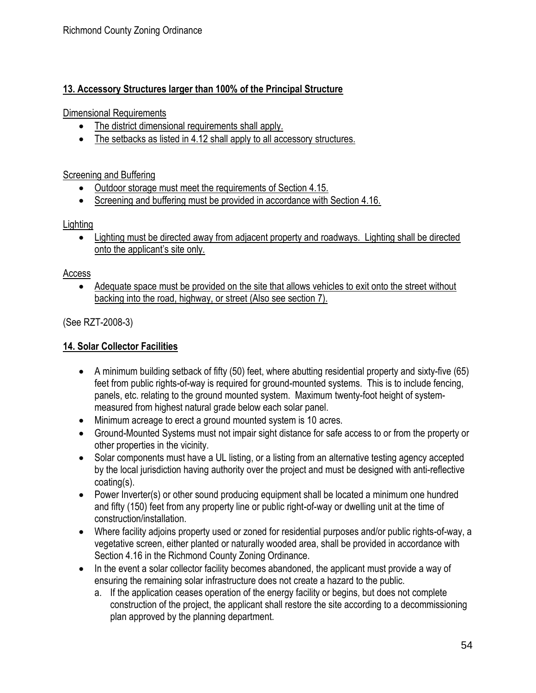## **13. Accessory Structures larger than 100% of the Principal Structure**

Dimensional Requirements

- The district dimensional requirements shall apply.
- The setbacks as listed in 4.12 shall apply to all accessory structures.

Screening and Buffering

- Outdoor storage must meet the requirements of Section 4.15.
- Screening and buffering must be provided in accordance with Section 4.16.

## **Lighting**

• Lighting must be directed away from adjacent property and roadways. Lighting shall be directed onto the applicant's site only.

## Access

• Adequate space must be provided on the site that allows vehicles to exit onto the street without backing into the road, highway, or street (Also see section 7).

(See RZT-2008-3)

## **14. Solar Collector Facilities**

- A minimum building setback of fifty (50) feet, where abutting residential property and sixty-five (65) feet from public rights-of-way is required for ground-mounted systems. This is to include fencing, panels, etc. relating to the ground mounted system. Maximum twenty-foot height of systemmeasured from highest natural grade below each solar panel.
- Minimum acreage to erect a ground mounted system is 10 acres.
- Ground-Mounted Systems must not impair sight distance for safe access to or from the property or other properties in the vicinity.
- Solar components must have a UL listing, or a listing from an alternative testing agency accepted by the local jurisdiction having authority over the project and must be designed with anti-reflective coating(s).
- Power Inverter(s) or other sound producing equipment shall be located a minimum one hundred and fifty (150) feet from any property line or public right-of-way or dwelling unit at the time of construction/installation.
- Where facility adjoins property used or zoned for residential purposes and/or public rights-of-way, a vegetative screen, either planted or naturally wooded area, shall be provided in accordance with Section 4.16 in the Richmond County Zoning Ordinance.
- In the event a solar collector facility becomes abandoned, the applicant must provide a way of ensuring the remaining solar infrastructure does not create a hazard to the public.
	- a. If the application ceases operation of the energy facility or begins, but does not complete construction of the project, the applicant shall restore the site according to a decommissioning plan approved by the planning department.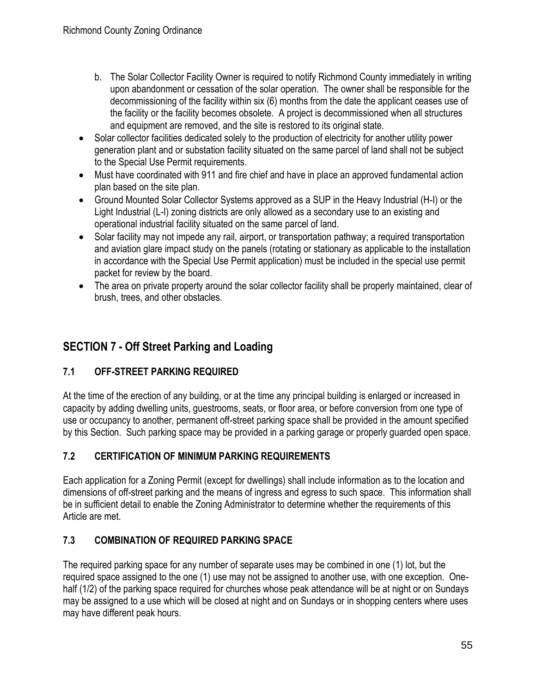- b. The Solar Collector Facility Owner is required to notify Richmond County immediately in writing upon abandonment or cessation of the solar operation. The owner shall be responsible for the decommissioning of the facility within six (6) months from the date the applicant ceases use of the facility or the facility becomes obsolete. A project is decommissioned when all structures and equipment are removed, and the site is restored to its original state.
- Solar collector facilities dedicated solely to the production of electricity for another utility power generation plant and or substation facility situated on the same parcel of land shall not be subject to the Special Use Permit requirements.
- Must have coordinated with 911 and fire chief and have in place an approved fundamental action plan based on the site plan.
- Ground Mounted Solar Collector Systems approved as a SUP in the Heavy Industrial (H-I) or the Light Industrial (L-I) zoning districts are only allowed as a secondary use to an existing and operational industrial facility situated on the same parcel of land.
- Solar facility may not impede any rail, airport, or transportation pathway; a required transportation and aviation glare impact study on the panels (rotating or stationary as applicable to the installation in accordance with the Special Use Permit application) must be included in the special use permit packet for review by the board.
- The area on private property around the solar collector facility shall be properly maintained, clear of brush, trees, and other obstacles.

# **SECTION 7 - Off Street Parking and Loading**

# **7.1 OFF-STREET PARKING REQUIRED**

At the time of the erection of any building, or at the time any principal building is enlarged or increased in capacity by adding dwelling units, guestrooms, seats, or floor area, or before conversion from one type of use or occupancy to another, permanent off-street parking space shall be provided in the amount specified by this Section. Such parking space may be provided in a parking garage or properly guarded open space.

# **7.2 CERTIFICATION OF MINIMUM PARKING REQUIREMENTS**

Each application for a Zoning Permit (except for dwellings) shall include information as to the location and dimensions of off-street parking and the means of ingress and egress to such space. This information shall be in sufficient detail to enable the Zoning Administrator to determine whether the requirements of this Article are met.

# **7.3 COMBINATION OF REQUIRED PARKING SPACE**

The required parking space for any number of separate uses may be combined in one (1) lot, but the required space assigned to the one (1) use may not be assigned to another use, with one exception. Onehalf (1/2) of the parking space required for churches whose peak attendance will be at night or on Sundays may be assigned to a use which will be closed at night and on Sundays or in shopping centers where uses may have different peak hours.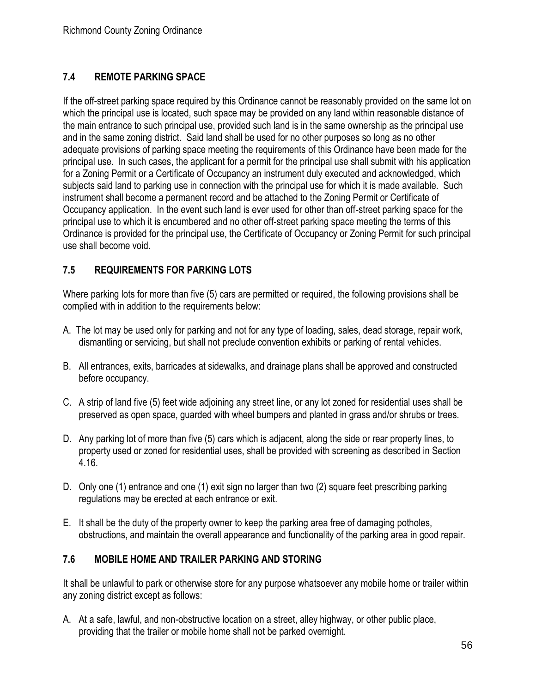## **7.4 REMOTE PARKING SPACE**

If the off-street parking space required by this Ordinance cannot be reasonably provided on the same lot on which the principal use is located, such space may be provided on any land within reasonable distance of the main entrance to such principal use, provided such land is in the same ownership as the principal use and in the same zoning district. Said land shall be used for no other purposes so long as no other adequate provisions of parking space meeting the requirements of this Ordinance have been made for the principal use. In such cases, the applicant for a permit for the principal use shall submit with his application for a Zoning Permit or a Certificate of Occupancy an instrument duly executed and acknowledged, which subjects said land to parking use in connection with the principal use for which it is made available. Such instrument shall become a permanent record and be attached to the Zoning Permit or Certificate of Occupancy application. In the event such land is ever used for other than off-street parking space for the principal use to which it is encumbered and no other off-street parking space meeting the terms of this Ordinance is provided for the principal use, the Certificate of Occupancy or Zoning Permit for such principal use shall become void.

## **7.5 REQUIREMENTS FOR PARKING LOTS**

Where parking lots for more than five (5) cars are permitted or required, the following provisions shall be complied with in addition to the requirements below:

- A. The lot may be used only for parking and not for any type of loading, sales, dead storage, repair work, dismantling or servicing, but shall not preclude convention exhibits or parking of rental vehicles.
- B. All entrances, exits, barricades at sidewalks, and drainage plans shall be approved and constructed before occupancy.
- C. A strip of land five (5) feet wide adjoining any street line, or any lot zoned for residential uses shall be preserved as open space, guarded with wheel bumpers and planted in grass and/or shrubs or trees.
- D. Any parking lot of more than five (5) cars which is adjacent, along the side or rear property lines, to property used or zoned for residential uses, shall be provided with screening as described in Section 4.16.
- D. Only one (1) entrance and one (1) exit sign no larger than two (2) square feet prescribing parking regulations may be erected at each entrance or exit.
- E. It shall be the duty of the property owner to keep the parking area free of damaging potholes, obstructions, and maintain the overall appearance and functionality of the parking area in good repair.

## **7.6 MOBILE HOME AND TRAILER PARKING AND STORING**

It shall be unlawful to park or otherwise store for any purpose whatsoever any mobile home or trailer within any zoning district except as follows:

A. At a safe, lawful, and non-obstructive location on a street, alley highway, or other public place, providing that the trailer or mobile home shall not be parked overnight.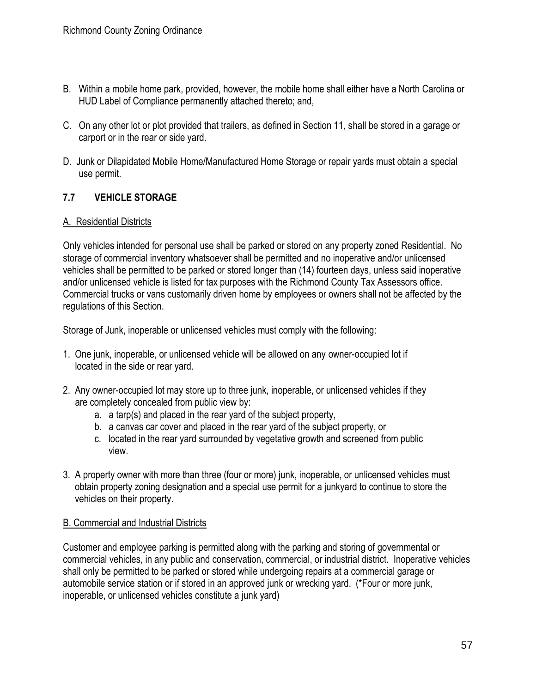- B. Within a mobile home park, provided, however, the mobile home shall either have a North Carolina or HUD Label of Compliance permanently attached thereto; and,
- C. On any other lot or plot provided that trailers, as defined in Section 11, shall be stored in a garage or carport or in the rear or side yard.
- D. Junk or Dilapidated Mobile Home/Manufactured Home Storage or repair yards must obtain a special use permit.

## **7.7 VEHICLE STORAGE**

## A. Residential Districts

Only vehicles intended for personal use shall be parked or stored on any property zoned Residential. No storage of commercial inventory whatsoever shall be permitted and no inoperative and/or unlicensed vehicles shall be permitted to be parked or stored longer than (14) fourteen days, unless said inoperative and/or unlicensed vehicle is listed for tax purposes with the Richmond County Tax Assessors office. Commercial trucks or vans customarily driven home by employees or owners shall not be affected by the regulations of this Section.

Storage of Junk, inoperable or unlicensed vehicles must comply with the following:

- 1. One junk, inoperable, or unlicensed vehicle will be allowed on any owner-occupied lot if located in the side or rear yard.
- 2. Any owner-occupied lot may store up to three junk, inoperable, or unlicensed vehicles if they are completely concealed from public view by:
	- a. a tarp(s) and placed in the rear yard of the subject property,
	- b. a canvas car cover and placed in the rear yard of the subject property, or
	- c. located in the rear yard surrounded by vegetative growth and screened from public view.
- 3. A property owner with more than three (four or more) junk, inoperable, or unlicensed vehicles must obtain property zoning designation and a special use permit for a junkyard to continue to store the vehicles on their property.

## B. Commercial and Industrial Districts

Customer and employee parking is permitted along with the parking and storing of governmental or commercial vehicles, in any public and conservation, commercial, or industrial district. Inoperative vehicles shall only be permitted to be parked or stored while undergoing repairs at a commercial garage or automobile service station or if stored in an approved junk or wrecking yard. (\*Four or more junk, inoperable, or unlicensed vehicles constitute a junk yard)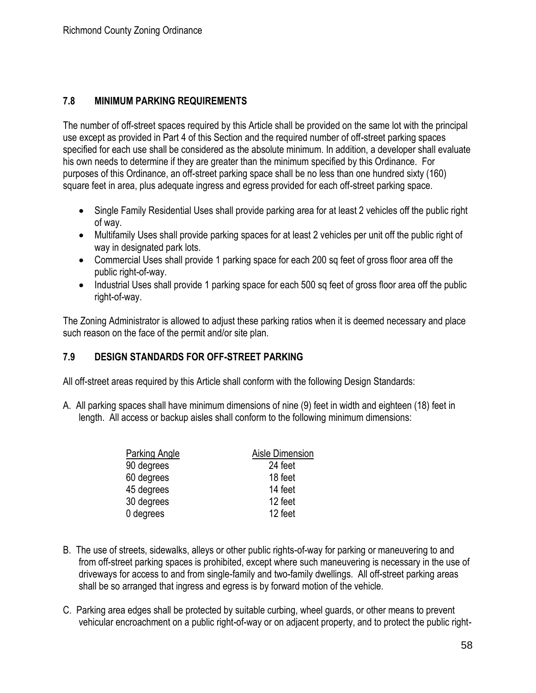## **7.8 MINIMUM PARKING REQUIREMENTS**

The number of off-street spaces required by this Article shall be provided on the same lot with the principal use except as provided in Part 4 of this Section and the required number of off-street parking spaces specified for each use shall be considered as the absolute minimum. In addition, a developer shall evaluate his own needs to determine if they are greater than the minimum specified by this Ordinance. For purposes of this Ordinance, an off-street parking space shall be no less than one hundred sixty (160) square feet in area, plus adequate ingress and egress provided for each off-street parking space.

- Single Family Residential Uses shall provide parking area for at least 2 vehicles off the public right of way.
- Multifamily Uses shall provide parking spaces for at least 2 vehicles per unit off the public right of way in designated park lots.
- Commercial Uses shall provide 1 parking space for each 200 sq feet of gross floor area off the public right-of-way.
- Industrial Uses shall provide 1 parking space for each 500 sq feet of gross floor area off the public right-of-way.

The Zoning Administrator is allowed to adjust these parking ratios when it is deemed necessary and place such reason on the face of the permit and/or site plan.

## **7.9 DESIGN STANDARDS FOR OFF-STREET PARKING**

All off-street areas required by this Article shall conform with the following Design Standards:

A. All parking spaces shall have minimum dimensions of nine (9) feet in width and eighteen (18) feet in length. All access or backup aisles shall conform to the following minimum dimensions:

| <b>Parking Angle</b> | Aisle Dimension |
|----------------------|-----------------|
| 90 degrees           | 24 feet         |
| 60 degrees           | 18 feet         |
| 45 degrees           | 14 feet         |
| 30 degrees           | 12 feet         |
| 0 degrees            | 12 feet         |

- B. The use of streets, sidewalks, alleys or other public rights-of-way for parking or maneuvering to and from off-street parking spaces is prohibited, except where such maneuvering is necessary in the use of driveways for access to and from single-family and two-family dwellings. All off-street parking areas shall be so arranged that ingress and egress is by forward motion of the vehicle.
- C. Parking area edges shall be protected by suitable curbing, wheel guards, or other means to prevent vehicular encroachment on a public right-of-way or on adjacent property, and to protect the public right-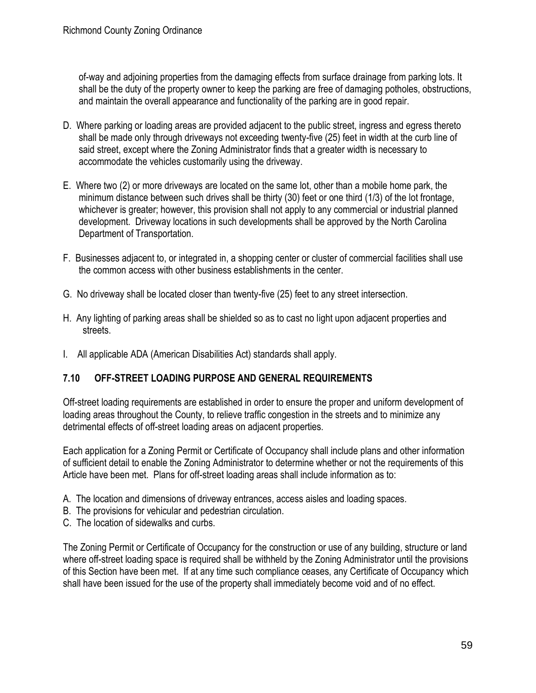of-way and adjoining properties from the damaging effects from surface drainage from parking lots. It shall be the duty of the property owner to keep the parking are free of damaging potholes, obstructions, and maintain the overall appearance and functionality of the parking are in good repair.

- D. Where parking or loading areas are provided adjacent to the public street, ingress and egress thereto shall be made only through driveways not exceeding twenty-five (25) feet in width at the curb line of said street, except where the Zoning Administrator finds that a greater width is necessary to accommodate the vehicles customarily using the driveway.
- E. Where two (2) or more driveways are located on the same lot, other than a mobile home park, the minimum distance between such drives shall be thirty (30) feet or one third (1/3) of the lot frontage, whichever is greater; however, this provision shall not apply to any commercial or industrial planned development. Driveway locations in such developments shall be approved by the North Carolina Department of Transportation.
- F. Businesses adjacent to, or integrated in, a shopping center or cluster of commercial facilities shall use the common access with other business establishments in the center.
- G. No driveway shall be located closer than twenty-five (25) feet to any street intersection.
- H. Any lighting of parking areas shall be shielded so as to cast no light upon adjacent properties and streets.
- I. All applicable ADA (American Disabilities Act) standards shall apply.

## **7.10 OFF-STREET LOADING PURPOSE AND GENERAL REQUIREMENTS**

Off-street loading requirements are established in order to ensure the proper and uniform development of loading areas throughout the County, to relieve traffic congestion in the streets and to minimize any detrimental effects of off-street loading areas on adjacent properties.

Each application for a Zoning Permit or Certificate of Occupancy shall include plans and other information of sufficient detail to enable the Zoning Administrator to determine whether or not the requirements of this Article have been met. Plans for off-street loading areas shall include information as to:

- A. The location and dimensions of driveway entrances, access aisles and loading spaces.
- B. The provisions for vehicular and pedestrian circulation.
- C. The location of sidewalks and curbs.

The Zoning Permit or Certificate of Occupancy for the construction or use of any building, structure or land where off-street loading space is required shall be withheld by the Zoning Administrator until the provisions of this Section have been met. If at any time such compliance ceases, any Certificate of Occupancy which shall have been issued for the use of the property shall immediately become void and of no effect.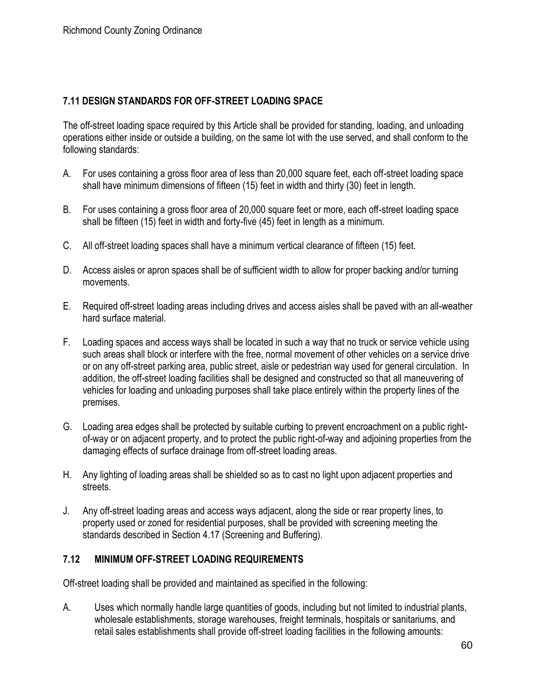## **7.11 DESIGN STANDARDS FOR OFF-STREET LOADING SPACE**

The off-street loading space required by this Article shall be provided for standing, loading, and unloading operations either inside or outside a building, on the same lot with the use served, and shall conform to the following standards:

- A. For uses containing a gross floor area of less than 20,000 square feet, each off-street loading space shall have minimum dimensions of fifteen (15) feet in width and thirty (30) feet in length.
- B. For uses containing a gross floor area of 20,000 square feet or more, each off-street loading space shall be fifteen (15) feet in width and forty-five (45) feet in length as a minimum.
- C. All off-street loading spaces shall have a minimum vertical clearance of fifteen (15) feet.
- D. Access aisles or apron spaces shall be of sufficient width to allow for proper backing and/or turning movements.
- E. Required off-street loading areas including drives and access aisles shall be paved with an all-weather hard surface material.
- F. Loading spaces and access ways shall be located in such a way that no truck or service vehicle using such areas shall block or interfere with the free, normal movement of other vehicles on a service drive or on any off-street parking area, public street, aisle or pedestrian way used for general circulation. In addition, the off-street loading facilities shall be designed and constructed so that all maneuvering of vehicles for loading and unloading purposes shall take place entirely within the property lines of the premises.
- G. Loading area edges shall be protected by suitable curbing to prevent encroachment on a public rightof-way or on adjacent property, and to protect the public right-of-way and adjoining properties from the damaging effects of surface drainage from off-street loading areas.
- H. Any lighting of loading areas shall be shielded so as to cast no light upon adjacent properties and streets.
- J. Any off-street loading areas and access ways adjacent, along the side or rear property lines, to property used or zoned for residential purposes, shall be provided with screening meeting the standards described in Section 4.17 (Screening and Buffering).

## **7.12 MINIMUM OFF-STREET LOADING REQUIREMENTS**

Off-street loading shall be provided and maintained as specified in the following:

A. Uses which normally handle large quantities of goods, including but not limited to industrial plants, wholesale establishments, storage warehouses, freight terminals, hospitals or sanitariums, and retail sales establishments shall provide off-street loading facilities in the following amounts: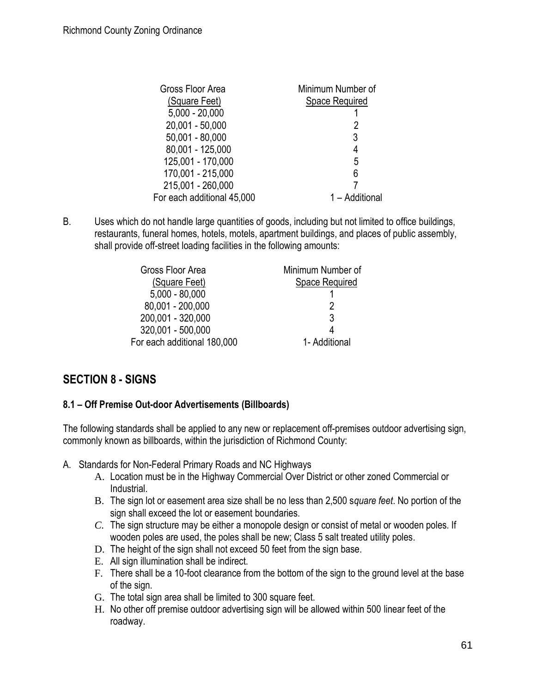| Gross Floor Area           | Minimum Number of |
|----------------------------|-------------------|
| (Square Feet)              | Space Required    |
| $5,000 - 20,000$           |                   |
| 20,001 - 50,000            |                   |
| $50,001 - 80,000$          | 3                 |
| 80,001 - 125,000           | 4                 |
| 125,001 - 170,000          | 5                 |
| 170,001 - 215,000          | 6                 |
| 215,001 - 260,000          |                   |
| For each additional 45,000 | 1 - Additional    |

B. Uses which do not handle large quantities of goods, including but not limited to office buildings, restaurants, funeral homes, hotels, motels, apartment buildings, and places of public assembly, shall provide off-street loading facilities in the following amounts:

| Gross Floor Area            | Minimum Number of |
|-----------------------------|-------------------|
| (Square Feet)               | Space Required    |
| $5,000 - 80,000$            |                   |
| 80,001 - 200,000            | 2                 |
| 200,001 - 320,000           | 3                 |
| 320,001 - 500,000           |                   |
| For each additional 180,000 | 1- Additional     |

# **SECTION 8 - SIGNS**

## **8.1 – Off Premise Out-door Advertisements (Billboards)**

The following standards shall be applied to any new or replacement off-premises outdoor advertising sign, commonly known as billboards, within the jurisdiction of Richmond County:

- A. Standards for Non-Federal Primary Roads and NC Highways
	- A. Location must be in the Highway Commercial Over District or other zoned Commercial or Industrial.
	- B. The sign lot or easement area size shall be no less than 2,500 s*quare feet*. No portion of the sign shall exceed the lot or easement boundaries.
	- *C.* The sign structure may be either a monopole design or consist of metal or wooden poles. If wooden poles are used, the poles shall be new; Class 5 salt treated utility poles*.*
	- D. The height of the sign shall not exceed 50 feet from the sign base.
	- E. All sign illumination shall be indirect.
	- F. There shall be a 10-foot clearance from the bottom of the sign to the ground level at the base of the sign.
	- G. The total sign area shall be limited to 300 square feet.
	- H. No other off premise outdoor advertising sign will be allowed within 500 linear feet of the roadway.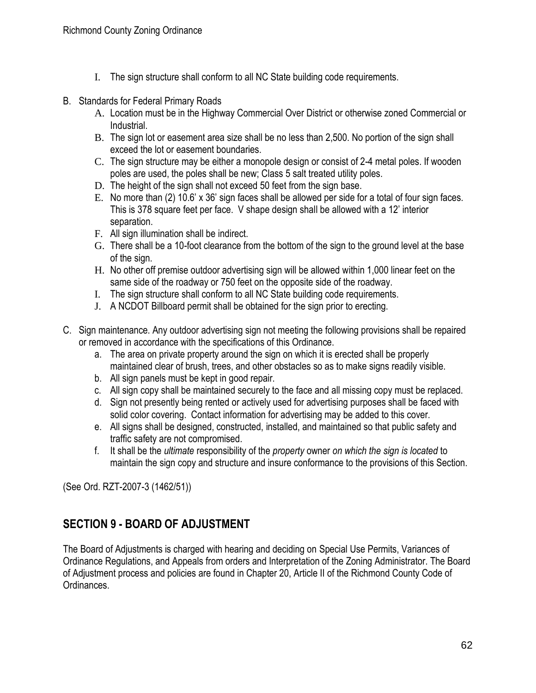- I. The sign structure shall conform to all NC State building code requirements.
- B. Standards for Federal Primary Roads
	- A. Location must be in the Highway Commercial Over District or otherwise zoned Commercial or Industrial.
	- B. The sign lot or easement area size shall be no less than 2,500. No portion of the sign shall exceed the lot or easement boundaries.
	- C. The sign structure may be either a monopole design or consist of 2-4 metal poles. If wooden poles are used, the poles shall be new; Class 5 salt treated utility poles.
	- D. The height of the sign shall not exceed 50 feet from the sign base.
	- E. No more than (2) 10.6' x 36' sign faces shall be allowed per side for a total of four sign faces. This is 378 square feet per face. V shape design shall be allowed with a 12' interior separation.
	- F. All sign illumination shall be indirect.
	- G. There shall be a 10-foot clearance from the bottom of the sign to the ground level at the base of the sign.
	- H. No other off premise outdoor advertising sign will be allowed within 1,000 linear feet on the same side of the roadway or 750 feet on the opposite side of the roadway.
	- I. The sign structure shall conform to all NC State building code requirements.
	- J. A NCDOT Billboard permit shall be obtained for the sign prior to erecting.
- C. Sign maintenance. Any outdoor advertising sign not meeting the following provisions shall be repaired or removed in accordance with the specifications of this Ordinance.
	- a. The area on private property around the sign on which it is erected shall be properly maintained clear of brush, trees, and other obstacles so as to make signs readily visible.
	- b. All sign panels must be kept in good repair.
	- c. All sign copy shall be maintained securely to the face and all missing copy must be replaced.
	- d. Sign not presently being rented or actively used for advertising purposes shall be faced with solid color covering. Contact information for advertising may be added to this cover.
	- e. All signs shall be designed, constructed, installed, and maintained so that public safety and traffic safety are not compromised.
	- f. It shall be the *ultimate* responsibility of the *property* owner *on which the sign is located* to maintain the sign copy and structure and insure conformance to the provisions of this Section.

(See Ord. RZT-2007-3 (1462/51))

# **SECTION 9 - BOARD OF ADJUSTMENT**

The Board of Adjustments is charged with hearing and deciding on Special Use Permits, Variances of Ordinance Regulations, and Appeals from orders and Interpretation of the Zoning Administrator. The Board of Adjustment process and policies are found in Chapter 20, Article II of the Richmond County Code of Ordinances.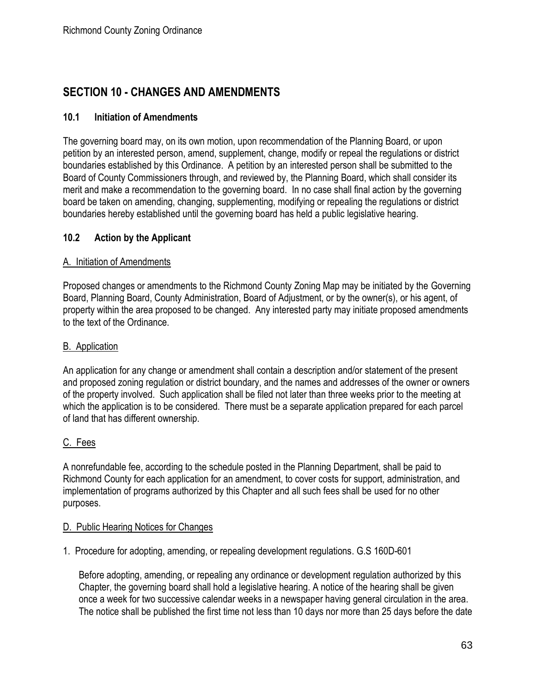# **SECTION 10 - CHANGES AND AMENDMENTS**

## **10.1 Initiation of Amendments**

The governing board may, on its own motion, upon recommendation of the Planning Board, or upon petition by an interested person, amend, supplement, change, modify or repeal the regulations or district boundaries established by this Ordinance. A petition by an interested person shall be submitted to the Board of County Commissioners through, and reviewed by, the Planning Board, which shall consider its merit and make a recommendation to the governing board. In no case shall final action by the governing board be taken on amending, changing, supplementing, modifying or repealing the regulations or district boundaries hereby established until the governing board has held a public legislative hearing.

## **10.2 Action by the Applicant**

#### A. Initiation of Amendments

Proposed changes or amendments to the Richmond County Zoning Map may be initiated by the Governing Board, Planning Board, County Administration, Board of Adjustment, or by the owner(s), or his agent, of property within the area proposed to be changed. Any interested party may initiate proposed amendments to the text of the Ordinance.

#### B. Application

An application for any change or amendment shall contain a description and/or statement of the present and proposed zoning regulation or district boundary, and the names and addresses of the owner or owners of the property involved. Such application shall be filed not later than three weeks prior to the meeting at which the application is to be considered. There must be a separate application prepared for each parcel of land that has different ownership.

## C. Fees

A nonrefundable fee, according to the schedule posted in the Planning Department, shall be paid to Richmond County for each application for an amendment, to cover costs for support, administration, and implementation of programs authorized by this Chapter and all such fees shall be used for no other purposes.

#### D. Public Hearing Notices for Changes

1. Procedure for adopting, amending, or repealing development regulations. G.S 160D-601

Before adopting, amending, or repealing any ordinance or development regulation authorized by this Chapter, the governing board shall hold a legislative hearing. A notice of the hearing shall be given once a week for two successive calendar weeks in a newspaper having general circulation in the area. The notice shall be published the first time not less than 10 days nor more than 25 days before the date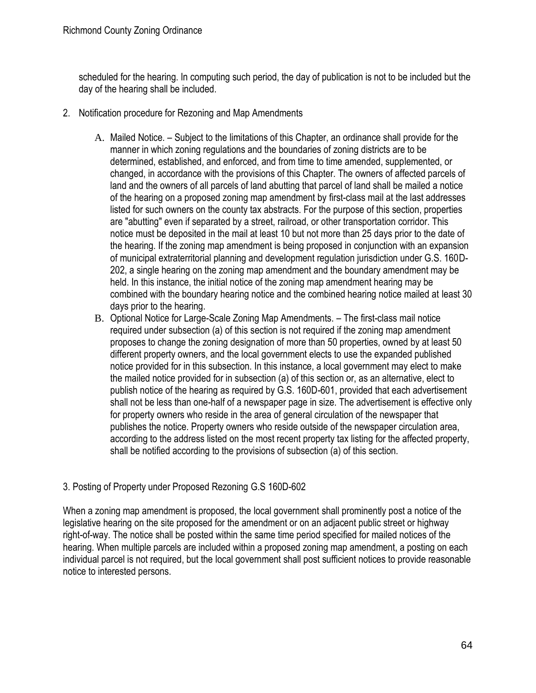scheduled for the hearing. In computing such period, the day of publication is not to be included but the day of the hearing shall be included.

- 2. Notification procedure for Rezoning and Map Amendments
	- A. Mailed Notice. Subject to the limitations of this Chapter, an ordinance shall provide for the manner in which zoning regulations and the boundaries of zoning districts are to be determined, established, and enforced, and from time to time amended, supplemented, or changed, in accordance with the provisions of this Chapter. The owners of affected parcels of land and the owners of all parcels of land abutting that parcel of land shall be mailed a notice of the hearing on a proposed zoning map amendment by first-class mail at the last addresses listed for such owners on the county tax abstracts. For the purpose of this section, properties are "abutting" even if separated by a street, railroad, or other transportation corridor. This notice must be deposited in the mail at least 10 but not more than 25 days prior to the date of the hearing. If the zoning map amendment is being proposed in conjunction with an expansion of municipal extraterritorial planning and development regulation jurisdiction under G.S. 160D-202, a single hearing on the zoning map amendment and the boundary amendment may be held. In this instance, the initial notice of the zoning map amendment hearing may be combined with the boundary hearing notice and the combined hearing notice mailed at least 30 days prior to the hearing.
	- B. Optional Notice for Large-Scale Zoning Map Amendments. The first-class mail notice required under subsection (a) of this section is not required if the zoning map amendment proposes to change the zoning designation of more than 50 properties, owned by at least 50 different property owners, and the local government elects to use the expanded published notice provided for in this subsection. In this instance, a local government may elect to make the mailed notice provided for in subsection (a) of this section or, as an alternative, elect to publish notice of the hearing as required by G.S. 160D-601, provided that each advertisement shall not be less than one-half of a newspaper page in size. The advertisement is effective only for property owners who reside in the area of general circulation of the newspaper that publishes the notice. Property owners who reside outside of the newspaper circulation area, according to the address listed on the most recent property tax listing for the affected property, shall be notified according to the provisions of subsection (a) of this section.

## 3. Posting of Property under Proposed Rezoning G.S 160D-602

When a zoning map amendment is proposed, the local government shall prominently post a notice of the legislative hearing on the site proposed for the amendment or on an adjacent public street or highway right-of-way. The notice shall be posted within the same time period specified for mailed notices of the hearing. When multiple parcels are included within a proposed zoning map amendment, a posting on each individual parcel is not required, but the local government shall post sufficient notices to provide reasonable notice to interested persons.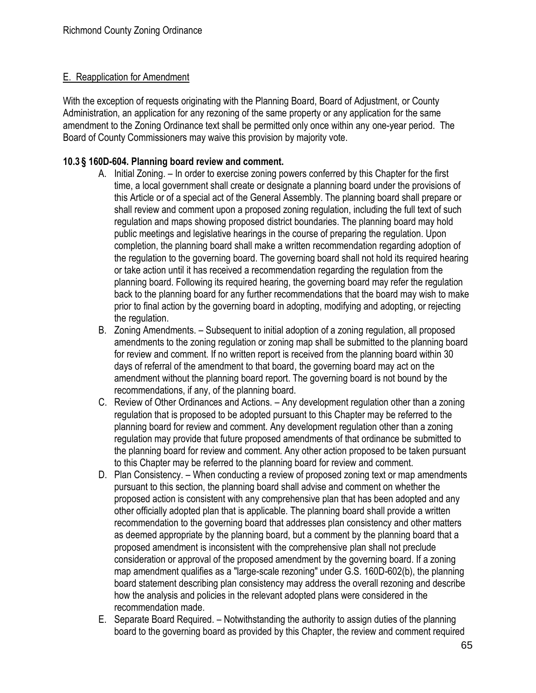#### E. Reapplication for Amendment

With the exception of requests originating with the Planning Board, Board of Adjustment, or County Administration, an application for any rezoning of the same property or any application for the same amendment to the Zoning Ordinance text shall be permitted only once within any one-year period. The Board of County Commissioners may waive this provision by majority vote.

## **10.3 § 160D-604. Planning board review and comment.**

- A. Initial Zoning. In order to exercise zoning powers conferred by this Chapter for the first time, a local government shall create or designate a planning board under the provisions of this Article or of a special act of the General Assembly. The planning board shall prepare or shall review and comment upon a proposed zoning regulation, including the full text of such regulation and maps showing proposed district boundaries. The planning board may hold public meetings and legislative hearings in the course of preparing the regulation. Upon completion, the planning board shall make a written recommendation regarding adoption of the regulation to the governing board. The governing board shall not hold its required hearing or take action until it has received a recommendation regarding the regulation from the planning board. Following its required hearing, the governing board may refer the regulation back to the planning board for any further recommendations that the board may wish to make prior to final action by the governing board in adopting, modifying and adopting, or rejecting the regulation.
- B. Zoning Amendments. Subsequent to initial adoption of a zoning regulation, all proposed amendments to the zoning regulation or zoning map shall be submitted to the planning board for review and comment. If no written report is received from the planning board within 30 days of referral of the amendment to that board, the governing board may act on the amendment without the planning board report. The governing board is not bound by the recommendations, if any, of the planning board.
- C. Review of Other Ordinances and Actions. Any development regulation other than a zoning regulation that is proposed to be adopted pursuant to this Chapter may be referred to the planning board for review and comment. Any development regulation other than a zoning regulation may provide that future proposed amendments of that ordinance be submitted to the planning board for review and comment. Any other action proposed to be taken pursuant to this Chapter may be referred to the planning board for review and comment.
- D. Plan Consistency. When conducting a review of proposed zoning text or map amendments pursuant to this section, the planning board shall advise and comment on whether the proposed action is consistent with any comprehensive plan that has been adopted and any other officially adopted plan that is applicable. The planning board shall provide a written recommendation to the governing board that addresses plan consistency and other matters as deemed appropriate by the planning board, but a comment by the planning board that a proposed amendment is inconsistent with the comprehensive plan shall not preclude consideration or approval of the proposed amendment by the governing board. If a zoning map amendment qualifies as a "large-scale rezoning" under G.S. 160D-602(b), the planning board statement describing plan consistency may address the overall rezoning and describe how the analysis and policies in the relevant adopted plans were considered in the recommendation made.
- E. Separate Board Required. Notwithstanding the authority to assign duties of the planning board to the governing board as provided by this Chapter, the review and comment required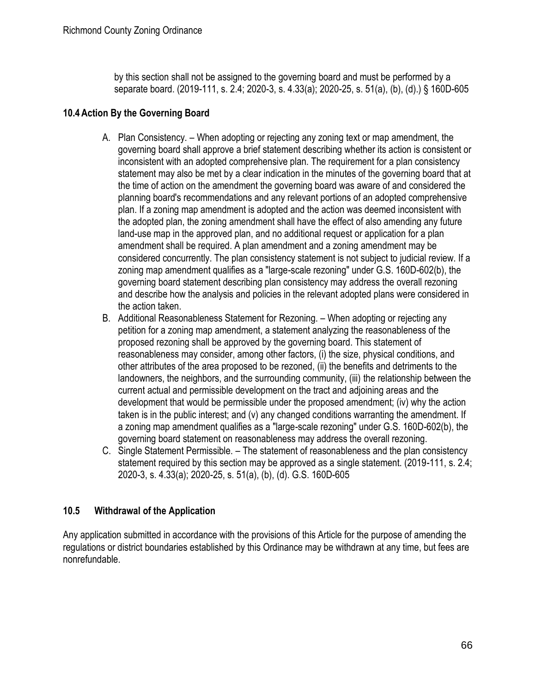by this section shall not be assigned to the governing board and must be performed by a separate board. (2019-111, s. 2.4; 2020-3, s. 4.33(a); 2020-25, s. 51(a), (b), (d).) § 160D-605

## **10.4Action By the Governing Board**

- A. Plan Consistency. When adopting or rejecting any zoning text or map amendment, the governing board shall approve a brief statement describing whether its action is consistent or inconsistent with an adopted comprehensive plan. The requirement for a plan consistency statement may also be met by a clear indication in the minutes of the governing board that at the time of action on the amendment the governing board was aware of and considered the planning board's recommendations and any relevant portions of an adopted comprehensive plan. If a zoning map amendment is adopted and the action was deemed inconsistent with the adopted plan, the zoning amendment shall have the effect of also amending any future land-use map in the approved plan, and no additional request or application for a plan amendment shall be required. A plan amendment and a zoning amendment may be considered concurrently. The plan consistency statement is not subject to judicial review. If a zoning map amendment qualifies as a "large-scale rezoning" under G.S. 160D-602(b), the governing board statement describing plan consistency may address the overall rezoning and describe how the analysis and policies in the relevant adopted plans were considered in the action taken.
- B. Additional Reasonableness Statement for Rezoning. When adopting or rejecting any petition for a zoning map amendment, a statement analyzing the reasonableness of the proposed rezoning shall be approved by the governing board. This statement of reasonableness may consider, among other factors, (i) the size, physical conditions, and other attributes of the area proposed to be rezoned, (ii) the benefits and detriments to the landowners, the neighbors, and the surrounding community, (iii) the relationship between the current actual and permissible development on the tract and adjoining areas and the development that would be permissible under the proposed amendment; (iv) why the action taken is in the public interest; and (v) any changed conditions warranting the amendment. If a zoning map amendment qualifies as a "large-scale rezoning" under G.S. 160D-602(b), the governing board statement on reasonableness may address the overall rezoning.
- C. Single Statement Permissible. The statement of reasonableness and the plan consistency statement required by this section may be approved as a single statement. (2019-111, s. 2.4; 2020-3, s. 4.33(a); 2020-25, s. 51(a), (b), (d). G.S. 160D-605

## **10.5 Withdrawal of the Application**

Any application submitted in accordance with the provisions of this Article for the purpose of amending the regulations or district boundaries established by this Ordinance may be withdrawn at any time, but fees are nonrefundable.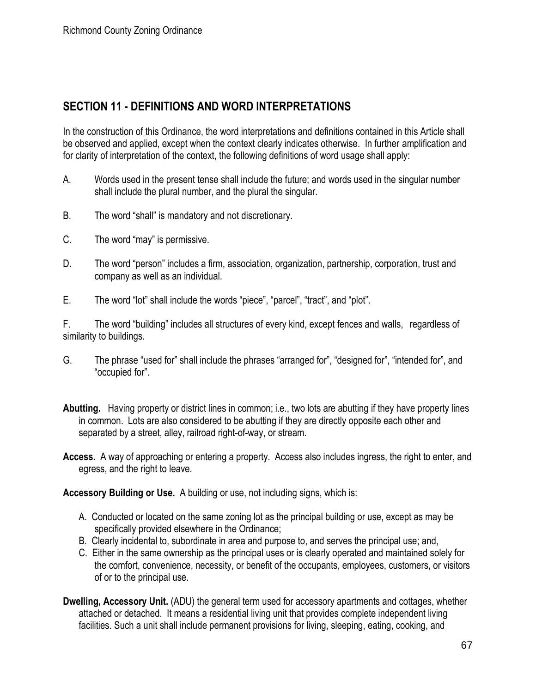# **SECTION 11 - DEFINITIONS AND WORD INTERPRETATIONS**

In the construction of this Ordinance, the word interpretations and definitions contained in this Article shall be observed and applied, except when the context clearly indicates otherwise. In further amplification and for clarity of interpretation of the context, the following definitions of word usage shall apply:

- A. Words used in the present tense shall include the future; and words used in the singular number shall include the plural number, and the plural the singular.
- B. The word "shall" is mandatory and not discretionary.
- C. The word "may" is permissive.
- D. The word "person" includes a firm, association, organization, partnership, corporation, trust and company as well as an individual.
- E. The word "lot" shall include the words "piece", "parcel", "tract", and "plot".

F. The word "building" includes all structures of every kind, except fences and walls, regardless of similarity to buildings.

- G. The phrase "used for" shall include the phrases "arranged for", "designed for", "intended for", and "occupied for".
- **Abutting.** Having property or district lines in common; i.e., two lots are abutting if they have property lines in common. Lots are also considered to be abutting if they are directly opposite each other and separated by a street, alley, railroad right-of-way, or stream.
- **Access.** A way of approaching or entering a property. Access also includes ingress, the right to enter, and egress, and the right to leave.

**Accessory Building or Use.** A building or use, not including signs, which is:

- A. Conducted or located on the same zoning lot as the principal building or use, except as may be specifically provided elsewhere in the Ordinance;
- B. Clearly incidental to, subordinate in area and purpose to, and serves the principal use; and,
- C. Either in the same ownership as the principal uses or is clearly operated and maintained solely for the comfort, convenience, necessity, or benefit of the occupants, employees, customers, or visitors of or to the principal use.
- **Dwelling, Accessory Unit.** (ADU) the general term used for accessory apartments and cottages, whether attached or detached. It means a residential living unit that provides complete independent living facilities. Such a unit shall include permanent provisions for living, sleeping, eating, cooking, and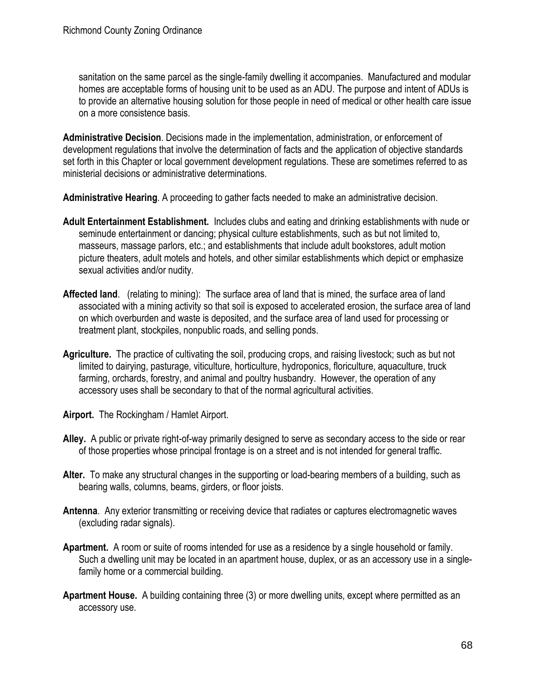sanitation on the same parcel as the single-family dwelling it accompanies. Manufactured and modular homes are acceptable forms of housing unit to be used as an ADU. The purpose and intent of ADUs is to provide an alternative housing solution for those people in need of medical or other health care issue on a more consistence basis.

**Administrative Decision**. Decisions made in the implementation, administration, or enforcement of development regulations that involve the determination of facts and the application of objective standards set forth in this Chapter or local government development regulations. These are sometimes referred to as ministerial decisions or administrative determinations.

**Administrative Hearing**. A proceeding to gather facts needed to make an administrative decision.

- **Adult Entertainment Establishment.** Includes clubs and eating and drinking establishments with nude or seminude entertainment or dancing; physical culture establishments, such as but not limited to, masseurs, massage parlors, etc.; and establishments that include adult bookstores, adult motion picture theaters, adult motels and hotels, and other similar establishments which depict or emphasize sexual activities and/or nudity.
- **Affected land**. (relating to mining): The surface area of land that is mined, the surface area of land associated with a mining activity so that soil is exposed to accelerated erosion, the surface area of land on which overburden and waste is deposited, and the surface area of land used for processing or treatment plant, stockpiles, nonpublic roads, and selling ponds.
- **Agriculture.** The practice of cultivating the soil, producing crops, and raising livestock; such as but not limited to dairying, pasturage, viticulture, horticulture, hydroponics, floriculture, aquaculture, truck farming, orchards, forestry, and animal and poultry husbandry. However, the operation of any accessory uses shall be secondary to that of the normal agricultural activities.
- **Airport.** The Rockingham / Hamlet Airport.
- **Alley.** A public or private right-of-way primarily designed to serve as secondary access to the side or rear of those properties whose principal frontage is on a street and is not intended for general traffic.
- **Alter.** To make any structural changes in the supporting or load-bearing members of a building, such as bearing walls, columns, beams, girders, or floor joists.
- **Antenna**. Any exterior transmitting or receiving device that radiates or captures electromagnetic waves (excluding radar signals).
- **Apartment.** A room or suite of rooms intended for use as a residence by a single household or family. Such a dwelling unit may be located in an apartment house, duplex, or as an accessory use in a singlefamily home or a commercial building.
- **Apartment House.** A building containing three (3) or more dwelling units, except where permitted as an accessory use.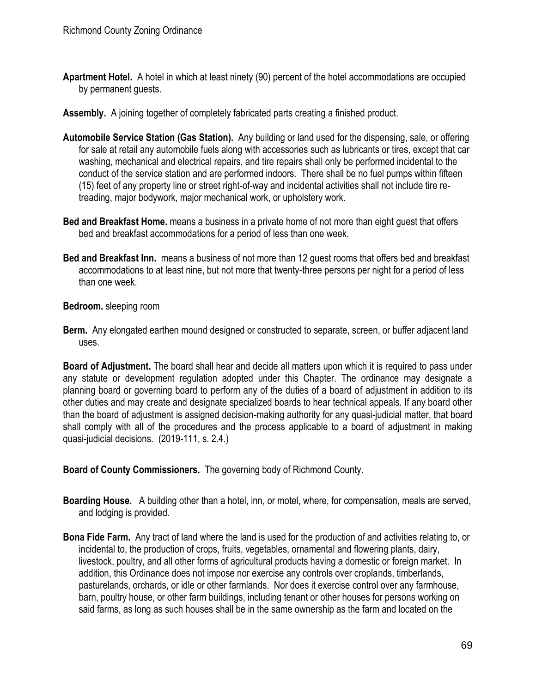- **Apartment Hotel.** A hotel in which at least ninety (90) percent of the hotel accommodations are occupied by permanent guests.
- **Assembly.** A joining together of completely fabricated parts creating a finished product.
- **Automobile Service Station (Gas Station).** Any building or land used for the dispensing, sale, or offering for sale at retail any automobile fuels along with accessories such as lubricants or tires, except that car washing, mechanical and electrical repairs, and tire repairs shall only be performed incidental to the conduct of the service station and are performed indoors. There shall be no fuel pumps within fifteen (15) feet of any property line or street right-of-way and incidental activities shall not include tire retreading, major bodywork, major mechanical work, or upholstery work.
- **Bed and Breakfast Home.** means a business in a private home of not more than eight guest that offers bed and breakfast accommodations for a period of less than one week.
- **Bed and Breakfast Inn.** means a business of not more than 12 guest rooms that offers bed and breakfast accommodations to at least nine, but not more that twenty-three persons per night for a period of less than one week.

**Bedroom.** sleeping room

**Berm.** Any elongated earthen mound designed or constructed to separate, screen, or buffer adjacent land uses.

**Board of Adjustment.** The board shall hear and decide all matters upon which it is required to pass under any statute or development regulation adopted under this Chapter. The ordinance may designate a planning board or governing board to perform any of the duties of a board of adjustment in addition to its other duties and may create and designate specialized boards to hear technical appeals. If any board other than the board of adjustment is assigned decision-making authority for any quasi-judicial matter, that board shall comply with all of the procedures and the process applicable to a board of adjustment in making quasi-judicial decisions. (2019-111, s. 2.4.)

**Board of County Commissioners.** The governing body of Richmond County.

- **Boarding House.** A building other than a hotel, inn, or motel, where, for compensation, meals are served, and lodging is provided.
- **Bona Fide Farm.** Any tract of land where the land is used for the production of and activities relating to, or incidental to, the production of crops, fruits, vegetables, ornamental and flowering plants, dairy, livestock, poultry, and all other forms of agricultural products having a domestic or foreign market. In addition, this Ordinance does not impose nor exercise any controls over croplands, timberlands, pasturelands, orchards, or idle or other farmlands. Nor does it exercise control over any farmhouse, barn, poultry house, or other farm buildings, including tenant or other houses for persons working on said farms, as long as such houses shall be in the same ownership as the farm and located on the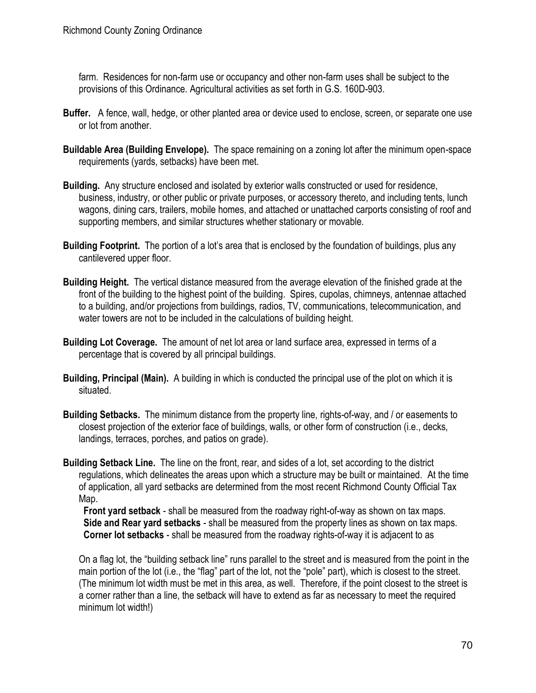farm. Residences for non-farm use or occupancy and other non-farm uses shall be subject to the provisions of this Ordinance. Agricultural activities as set forth in G.S. 160D-903.

- **Buffer.** A fence, wall, hedge, or other planted area or device used to enclose, screen, or separate one use or lot from another.
- **Buildable Area (Building Envelope).** The space remaining on a zoning lot after the minimum open-space requirements (yards, setbacks) have been met.
- **Building.** Any structure enclosed and isolated by exterior walls constructed or used for residence, business, industry, or other public or private purposes, or accessory thereto, and including tents, lunch wagons, dining cars, trailers, mobile homes, and attached or unattached carports consisting of roof and supporting members, and similar structures whether stationary or movable.
- **Building Footprint.** The portion of a lot's area that is enclosed by the foundation of buildings, plus any cantilevered upper floor.
- **Building Height.** The vertical distance measured from the average elevation of the finished grade at the front of the building to the highest point of the building. Spires, cupolas, chimneys, antennae attached to a building, and/or projections from buildings, radios, TV, communications, telecommunication, and water towers are not to be included in the calculations of building height.
- **Building Lot Coverage.** The amount of net lot area or land surface area, expressed in terms of a percentage that is covered by all principal buildings.
- **Building, Principal (Main).** A building in which is conducted the principal use of the plot on which it is situated.
- **Building Setbacks.** The minimum distance from the property line, rights-of-way, and / or easements to closest projection of the exterior face of buildings, walls, or other form of construction (i.e., decks, landings, terraces, porches, and patios on grade).
- **Building Setback Line.** The line on the front, rear, and sides of a lot, set according to the district regulations, which delineates the areas upon which a structure may be built or maintained. At the time of application, all yard setbacks are determined from the most recent Richmond County Official Tax Map.

 **Front yard setback** - shall be measured from the roadway right-of-way as shown on tax maps. **Side and Rear yard setbacks** - shall be measured from the property lines as shown on tax maps. **Corner lot setbacks** - shall be measured from the roadway rights-of-way it is adjacent to as

On a flag lot, the "building setback line" runs parallel to the street and is measured from the point in the main portion of the lot (i.e., the "flag" part of the lot, not the "pole" part), which is closest to the street. (The minimum lot width must be met in this area, as well. Therefore, if the point closest to the street is a corner rather than a line, the setback will have to extend as far as necessary to meet the required minimum lot width!)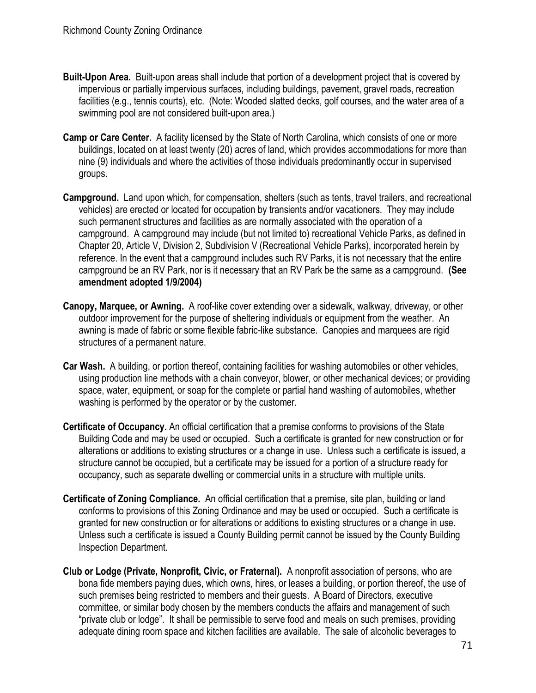- **Built-Upon Area.** Built-upon areas shall include that portion of a development project that is covered by impervious or partially impervious surfaces, including buildings, pavement, gravel roads, recreation facilities (e.g., tennis courts), etc. (Note: Wooded slatted decks, golf courses, and the water area of a swimming pool are not considered built-upon area.)
- **Camp or Care Center.** A facility licensed by the State of North Carolina, which consists of one or more buildings, located on at least twenty (20) acres of land, which provides accommodations for more than nine (9) individuals and where the activities of those individuals predominantly occur in supervised groups.
- **Campground.** Land upon which, for compensation, shelters (such as tents, travel trailers, and recreational vehicles) are erected or located for occupation by transients and/or vacationers. They may include such permanent structures and facilities as are normally associated with the operation of a campground.A campground may include (but not limited to) recreational Vehicle Parks, as defined in Chapter 20, Article V, Division 2, Subdivision V (Recreational Vehicle Parks), incorporated herein by reference. In the event that a campground includes such RV Parks, it is not necessary that the entire campground be an RV Park, nor is it necessary that an RV Park be the same as a campground. **(See amendment adopted 1/9/2004)**
- **Canopy, Marquee, or Awning.** A roof-like cover extending over a sidewalk, walkway, driveway, or other outdoor improvement for the purpose of sheltering individuals or equipment from the weather. An awning is made of fabric or some flexible fabric-like substance. Canopies and marquees are rigid structures of a permanent nature.
- **Car Wash.** A building, or portion thereof, containing facilities for washing automobiles or other vehicles, using production line methods with a chain conveyor, blower, or other mechanical devices; or providing space, water, equipment, or soap for the complete or partial hand washing of automobiles, whether washing is performed by the operator or by the customer.
- **Certificate of Occupancy.** An official certification that a premise conforms to provisions of the State Building Code and may be used or occupied. Such a certificate is granted for new construction or for alterations or additions to existing structures or a change in use. Unless such a certificate is issued, a structure cannot be occupied, but a certificate may be issued for a portion of a structure ready for occupancy, such as separate dwelling or commercial units in a structure with multiple units.
- **Certificate of Zoning Compliance.** An official certification that a premise, site plan, building or land conforms to provisions of this Zoning Ordinance and may be used or occupied. Such a certificate is granted for new construction or for alterations or additions to existing structures or a change in use. Unless such a certificate is issued a County Building permit cannot be issued by the County Building Inspection Department.
- **Club or Lodge (Private, Nonprofit, Civic, or Fraternal).** A nonprofit association of persons, who are bona fide members paying dues, which owns, hires, or leases a building, or portion thereof, the use of such premises being restricted to members and their guests. A Board of Directors, executive committee, or similar body chosen by the members conducts the affairs and management of such "private club or lodge". It shall be permissible to serve food and meals on such premises, providing adequate dining room space and kitchen facilities are available. The sale of alcoholic beverages to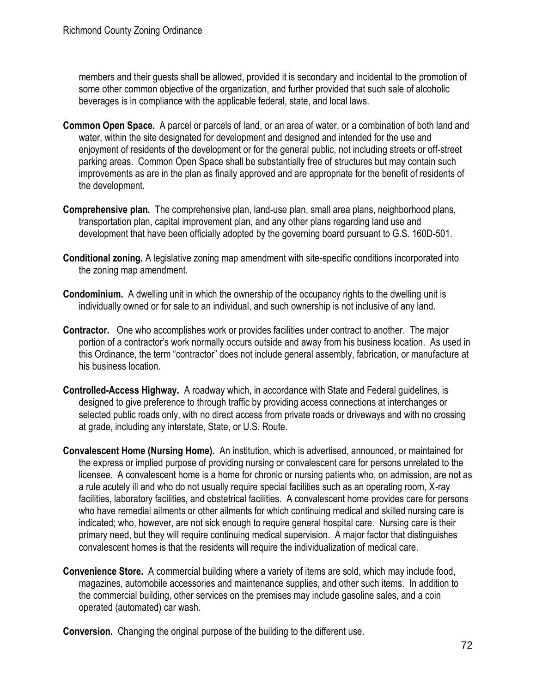members and their guests shall be allowed, provided it is secondary and incidental to the promotion of some other common objective of the organization, and further provided that such sale of alcoholic beverages is in compliance with the applicable federal, state, and local laws.

- **Common Open Space.** A parcel or parcels of land, or an area of water, or a combination of both land and water, within the site designated for development and designed and intended for the use and enjoyment of residents of the development or for the general public, not including streets or off-street parking areas. Common Open Space shall be substantially free of structures but may contain such improvements as are in the plan as finally approved and are appropriate for the benefit of residents of the development.
- **Comprehensive plan.** The comprehensive plan, land-use plan, small area plans, neighborhood plans, transportation plan, capital improvement plan, and any other plans regarding land use and development that have been officially adopted by the governing board pursuant to G.S. 160D-501.
- **Conditional zoning.** A legislative zoning map amendment with site-specific conditions incorporated into the zoning map amendment.
- **Condominium.** A dwelling unit in which the ownership of the occupancy rights to the dwelling unit is individually owned or for sale to an individual, and such ownership is not inclusive of any land.
- **Contractor.** One who accomplishes work or provides facilities under contract to another. The major portion of a contractor's work normally occurs outside and away from his business location. As used in this Ordinance, the term "contractor" does not include general assembly, fabrication, or manufacture at his business location.
- **Controlled-Access Highway.** A roadway which, in accordance with State and Federal guidelines, is designed to give preference to through traffic by providing access connections at interchanges or selected public roads only, with no direct access from private roads or driveways and with no crossing at grade, including any interstate, State, or U.S. Route.
- **Convalescent Home (Nursing Home).** An institution, which is advertised, announced, or maintained for the express or implied purpose of providing nursing or convalescent care for persons unrelated to the licensee. A convalescent home is a home for chronic or nursing patients who, on admission, are not as a rule acutely ill and who do not usually require special facilities such as an operating room, X-ray facilities, laboratory facilities, and obstetrical facilities. A convalescent home provides care for persons who have remedial ailments or other ailments for which continuing medical and skilled nursing care is indicated; who, however, are not sick enough to require general hospital care. Nursing care is their primary need, but they will require continuing medical supervision. A major factor that distinguishes convalescent homes is that the residents will require the individualization of medical care.
- **Convenience Store.** A commercial building where a variety of items are sold, which may include food, magazines, automobile accessories and maintenance supplies, and other such items. In addition to the commercial building, other services on the premises may include gasoline sales, and a coin operated (automated) car wash.

**Conversion.** Changing the original purpose of the building to the different use.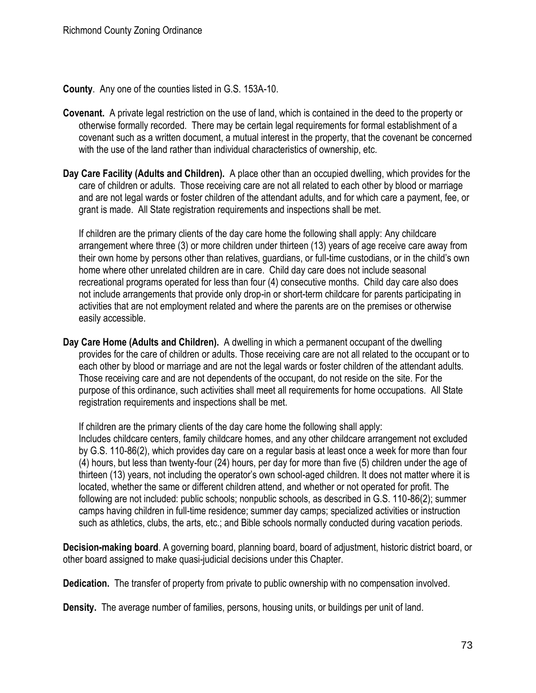**County**. Any one of the counties listed in G.S. 153A-10.

- **Covenant.** A private legal restriction on the use of land, which is contained in the deed to the property or otherwise formally recorded. There may be certain legal requirements for formal establishment of a covenant such as a written document, a mutual interest in the property, that the covenant be concerned with the use of the land rather than individual characteristics of ownership, etc.
- **Day Care Facility (Adults and Children).** A place other than an occupied dwelling, which provides for the care of children or adults. Those receiving care are not all related to each other by blood or marriage and are not legal wards or foster children of the attendant adults, and for which care a payment, fee, or grant is made. All State registration requirements and inspections shall be met.

If children are the primary clients of the day care home the following shall apply: Any childcare arrangement where three (3) or more children under thirteen (13) years of age receive care away from their own home by persons other than relatives, guardians, or full-time custodians, or in the child's own home where other unrelated children are in care. Child day care does not include seasonal recreational programs operated for less than four (4) consecutive months. Child day care also does not include arrangements that provide only drop-in or short-term childcare for parents participating in activities that are not employment related and where the parents are on the premises or otherwise easily accessible.

**Day Care Home (Adults and Children).** A dwelling in which a permanent occupant of the dwelling provides for the care of children or adults. Those receiving care are not all related to the occupant or to each other by blood or marriage and are not the legal wards or foster children of the attendant adults. Those receiving care and are not dependents of the occupant, do not reside on the site. For the purpose of this ordinance, such activities shall meet all requirements for home occupations. All State registration requirements and inspections shall be met.

If children are the primary clients of the day care home the following shall apply: Includes childcare centers, family childcare homes, and any other childcare arrangement not excluded by G.S. 110-86(2), which provides day care on a regular basis at least once a week for more than four (4) hours, but less than twenty-four (24) hours, per day for more than five (5) children under the age of thirteen (13) years, not including the operator's own school-aged children. It does not matter where it is located, whether the same or different children attend, and whether or not operated for profit. The following are not included: public schools; nonpublic schools, as described in G.S. 110-86(2); summer camps having children in full-time residence; summer day camps; specialized activities or instruction such as athletics, clubs, the arts, etc.; and Bible schools normally conducted during vacation periods.

**Decision-making board**. A governing board, planning board, board of adjustment, historic district board, or other board assigned to make quasi-judicial decisions under this Chapter.

**Dedication.** The transfer of property from private to public ownership with no compensation involved.

**Density.** The average number of families, persons, housing units, or buildings per unit of land.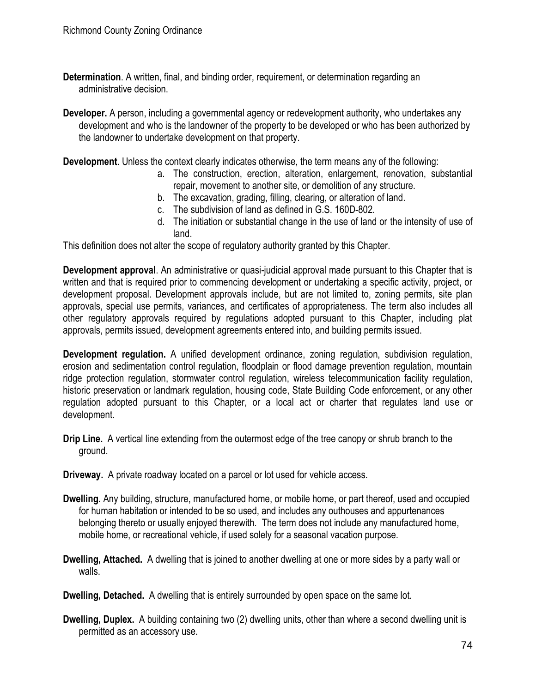- **Determination**. A written, final, and binding order, requirement, or determination regarding an administrative decision.
- **Developer.** A person, including a governmental agency or redevelopment authority, who undertakes any development and who is the landowner of the property to be developed or who has been authorized by the landowner to undertake development on that property.

**Development**. Unless the context clearly indicates otherwise, the term means any of the following:

- a. The construction, erection, alteration, enlargement, renovation, substantial repair, movement to another site, or demolition of any structure.
- b. The excavation, grading, filling, clearing, or alteration of land.
- c. The subdivision of land as defined in G.S. 160D-802.
- d. The initiation or substantial change in the use of land or the intensity of use of land.

This definition does not alter the scope of regulatory authority granted by this Chapter.

**Development approval**. An administrative or quasi-judicial approval made pursuant to this Chapter that is written and that is required prior to commencing development or undertaking a specific activity, project, or development proposal. Development approvals include, but are not limited to, zoning permits, site plan approvals, special use permits, variances, and certificates of appropriateness. The term also includes all other regulatory approvals required by regulations adopted pursuant to this Chapter, including plat approvals, permits issued, development agreements entered into, and building permits issued.

**Development regulation.** A unified development ordinance, zoning regulation, subdivision regulation, erosion and sedimentation control regulation, floodplain or flood damage prevention regulation, mountain ridge protection regulation, stormwater control regulation, wireless telecommunication facility regulation, historic preservation or landmark regulation, housing code, State Building Code enforcement, or any other regulation adopted pursuant to this Chapter, or a local act or charter that regulates land use or development.

- **Drip Line.** A vertical line extending from the outermost edge of the tree canopy or shrub branch to the ground.
- **Driveway.** A private roadway located on a parcel or lot used for vehicle access.
- **Dwelling.** Any building, structure, manufactured home, or mobile home, or part thereof, used and occupied for human habitation or intended to be so used, and includes any outhouses and appurtenances belonging thereto or usually enjoyed therewith. The term does not include any manufactured home, mobile home, or recreational vehicle, if used solely for a seasonal vacation purpose.
- **Dwelling, Attached.** A dwelling that is joined to another dwelling at one or more sides by a party wall or walls.

**Dwelling, Detached.** A dwelling that is entirely surrounded by open space on the same lot.

**Dwelling, Duplex.** A building containing two (2) dwelling units, other than where a second dwelling unit is permitted as an accessory use.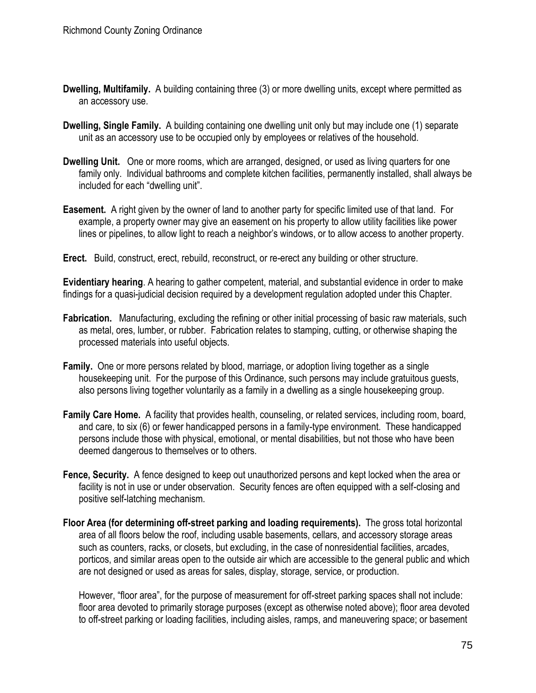- **Dwelling, Multifamily.** A building containing three (3) or more dwelling units, except where permitted as an accessory use.
- **Dwelling, Single Family.** A building containing one dwelling unit only but may include one (1) separate unit as an accessory use to be occupied only by employees or relatives of the household.
- **Dwelling Unit.** One or more rooms, which are arranged, designed, or used as living quarters for one family only. Individual bathrooms and complete kitchen facilities, permanently installed, shall always be included for each "dwelling unit".
- **Easement.** A right given by the owner of land to another party for specific limited use of that land. For example, a property owner may give an easement on his property to allow utility facilities like power lines or pipelines, to allow light to reach a neighbor's windows, or to allow access to another property.
- **Erect.** Build, construct, erect, rebuild, reconstruct, or re-erect any building or other structure.

**Evidentiary hearing**. A hearing to gather competent, material, and substantial evidence in order to make findings for a quasi-judicial decision required by a development regulation adopted under this Chapter.

- **Fabrication.** Manufacturing, excluding the refining or other initial processing of basic raw materials, such as metal, ores, lumber, or rubber. Fabrication relates to stamping, cutting, or otherwise shaping the processed materials into useful objects.
- **Family.** One or more persons related by blood, marriage, or adoption living together as a single housekeeping unit. For the purpose of this Ordinance, such persons may include gratuitous guests, also persons living together voluntarily as a family in a dwelling as a single housekeeping group.
- **Family Care Home.** A facility that provides health, counseling, or related services, including room, board, and care, to six (6) or fewer handicapped persons in a family-type environment. These handicapped persons include those with physical, emotional, or mental disabilities, but not those who have been deemed dangerous to themselves or to others.
- **Fence, Security.** A fence designed to keep out unauthorized persons and kept locked when the area or facility is not in use or under observation. Security fences are often equipped with a self-closing and positive self-latching mechanism.
- **Floor Area (for determining off-street parking and loading requirements).** The gross total horizontal area of all floors below the roof, including usable basements, cellars, and accessory storage areas such as counters, racks, or closets, but excluding, in the case of nonresidential facilities, arcades, porticos, and similar areas open to the outside air which are accessible to the general public and which are not designed or used as areas for sales, display, storage, service, or production.

However, "floor area", for the purpose of measurement for off-street parking spaces shall not include: floor area devoted to primarily storage purposes (except as otherwise noted above); floor area devoted to off-street parking or loading facilities, including aisles, ramps, and maneuvering space; or basement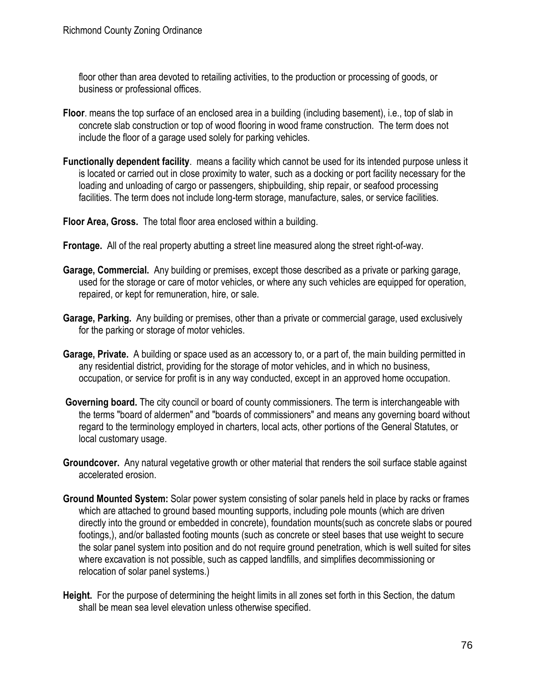floor other than area devoted to retailing activities, to the production or processing of goods, or business or professional offices.

- **Floor**. means the top surface of an enclosed area in a building (including basement), i.e., top of slab in concrete slab construction or top of wood flooring in wood frame construction. The term does not include the floor of a garage used solely for parking vehicles.
- **Functionally dependent facility**. means a facility which cannot be used for its intended purpose unless it is located or carried out in close proximity to water, such as a docking or port facility necessary for the loading and unloading of cargo or passengers, shipbuilding, ship repair, or seafood processing facilities. The term does not include long-term storage, manufacture, sales, or service facilities.
- **Floor Area, Gross.** The total floor area enclosed within a building.
- **Frontage.** All of the real property abutting a street line measured along the street right-of-way.
- **Garage, Commercial.** Any building or premises, except those described as a private or parking garage, used for the storage or care of motor vehicles, or where any such vehicles are equipped for operation, repaired, or kept for remuneration, hire, or sale.
- **Garage, Parking.** Any building or premises, other than a private or commercial garage, used exclusively for the parking or storage of motor vehicles.
- **Garage, Private.** A building or space used as an accessory to, or a part of, the main building permitted in any residential district, providing for the storage of motor vehicles, and in which no business, occupation, or service for profit is in any way conducted, except in an approved home occupation.
- **Governing board.** The city council or board of county commissioners. The term is interchangeable with the terms "board of aldermen" and "boards of commissioners" and means any governing board without regard to the terminology employed in charters, local acts, other portions of the General Statutes, or local customary usage.
- **Groundcover.** Any natural vegetative growth or other material that renders the soil surface stable against accelerated erosion.
- **Ground Mounted System:** Solar power system consisting of solar panels held in place by racks or frames which are attached to ground based mounting supports, including pole mounts (which are driven directly into the ground or embedded in concrete), foundation mounts(such as concrete slabs or poured footings,), and/or ballasted footing mounts (such as concrete or steel bases that use weight to secure the solar panel system into position and do not require ground penetration, which is well suited for sites where excavation is not possible, such as capped landfills, and simplifies decommissioning or relocation of solar panel systems.)
- **Height.** For the purpose of determining the height limits in all zones set forth in this Section, the datum shall be mean sea level elevation unless otherwise specified.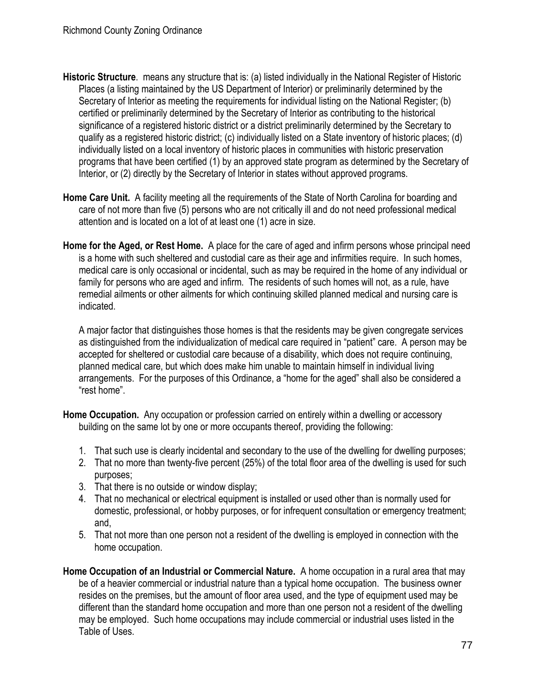- **Historic Structure**. means any structure that is: (a) listed individually in the National Register of Historic Places (a listing maintained by the US Department of Interior) or preliminarily determined by the Secretary of Interior as meeting the requirements for individual listing on the National Register; (b) certified or preliminarily determined by the Secretary of Interior as contributing to the historical significance of a registered historic district or a district preliminarily determined by the Secretary to qualify as a registered historic district; (c) individually listed on a State inventory of historic places; (d) individually listed on a local inventory of historic places in communities with historic preservation programs that have been certified (1) by an approved state program as determined by the Secretary of Interior, or (2) directly by the Secretary of Interior in states without approved programs.
- **Home Care Unit.** A facility meeting all the requirements of the State of North Carolina for boarding and care of not more than five (5) persons who are not critically ill and do not need professional medical attention and is located on a lot of at least one (1) acre in size.
- **Home for the Aged, or Rest Home.** A place for the care of aged and infirm persons whose principal need is a home with such sheltered and custodial care as their age and infirmities require. In such homes, medical care is only occasional or incidental, such as may be required in the home of any individual or family for persons who are aged and infirm. The residents of such homes will not, as a rule, have remedial ailments or other ailments for which continuing skilled planned medical and nursing care is indicated.

A major factor that distinguishes those homes is that the residents may be given congregate services as distinguished from the individualization of medical care required in "patient" care. A person may be accepted for sheltered or custodial care because of a disability, which does not require continuing, planned medical care, but which does make him unable to maintain himself in individual living arrangements. For the purposes of this Ordinance, a "home for the aged" shall also be considered a "rest home".

**Home Occupation.** Any occupation or profession carried on entirely within a dwelling or accessory building on the same lot by one or more occupants thereof, providing the following:

- 1. That such use is clearly incidental and secondary to the use of the dwelling for dwelling purposes;
- 2. That no more than twenty-five percent (25%) of the total floor area of the dwelling is used for such purposes;
- 3. That there is no outside or window display;
- 4. That no mechanical or electrical equipment is installed or used other than is normally used for domestic, professional, or hobby purposes, or for infrequent consultation or emergency treatment; and,
- 5. That not more than one person not a resident of the dwelling is employed in connection with the home occupation.
- **Home Occupation of an Industrial or Commercial Nature.** A home occupation in a rural area that may be of a heavier commercial or industrial nature than a typical home occupation. The business owner resides on the premises, but the amount of floor area used, and the type of equipment used may be different than the standard home occupation and more than one person not a resident of the dwelling may be employed. Such home occupations may include commercial or industrial uses listed in the Table of Uses.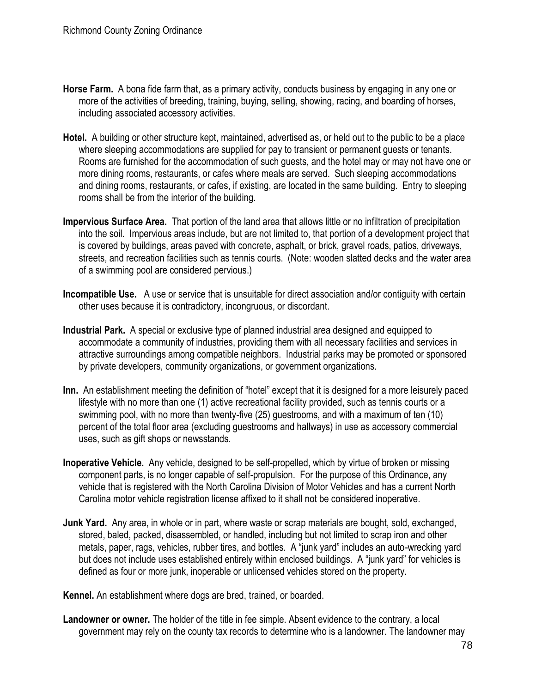- **Horse Farm.** A bona fide farm that, as a primary activity, conducts business by engaging in any one or more of the activities of breeding, training, buying, selling, showing, racing, and boarding of horses, including associated accessory activities.
- **Hotel.** A building or other structure kept, maintained, advertised as, or held out to the public to be a place where sleeping accommodations are supplied for pay to transient or permanent guests or tenants. Rooms are furnished for the accommodation of such guests, and the hotel may or may not have one or more dining rooms, restaurants, or cafes where meals are served. Such sleeping accommodations and dining rooms, restaurants, or cafes, if existing, are located in the same building. Entry to sleeping rooms shall be from the interior of the building.
- **Impervious Surface Area.** That portion of the land area that allows little or no infiltration of precipitation into the soil. Impervious areas include, but are not limited to, that portion of a development project that is covered by buildings, areas paved with concrete, asphalt, or brick, gravel roads, patios, driveways, streets, and recreation facilities such as tennis courts. (Note: wooden slatted decks and the water area of a swimming pool are considered pervious.)
- **Incompatible Use.** A use or service that is unsuitable for direct association and/or contiguity with certain other uses because it is contradictory, incongruous, or discordant.
- **Industrial Park.** A special or exclusive type of planned industrial area designed and equipped to accommodate a community of industries, providing them with all necessary facilities and services in attractive surroundings among compatible neighbors. Industrial parks may be promoted or sponsored by private developers, community organizations, or government organizations.
- **Inn.** An establishment meeting the definition of "hotel" except that it is designed for a more leisurely paced lifestyle with no more than one (1) active recreational facility provided, such as tennis courts or a swimming pool, with no more than twenty-five (25) guestrooms, and with a maximum of ten (10) percent of the total floor area (excluding guestrooms and hallways) in use as accessory commercial uses, such as gift shops or newsstands.
- **Inoperative Vehicle.** Any vehicle, designed to be self-propelled, which by virtue of broken or missing component parts, is no longer capable of self-propulsion. For the purpose of this Ordinance, any vehicle that is registered with the North Carolina Division of Motor Vehicles and has a current North Carolina motor vehicle registration license affixed to it shall not be considered inoperative.
- **Junk Yard.** Any area, in whole or in part, where waste or scrap materials are bought, sold, exchanged, stored, baled, packed, disassembled, or handled, including but not limited to scrap iron and other metals, paper, rags, vehicles, rubber tires, and bottles. A "junk yard" includes an auto-wrecking yard but does not include uses established entirely within enclosed buildings. A "junk yard" for vehicles is defined as four or more junk, inoperable or unlicensed vehicles stored on the property.

**Kennel.** An establishment where dogs are bred, trained, or boarded.

**Landowner or owner.** The holder of the title in fee simple. Absent evidence to the contrary, a local government may rely on the county tax records to determine who is a landowner. The landowner may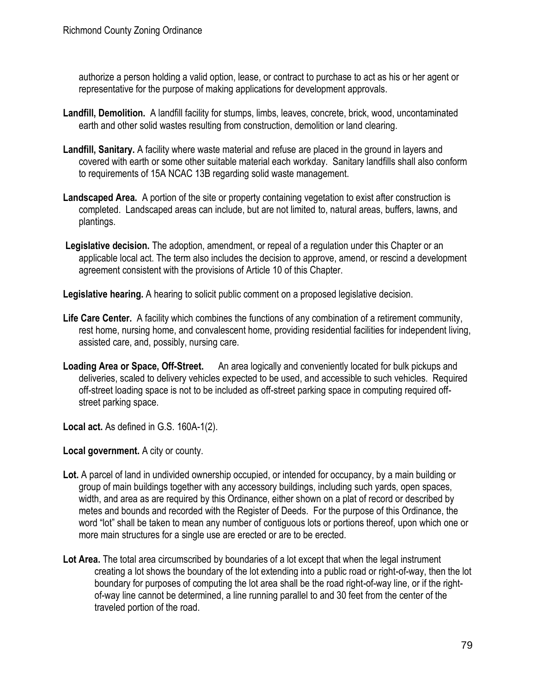authorize a person holding a valid option, lease, or contract to purchase to act as his or her agent or representative for the purpose of making applications for development approvals.

- **Landfill, Demolition.** A landfill facility for stumps, limbs, leaves, concrete, brick, wood, uncontaminated earth and other solid wastes resulting from construction, demolition or land clearing.
- **Landfill, Sanitary.** A facility where waste material and refuse are placed in the ground in layers and covered with earth or some other suitable material each workday. Sanitary landfills shall also conform to requirements of 15A NCAC 13B regarding solid waste management.
- **Landscaped Area.** A portion of the site or property containing vegetation to exist after construction is completed. Landscaped areas can include, but are not limited to, natural areas, buffers, lawns, and plantings.
- **Legislative decision.** The adoption, amendment, or repeal of a regulation under this Chapter or an applicable local act. The term also includes the decision to approve, amend, or rescind a development agreement consistent with the provisions of Article 10 of this Chapter.
- **Legislative hearing.** A hearing to solicit public comment on a proposed legislative decision.
- Life Care Center. A facility which combines the functions of any combination of a retirement community, rest home, nursing home, and convalescent home, providing residential facilities for independent living, assisted care, and, possibly, nursing care.
- **Loading Area or Space, Off-Street.** An area logically and conveniently located for bulk pickups and deliveries, scaled to delivery vehicles expected to be used, and accessible to such vehicles. Required off-street loading space is not to be included as off-street parking space in computing required offstreet parking space.

**Local act.** As defined in G.S. 160A-1(2).

**Local government.** A city or county.

- Lot. A parcel of land in undivided ownership occupied, or intended for occupancy, by a main building or group of main buildings together with any accessory buildings, including such yards, open spaces, width, and area as are required by this Ordinance, either shown on a plat of record or described by metes and bounds and recorded with the Register of Deeds. For the purpose of this Ordinance, the word "lot" shall be taken to mean any number of contiguous lots or portions thereof, upon which one or more main structures for a single use are erected or are to be erected.
- **Lot Area.** The total area circumscribed by boundaries of a lot except that when the legal instrument creating a lot shows the boundary of the lot extending into a public road or right-of-way, then the lot boundary for purposes of computing the lot area shall be the road right-of-way line, or if the rightof-way line cannot be determined, a line running parallel to and 30 feet from the center of the traveled portion of the road.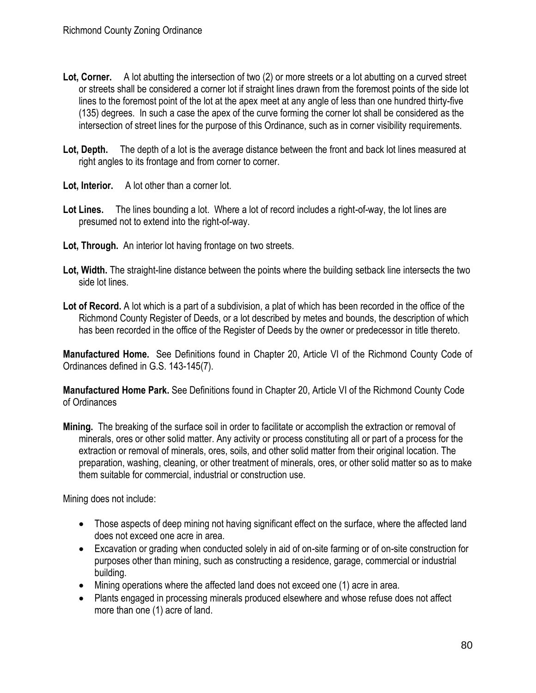- **Lot, Corner.** A lot abutting the intersection of two (2) or more streets or a lot abutting on a curved street or streets shall be considered a corner lot if straight lines drawn from the foremost points of the side lot lines to the foremost point of the lot at the apex meet at any angle of less than one hundred thirty-five (135) degrees. In such a case the apex of the curve forming the corner lot shall be considered as the intersection of street lines for the purpose of this Ordinance, such as in corner visibility requirements.
- Lot, Depth. The depth of a lot is the average distance between the front and back lot lines measured at right angles to its frontage and from corner to corner.
- **Lot, Interior.** A lot other than a corner lot.
- **Lot Lines.** The lines bounding a lot. Where a lot of record includes a right-of-way, the lot lines are presumed not to extend into the right-of-way.
- **Lot, Through.** An interior lot having frontage on two streets.
- **Lot, Width.** The straight-line distance between the points where the building setback line intersects the two side lot lines.
- **Lot of Record.** A lot which is a part of a subdivision, a plat of which has been recorded in the office of the Richmond County Register of Deeds, or a lot described by metes and bounds, the description of which has been recorded in the office of the Register of Deeds by the owner or predecessor in title thereto.

**Manufactured Home.** See Definitions found in Chapter 20, Article VI of the Richmond County Code of Ordinances defined in G.S. 143-145(7).

**Manufactured Home Park.** See Definitions found in Chapter 20, Article VI of the Richmond County Code of Ordinances

**Mining.** The breaking of the surface soil in order to facilitate or accomplish the extraction or removal of minerals, ores or other solid matter. Any activity or process constituting all or part of a process for the extraction or removal of minerals, ores, soils, and other solid matter from their original location. The preparation, washing, cleaning, or other treatment of minerals, ores, or other solid matter so as to make them suitable for commercial, industrial or construction use.

Mining does not include:

- Those aspects of deep mining not having significant effect on the surface, where the affected land does not exceed one acre in area.
- Excavation or grading when conducted solely in aid of on-site farming or of on-site construction for purposes other than mining, such as constructing a residence, garage, commercial or industrial building.
- Mining operations where the affected land does not exceed one (1) acre in area.
- Plants engaged in processing minerals produced elsewhere and whose refuse does not affect more than one (1) acre of land.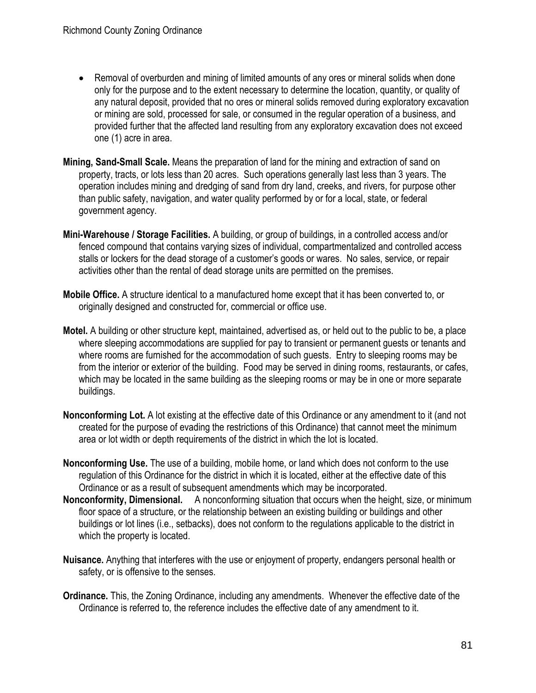- Removal of overburden and mining of limited amounts of any ores or mineral solids when done only for the purpose and to the extent necessary to determine the location, quantity, or quality of any natural deposit, provided that no ores or mineral solids removed during exploratory excavation or mining are sold, processed for sale, or consumed in the regular operation of a business, and provided further that the affected land resulting from any exploratory excavation does not exceed one (1) acre in area.
- **Mining, Sand-Small Scale.** Means the preparation of land for the mining and extraction of sand on property, tracts, or lots less than 20 acres. Such operations generally last less than 3 years. The operation includes mining and dredging of sand from dry land, creeks, and rivers, for purpose other than public safety, navigation, and water quality performed by or for a local, state, or federal government agency.
- **Mini-Warehouse / Storage Facilities.** A building, or group of buildings, in a controlled access and/or fenced compound that contains varying sizes of individual, compartmentalized and controlled access stalls or lockers for the dead storage of a customer's goods or wares. No sales, service, or repair activities other than the rental of dead storage units are permitted on the premises.
- **Mobile Office.** A structure identical to a manufactured home except that it has been converted to, or originally designed and constructed for, commercial or office use.
- **Motel.** A building or other structure kept, maintained, advertised as, or held out to the public to be, a place where sleeping accommodations are supplied for pay to transient or permanent guests or tenants and where rooms are furnished for the accommodation of such guests. Entry to sleeping rooms may be from the interior or exterior of the building. Food may be served in dining rooms, restaurants, or cafes, which may be located in the same building as the sleeping rooms or may be in one or more separate buildings.
- **Nonconforming Lot.** A lot existing at the effective date of this Ordinance or any amendment to it (and not created for the purpose of evading the restrictions of this Ordinance) that cannot meet the minimum area or lot width or depth requirements of the district in which the lot is located.
- **Nonconforming Use.** The use of a building, mobile home, or land which does not conform to the use regulation of this Ordinance for the district in which it is located, either at the effective date of this Ordinance or as a result of subsequent amendments which may be incorporated.
- **Nonconformity, Dimensional.** A nonconforming situation that occurs when the height, size, or minimum floor space of a structure, or the relationship between an existing building or buildings and other buildings or lot lines (i.e., setbacks), does not conform to the regulations applicable to the district in which the property is located.
- **Nuisance.** Anything that interferes with the use or enjoyment of property, endangers personal health or safety, or is offensive to the senses.
- **Ordinance.** This, the Zoning Ordinance, including any amendments. Whenever the effective date of the Ordinance is referred to, the reference includes the effective date of any amendment to it.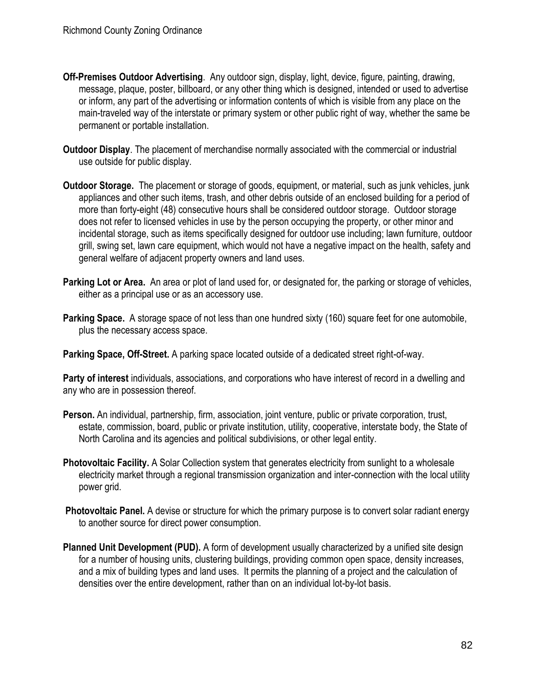- **Off-Premises Outdoor Advertising**. Any outdoor sign, display, light, device, figure, painting, drawing, message, plaque, poster, billboard, or any other thing which is designed, intended or used to advertise or inform, any part of the advertising or information contents of which is visible from any place on the main-traveled way of the interstate or primary system or other public right of way, whether the same be permanent or portable installation.
- **Outdoor Display**. The placement of merchandise normally associated with the commercial or industrial use outside for public display.
- **Outdoor Storage.** The placement or storage of goods, equipment, or material, such as junk vehicles, junk appliances and other such items, trash, and other debris outside of an enclosed building for a period of more than forty-eight (48) consecutive hours shall be considered outdoor storage. Outdoor storage does not refer to licensed vehicles in use by the person occupying the property, or other minor and incidental storage, such as items specifically designed for outdoor use including; lawn furniture, outdoor grill, swing set, lawn care equipment, which would not have a negative impact on the health, safety and general welfare of adjacent property owners and land uses.
- **Parking Lot or Area.** An area or plot of land used for, or designated for, the parking or storage of vehicles, either as a principal use or as an accessory use.
- **Parking Space.** A storage space of not less than one hundred sixty (160) square feet for one automobile, plus the necessary access space.

**Parking Space, Off-Street.** A parking space located outside of a dedicated street right-of-way.

**Party of interest** individuals, associations, and corporations who have interest of record in a dwelling and any who are in possession thereof.

- **Person.** An individual, partnership, firm, association, joint venture, public or private corporation, trust, estate, commission, board, public or private institution, utility, cooperative, interstate body, the State of North Carolina and its agencies and political subdivisions, or other legal entity.
- **Photovoltaic Facility.** A Solar Collection system that generates electricity from sunlight to a wholesale electricity market through a regional transmission organization and inter-connection with the local utility power grid.
- **Photovoltaic Panel.** A devise or structure for which the primary purpose is to convert solar radiant energy to another source for direct power consumption.
- **Planned Unit Development (PUD).** A form of development usually characterized by a unified site design for a number of housing units, clustering buildings, providing common open space, density increases, and a mix of building types and land uses. It permits the planning of a project and the calculation of densities over the entire development, rather than on an individual lot-by-lot basis.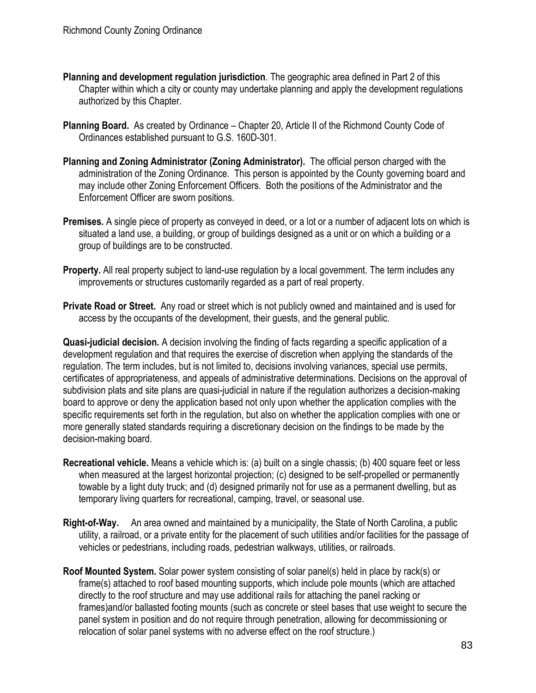- **Planning and development regulation jurisdiction**. The geographic area defined in Part 2 of this Chapter within which a city or county may undertake planning and apply the development regulations authorized by this Chapter.
- **Planning Board.** As created by Ordinance Chapter 20, Article II of the Richmond County Code of Ordinances established pursuant to G.S. 160D-301.
- **Planning and Zoning Administrator (Zoning Administrator).** The official person charged with the administration of the Zoning Ordinance. This person is appointed by the County governing board and may include other Zoning Enforcement Officers. Both the positions of the Administrator and the Enforcement Officer are sworn positions.
- **Premises.** A single piece of property as conveyed in deed, or a lot or a number of adjacent lots on which is situated a land use, a building, or group of buildings designed as a unit or on which a building or a group of buildings are to be constructed.
- **Property.** All real property subject to land-use regulation by a local government. The term includes any improvements or structures customarily regarded as a part of real property.
- **Private Road or Street.** Any road or street which is not publicly owned and maintained and is used for access by the occupants of the development, their guests, and the general public.

**Quasi-judicial decision.** A decision involving the finding of facts regarding a specific application of a development regulation and that requires the exercise of discretion when applying the standards of the regulation. The term includes, but is not limited to, decisions involving variances, special use permits, certificates of appropriateness, and appeals of administrative determinations. Decisions on the approval of subdivision plats and site plans are quasi-judicial in nature if the regulation authorizes a decision-making board to approve or deny the application based not only upon whether the application complies with the specific requirements set forth in the regulation, but also on whether the application complies with one or more generally stated standards requiring a discretionary decision on the findings to be made by the decision-making board.

- **Recreational vehicle.** Means a vehicle which is: (a) built on a single chassis; (b) 400 square feet or less when measured at the largest horizontal projection; (c) designed to be self-propelled or permanently towable by a light duty truck; and (d) designed primarily not for use as a permanent dwelling, but as temporary living quarters for recreational, camping, travel, or seasonal use.
- **Right-of-Way.** An area owned and maintained by a municipality, the State of North Carolina, a public utility, a railroad, or a private entity for the placement of such utilities and/or facilities for the passage of vehicles or pedestrians, including roads, pedestrian walkways, utilities, or railroads.
- **Roof Mounted System.** Solar power system consisting of solar panel(s) held in place by rack(s) or frame(s) attached to roof based mounting supports, which include pole mounts (which are attached directly to the roof structure and may use additional rails for attaching the panel racking or frames)and/or ballasted footing mounts (such as concrete or steel bases that use weight to secure the panel system in position and do not require through penetration, allowing for decommissioning or relocation of solar panel systems with no adverse effect on the roof structure.)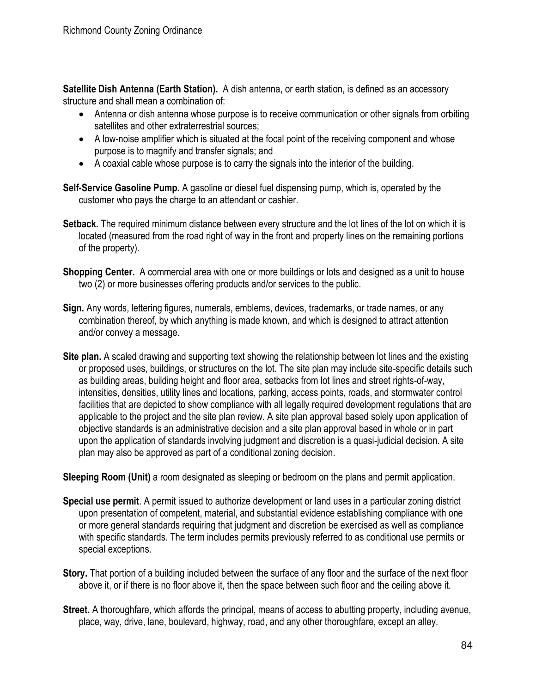**Satellite Dish Antenna (Earth Station).** A dish antenna, or earth station, is defined as an accessory structure and shall mean a combination of:

- Antenna or dish antenna whose purpose is to receive communication or other signals from orbiting satellites and other extraterrestrial sources;
- A low-noise amplifier which is situated at the focal point of the receiving component and whose purpose is to magnify and transfer signals; and
- A coaxial cable whose purpose is to carry the signals into the interior of the building.
- **Self-Service Gasoline Pump.** A gasoline or diesel fuel dispensing pump, which is, operated by the customer who pays the charge to an attendant or cashier.
- **Setback.** The required minimum distance between every structure and the lot lines of the lot on which it is located (measured from the road right of way in the front and property lines on the remaining portions of the property).
- **Shopping Center.** A commercial area with one or more buildings or lots and designed as a unit to house two (2) or more businesses offering products and/or services to the public.
- **Sign.** Any words, lettering figures, numerals, emblems, devices, trademarks, or trade names, or any combination thereof, by which anything is made known, and which is designed to attract attention and/or convey a message.
- **Site plan.** A scaled drawing and supporting text showing the relationship between lot lines and the existing or proposed uses, buildings, or structures on the lot. The site plan may include site-specific details such as building areas, building height and floor area, setbacks from lot lines and street rights-of-way, intensities, densities, utility lines and locations, parking, access points, roads, and stormwater control facilities that are depicted to show compliance with all legally required development regulations that are applicable to the project and the site plan review. A site plan approval based solely upon application of objective standards is an administrative decision and a site plan approval based in whole or in part upon the application of standards involving judgment and discretion is a quasi-judicial decision. A site plan may also be approved as part of a conditional zoning decision.

**Sleeping Room (Unit)** a room designated as sleeping or bedroom on the plans and permit application.

- **Special use permit**. A permit issued to authorize development or land uses in a particular zoning district upon presentation of competent, material, and substantial evidence establishing compliance with one or more general standards requiring that judgment and discretion be exercised as well as compliance with specific standards. The term includes permits previously referred to as conditional use permits or special exceptions.
- **Story.** That portion of a building included between the surface of any floor and the surface of the next floor above it, or if there is no floor above it, then the space between such floor and the ceiling above it.
- **Street.** A thoroughfare, which affords the principal, means of access to abutting property, including avenue, place, way, drive, lane, boulevard, highway, road, and any other thoroughfare, except an alley.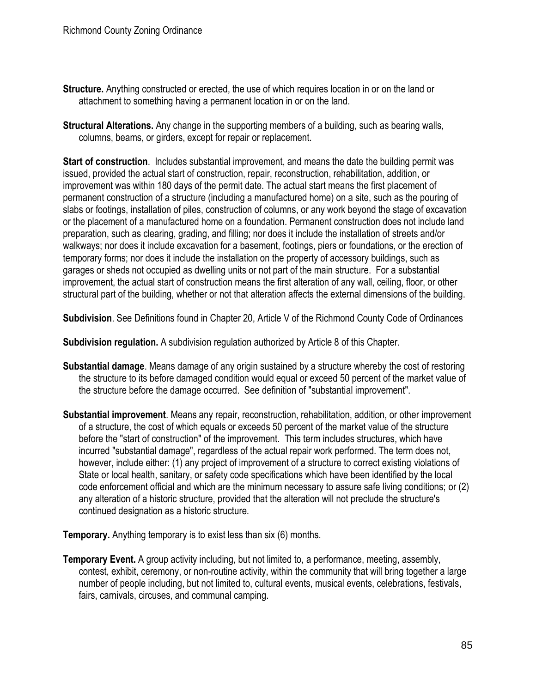- **Structure.** Anything constructed or erected, the use of which requires location in or on the land or attachment to something having a permanent location in or on the land.
- **Structural Alterations.** Any change in the supporting members of a building, such as bearing walls, columns, beams, or girders, except for repair or replacement.

**Start of construction**. Includes substantial improvement, and means the date the building permit was issued, provided the actual start of construction, repair, reconstruction, rehabilitation, addition, or improvement was within 180 days of the permit date. The actual start means the first placement of permanent construction of a structure (including a manufactured home) on a site, such as the pouring of slabs or footings, installation of piles, construction of columns, or any work beyond the stage of excavation or the placement of a manufactured home on a foundation. Permanent construction does not include land preparation, such as clearing, grading, and filling; nor does it include the installation of streets and/or walkways; nor does it include excavation for a basement, footings, piers or foundations, or the erection of temporary forms; nor does it include the installation on the property of accessory buildings, such as garages or sheds not occupied as dwelling units or not part of the main structure. For a substantial improvement, the actual start of construction means the first alteration of any wall, ceiling, floor, or other structural part of the building, whether or not that alteration affects the external dimensions of the building.

**Subdivision**. See Definitions found in Chapter 20, Article V of the Richmond County Code of Ordinances

**Subdivision regulation.** A subdivision regulation authorized by Article 8 of this Chapter.

- **Substantial damage**. Means damage of any origin sustained by a structure whereby the cost of restoring the structure to its before damaged condition would equal or exceed 50 percent of the market value of the structure before the damage occurred. See definition of "substantial improvement".
- **Substantial improvement**. Means any repair, reconstruction, rehabilitation, addition, or other improvement of a structure, the cost of which equals or exceeds 50 percent of the market value of the structure before the "start of construction" of the improvement. This term includes structures, which have incurred "substantial damage", regardless of the actual repair work performed. The term does not, however, include either: (1) any project of improvement of a structure to correct existing violations of State or local health, sanitary, or safety code specifications which have been identified by the local code enforcement official and which are the minimum necessary to assure safe living conditions; or (2) any alteration of a historic structure, provided that the alteration will not preclude the structure's continued designation as a historic structure.

**Temporary.** Anything temporary is to exist less than six (6) months.

**Temporary Event.** A group activity including, but not limited to, a performance, meeting, assembly, contest, exhibit, ceremony, or non-routine activity, within the community that will bring together a large number of people including, but not limited to, cultural events, musical events, celebrations, festivals, fairs, carnivals, circuses, and communal camping.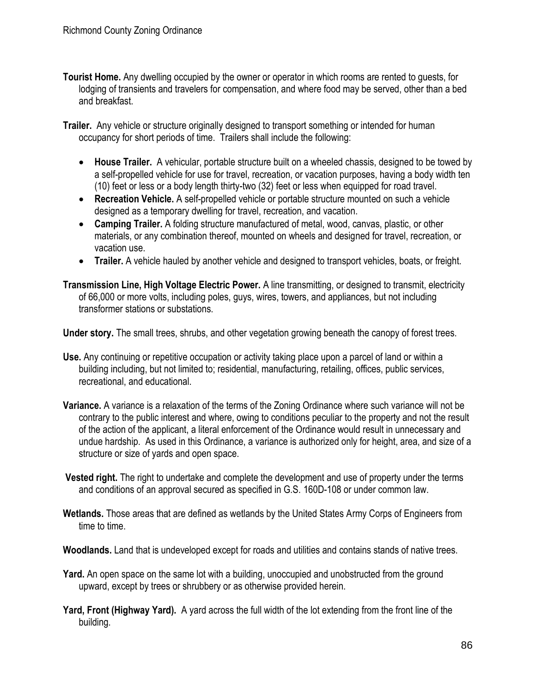- **Tourist Home.** Any dwelling occupied by the owner or operator in which rooms are rented to guests, for lodging of transients and travelers for compensation, and where food may be served, other than a bed and breakfast.
- **Trailer.** Any vehicle or structure originally designed to transport something or intended for human occupancy for short periods of time. Trailers shall include the following:
	- **House Trailer.** A vehicular, portable structure built on a wheeled chassis, designed to be towed by a self-propelled vehicle for use for travel, recreation, or vacation purposes, having a body width ten (10) feet or less or a body length thirty-two (32) feet or less when equipped for road travel.
	- **Recreation Vehicle.** A self-propelled vehicle or portable structure mounted on such a vehicle designed as a temporary dwelling for travel, recreation, and vacation.
	- **Camping Trailer.** A folding structure manufactured of metal, wood, canvas, plastic, or other materials, or any combination thereof, mounted on wheels and designed for travel, recreation, or vacation use.
	- **Trailer.** A vehicle hauled by another vehicle and designed to transport vehicles, boats, or freight.

**Transmission Line, High Voltage Electric Power.** A line transmitting, or designed to transmit, electricity of 66,000 or more volts, including poles, guys, wires, towers, and appliances, but not including transformer stations or substations.

**Under story.** The small trees, shrubs, and other vegetation growing beneath the canopy of forest trees.

- **Use.** Any continuing or repetitive occupation or activity taking place upon a parcel of land or within a building including, but not limited to; residential, manufacturing, retailing, offices, public services, recreational, and educational.
- **Variance.** A variance is a relaxation of the terms of the Zoning Ordinance where such variance will not be contrary to the public interest and where, owing to conditions peculiar to the property and not the result of the action of the applicant, a literal enforcement of the Ordinance would result in unnecessary and undue hardship. As used in this Ordinance, a variance is authorized only for height, area, and size of a structure or size of yards and open space.
- **Vested right.** The right to undertake and complete the development and use of property under the terms and conditions of an approval secured as specified in G.S. 160D-108 or under common law.
- **Wetlands.** Those areas that are defined as wetlands by the United States Army Corps of Engineers from time to time.
- **Woodlands.** Land that is undeveloped except for roads and utilities and contains stands of native trees.
- **Yard.** An open space on the same lot with a building, unoccupied and unobstructed from the ground upward, except by trees or shrubbery or as otherwise provided herein.
- **Yard, Front (Highway Yard).** A yard across the full width of the lot extending from the front line of the building.